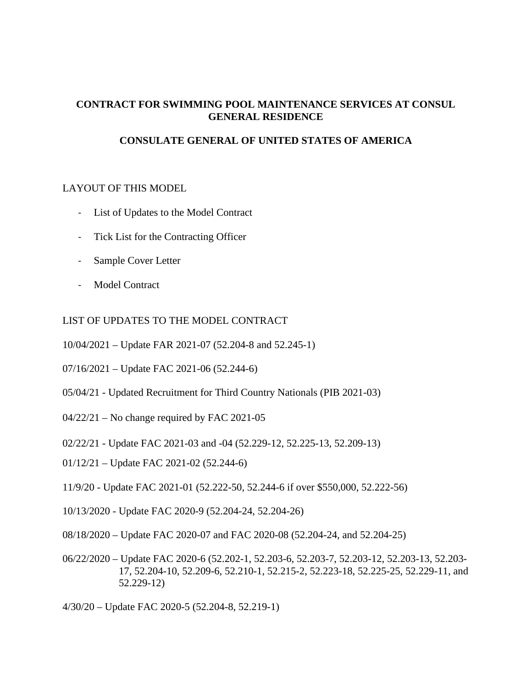#### **CONTRACT FOR SWIMMING POOL MAINTENANCE SERVICES AT CONSUL GENERAL RESIDENCE**

#### **CONSULATE GENERAL OF UNITED STATES OF AMERICA**

#### LAYOUT OF THIS MODEL

- List of Updates to the Model Contract
- Tick List for the Contracting Officer
- Sample Cover Letter
- Model Contract

#### LIST OF UPDATES TO THE MODEL CONTRACT

- 10/04/2021 Update FAR 2021-07 (52.204-8 and 52.245-1)
- 07/16/2021 Update FAC 2021-06 (52.244-6)
- 05/04/21 Updated Recruitment for Third Country Nationals (PIB 2021-03)
- 04/22/21 No change required by FAC 2021-05
- 02/22/21 Update FAC 2021-03 and -04 (52.229-12, 52.225-13, 52.209-13)
- 01/12/21 Update FAC 2021-02 (52.244-6)
- 11/9/20 Update FAC 2021-01 (52.222-50, 52.244-6 if over \$550,000, 52.222-56)
- 10/13/2020 Update FAC 2020-9 (52.204-24, 52.204-26)
- 08/18/2020 Update FAC 2020-07 and FAC 2020-08 (52.204-24, and 52.204-25)
- 06/22/2020 Update FAC 2020-6 (52.202-1, 52.203-6, 52.203-7, 52.203-12, 52.203-13, 52.203- 17, 52.204-10, 52.209-6, 52.210-1, 52.215-2, 52.223-18, 52.225-25, 52.229-11, and 52.229-12)
- 4/30/20 Update FAC 2020-5 (52.204-8, 52.219-1)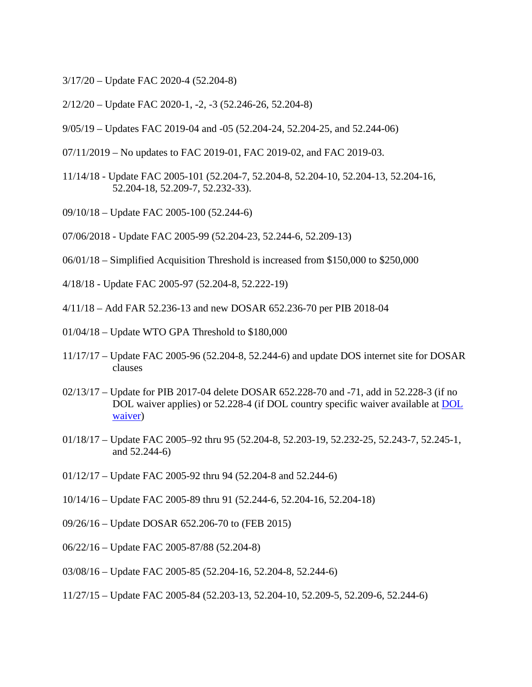- 3/17/20 Update FAC 2020-4 (52.204-8)
- 2/12/20 Update FAC 2020-1, -2, -3 (52.246-26, 52.204-8)
- 9/05/19 Updates FAC 2019-04 and -05 (52.204-24, 52.204-25, and 52.244-06)
- 07/11/2019 No updates to FAC 2019-01, FAC 2019-02, and FAC 2019-03.
- 11/14/18 Update FAC 2005-101 (52.204-7, 52.204-8, 52.204-10, 52.204-13, 52.204-16, 52.204-18, 52.209-7, 52.232-33).
- 09/10/18 Update FAC 2005-100 (52.244-6)
- 07/06/2018 Update FAC 2005-99 (52.204-23, 52.244-6, 52.209-13)
- 06/01/18 Simplified Acquisition Threshold is increased from \$150,000 to \$250,000
- 4/18/18 Update FAC 2005-97 (52.204-8, 52.222-19)
- 4/11/18 Add FAR 52.236-13 and new DOSAR 652.236-70 per PIB 2018-04
- 01/04/18 Update WTO GPA Threshold to \$180,000
- 11/17/17 Update FAC 2005-96 (52.204-8, 52.244-6) and update DOS internet site for DOSAR clauses
- 02/13/17 Update for PIB 2017-04 delete DOSAR 652.228-70 and -71, add in 52.228-3 (if no DOL waiver applies) or 52.228-4 (if [DOL](https://www.dol.gov/owcp/dlhwc/dbawaivers/dbawaivers.htm) country specific waiver available at DOL [waiver\)](https://www.dol.gov/owcp/dlhwc/dbawaivers/dbawaivers.htm)
- 01/18/17 Update FAC 2005–92 thru 95 (52.204-8, 52.203-19, 52.232-25, 52.243-7, 52.245-1, and 52.244-6)
- 01/12/17 Update FAC 2005-92 thru 94 (52.204-8 and 52.244-6)
- 10/14/16 Update FAC 2005-89 thru 91 (52.244-6, 52.204-16, 52.204-18)
- 09/26/16 Update DOSAR 652.206-70 to (FEB 2015)
- 06/22/16 Update FAC 2005-87/88 (52.204-8)
- 03/08/16 Update FAC 2005-85 (52.204-16, 52.204-8, 52.244-6)
- 11/27/15 Update FAC 2005-84 (52.203-13, 52.204-10, 52.209-5, 52.209-6, 52.244-6)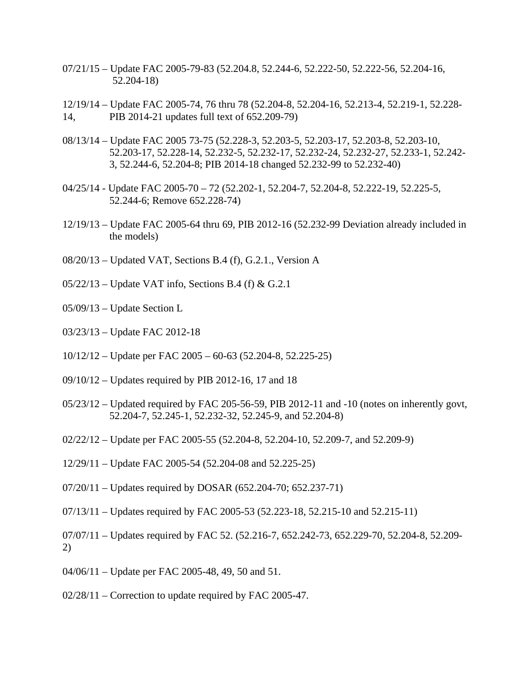- 07/21/15 Update FAC 2005-79-83 (52.204.8, 52.244-6, 52.222-50, 52.222-56, 52.204-16, 52.204-18)
- 12/19/14 Update FAC 2005-74, 76 thru 78 (52.204-8, 52.204-16, 52.213-4, 52.219-1, 52.228- 14, PIB 2014-21 updates full text of 652.209-79)
- 08/13/14 Update FAC 2005 73-75 (52.228-3, 52.203-5, 52.203-17, 52.203-8, 52.203-10, 52.203-17, 52.228-14, 52.232-5, 52.232-17, 52.232-24, 52.232-27, 52.233-1, 52.242- 3, 52.244-6, 52.204-8; PIB 2014-18 changed 52.232-99 to 52.232-40)
- 04/25/14 Update FAC 2005-70 72 (52.202-1, 52.204-7, 52.204-8, 52.222-19, 52.225-5, 52.244-6; Remove 652.228-74)
- 12/19/13 Update FAC 2005-64 thru 69, PIB 2012-16 (52.232-99 Deviation already included in the models)
- 08/20/13 Updated VAT, Sections B.4 (f), G.2.1., Version A
- 05/22/13 Update VAT info, Sections B.4 (f) & G.2.1
- 05/09/13 Update Section L
- 03/23/13 Update FAC 2012-18
- 10/12/12 Update per FAC 2005 60-63 (52.204-8, 52.225-25)
- 09/10/12 Updates required by PIB 2012-16, 17 and 18
- $05/23/12$  Updated required by FAC 205-56-59, PIB 2012-11 and -10 (notes on inherently govt, 52.204-7, 52.245-1, 52.232-32, 52.245-9, and 52.204-8)
- 02/22/12 Update per FAC 2005-55 (52.204-8, 52.204-10, 52.209-7, and 52.209-9)
- 12/29/11 Update FAC 2005-54 (52.204-08 and 52.225-25)
- 07/20/11 Updates required by DOSAR (652.204-70; 652.237-71)
- 07/13/11 Updates required by FAC 2005-53 (52.223-18, 52.215-10 and 52.215-11)
- 07/07/11 Updates required by FAC 52. (52.216-7, 652.242-73, 652.229-70, 52.204-8, 52.209- 2)
- 04/06/11 Update per FAC 2005-48, 49, 50 and 51.
- 02/28/11 Correction to update required by FAC 2005-47.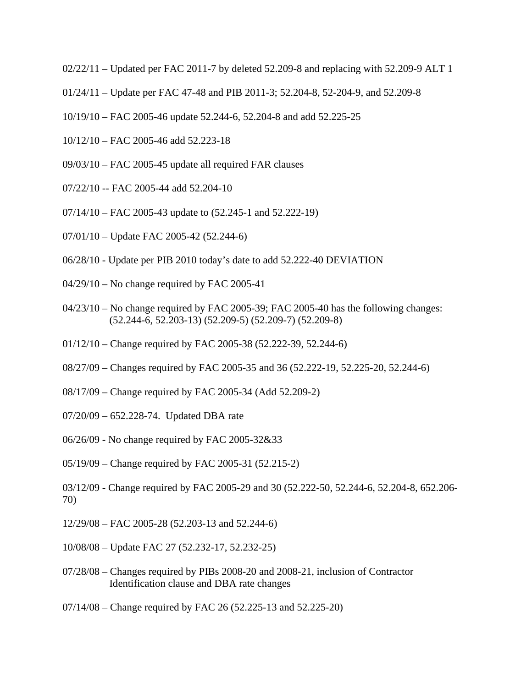- $02/22/11$  Updated per FAC 2011-7 by deleted 52.209-8 and replacing with 52.209-9 ALT 1
- 01/24/11 Update per FAC 47-48 and PIB 2011-3; 52.204-8, 52-204-9, and 52.209-8
- 10/19/10 FAC 2005-46 update 52.244-6, 52.204-8 and add 52.225-25
- 10/12/10 FAC 2005-46 add 52.223-18
- 09/03/10 FAC 2005-45 update all required FAR clauses
- 07/22/10 -- FAC 2005-44 add 52.204-10
- 07/14/10 FAC 2005-43 update to (52.245-1 and 52.222-19)
- 07/01/10 Update FAC 2005-42 (52.244-6)
- 06/28/10 Update per PIB 2010 today's date to add 52.222-40 DEVIATION
- 04/29/10 No change required by FAC 2005-41
- 04/23/10 No change required by FAC 2005-39; FAC 2005-40 has the following changes: (52.244-6, 52.203-13) (52.209-5) (52.209-7) (52.209-8)
- 01/12/10 Change required by FAC 2005-38 (52.222-39, 52.244-6)
- 08/27/09 Changes required by FAC 2005-35 and 36 (52.222-19, 52.225-20, 52.244-6)
- 08/17/09 Change required by FAC 2005-34 (Add 52.209-2)
- 07/20/09 652.228-74. Updated DBA rate
- 06/26/09 No change required by FAC 2005-32&33
- 05/19/09 Change required by FAC 2005-31 (52.215-2)
- 03/12/09 Change required by FAC 2005-29 and 30 (52.222-50, 52.244-6, 52.204-8, 652.206- 70)
- 12/29/08 FAC 2005-28 (52.203-13 and 52.244-6)
- 10/08/08 Update FAC 27 (52.232-17, 52.232-25)
- 07/28/08 Changes required by PIBs 2008-20 and 2008-21, inclusion of Contractor Identification clause and DBA rate changes
- 07/14/08 Change required by FAC 26 (52.225-13 and 52.225-20)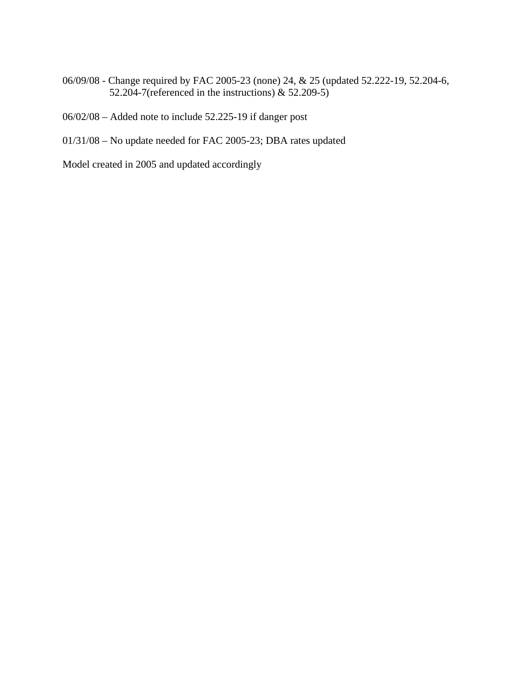- 06/09/08 Change required by FAC 2005-23 (none) 24, & 25 (updated 52.222-19, 52.204-6, 52.204-7(referenced in the instructions)  $\&$  52.209-5)
- 06/02/08 Added note to include 52.225-19 if danger post
- 01/31/08 No update needed for FAC 2005-23; DBA rates updated

Model created in 2005 and updated accordingly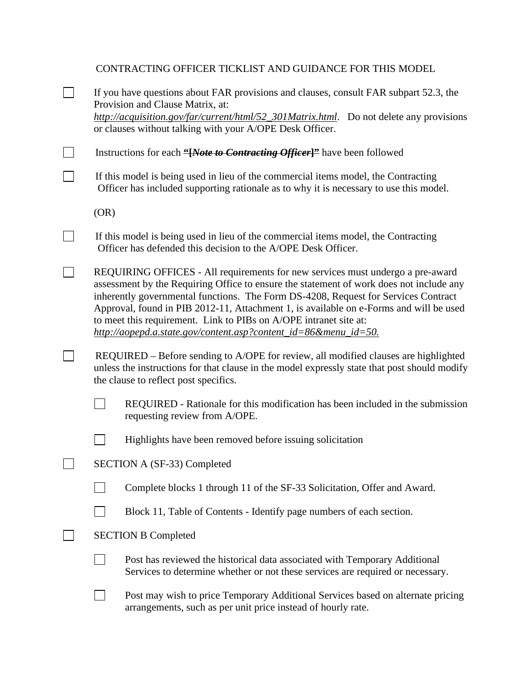|      | CONTRACTING OFFICER TICKLIST AND GUIDANCE FOR THIS MODEL                                                                                                                                                                                                                                                                                                                                                                                                                                          |  |  |  |  |  |
|------|---------------------------------------------------------------------------------------------------------------------------------------------------------------------------------------------------------------------------------------------------------------------------------------------------------------------------------------------------------------------------------------------------------------------------------------------------------------------------------------------------|--|--|--|--|--|
|      | If you have questions about FAR provisions and clauses, consult FAR subpart 52.3, the<br>Provision and Clause Matrix, at:<br>http://acquisition.gov/far/current/html/52_301Matrix.html. Do not delete any provisions<br>or clauses without talking with your A/OPE Desk Officer.                                                                                                                                                                                                                  |  |  |  |  |  |
|      | Instructions for each "[ <i>Note to Contracting Officer</i> ]" have been followed                                                                                                                                                                                                                                                                                                                                                                                                                 |  |  |  |  |  |
|      | If this model is being used in lieu of the commercial items model, the Contracting<br>Officer has included supporting rationale as to why it is necessary to use this model.                                                                                                                                                                                                                                                                                                                      |  |  |  |  |  |
| (OR) |                                                                                                                                                                                                                                                                                                                                                                                                                                                                                                   |  |  |  |  |  |
|      | If this model is being used in lieu of the commercial items model, the Contracting<br>Officer has defended this decision to the A/OPE Desk Officer.                                                                                                                                                                                                                                                                                                                                               |  |  |  |  |  |
|      | REQUIRING OFFICES - All requirements for new services must undergo a pre-award<br>assessment by the Requiring Office to ensure the statement of work does not include any<br>inherently governmental functions. The Form DS-4208, Request for Services Contract<br>Approval, found in PIB 2012-11, Attachment 1, is available on e-Forms and will be used<br>to meet this requirement. Link to PIBs on A/OPE intranet site at:<br>http://aopepd.a.state.gov/content.asp?content_id=86&menu_id=50. |  |  |  |  |  |
|      | REQUIRED – Before sending to A/OPE for review, all modified clauses are highlighted<br>unless the instructions for that clause in the model expressly state that post should modify<br>the clause to reflect post specifics.                                                                                                                                                                                                                                                                      |  |  |  |  |  |
|      | REQUIRED - Rationale for this modification has been included in the submission<br>requesting review from A/OPE.                                                                                                                                                                                                                                                                                                                                                                                   |  |  |  |  |  |
|      | Highlights have been removed before issuing solicitation                                                                                                                                                                                                                                                                                                                                                                                                                                          |  |  |  |  |  |
|      | SECTION A (SF-33) Completed                                                                                                                                                                                                                                                                                                                                                                                                                                                                       |  |  |  |  |  |
|      | Complete blocks 1 through 11 of the SF-33 Solicitation, Offer and Award.                                                                                                                                                                                                                                                                                                                                                                                                                          |  |  |  |  |  |
|      | Block 11, Table of Contents - Identify page numbers of each section.                                                                                                                                                                                                                                                                                                                                                                                                                              |  |  |  |  |  |
|      | <b>SECTION B Completed</b>                                                                                                                                                                                                                                                                                                                                                                                                                                                                        |  |  |  |  |  |
|      | Post has reviewed the historical data associated with Temporary Additional<br>Services to determine whether or not these services are required or necessary.                                                                                                                                                                                                                                                                                                                                      |  |  |  |  |  |
|      | Post may wish to price Temporary Additional Services based on alternate pricing<br>arrangements, such as per unit price instead of hourly rate.                                                                                                                                                                                                                                                                                                                                                   |  |  |  |  |  |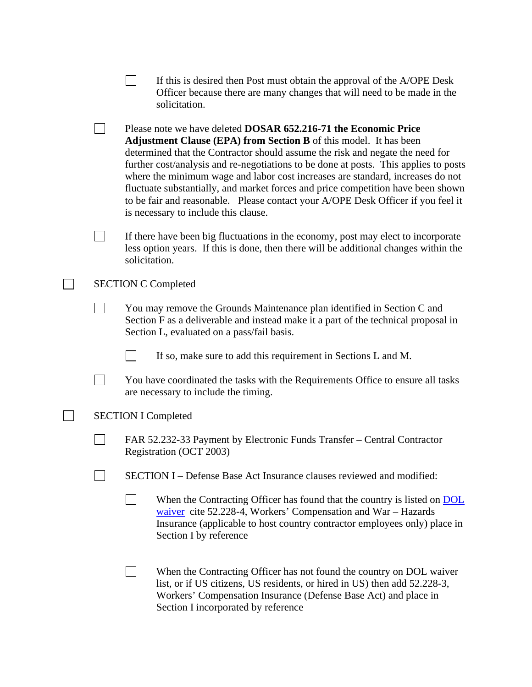| If this is desired then Post must obtain the approval of the A/OPE Desk |
|-------------------------------------------------------------------------|
| Officer because there are many changes that will need to be made in the |
| solicitation.                                                           |

Please note we have deleted **DOSAR 652.216-71 the Economic Price Adjustment Clause (EPA) from Section B** of this model. It has been determined that the Contractor should assume the risk and negate the need for further cost/analysis and re-negotiations to be done at posts. This applies to posts where the minimum wage and labor cost increases are standard, increases do not fluctuate substantially, and market forces and price competition have been shown to be fair and reasonable. Please contact your A/OPE Desk Officer if you feel it is necessary to include this clause.

 $\Box$ If there have been big fluctuations in the economy, post may elect to incorporate less option years. If this is done, then there will be additional changes within the solicitation.

#### SECTION C Completed

 $\Box$ 

 $\Box$ 

 $\Box$ You may remove the Grounds Maintenance plan identified in Section C and Section F as a deliverable and instead make it a part of the technical proposal in Section L, evaluated on a pass/fail basis.

If so, make sure to add this requirement in Sections L and M.  $\perp$ 

You have coordinated the tasks with the Requirements Office to ensure all tasks are necessary to include the timing.

#### $\Box$ SECTION I Completed

 $\Box$ 

- $\Box$ FAR 52.232-33 Payment by Electronic Funds Transfer – Central Contractor Registration (OCT 2003)
- $\Box$ SECTION I – Defense Base Act Insurance clauses reviewed and modified:
	- $\Box$ When the Contracting Officer has found that the country is listed on [DOL](https://www.dol.gov/owcp/dlhwc/dbawaivers/dbawaivers.htm)  [waiver](https://www.dol.gov/owcp/dlhwc/dbawaivers/dbawaivers.htm) cite 52.228-4, Workers' Compensation and War – Hazards Insurance (applicable to host country contractor employees only) place in Section I by reference
	- $\mathbb{R}^n$ When the Contracting Officer has not found the country on DOL waiver list, or if US citizens, US residents, or hired in US) then add 52.228-3, Workers' Compensation Insurance (Defense Base Act) and place in Section I incorporated by reference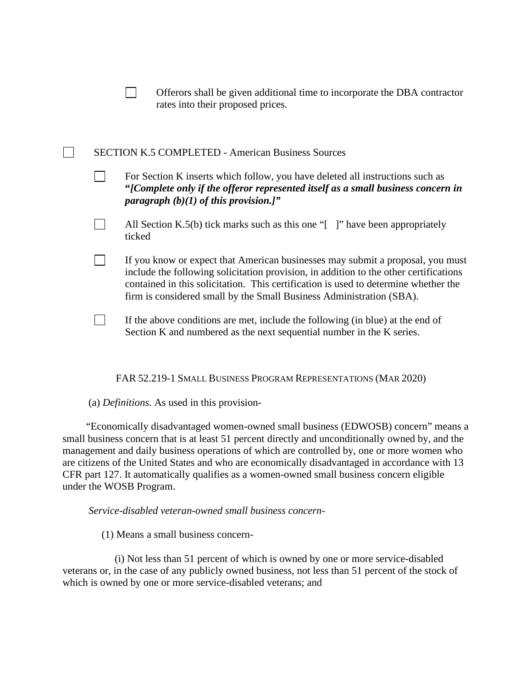|  | Offerors shall be given additional time to incorporate the DBA contractor<br>rates into their proposed prices.                                                                                                                                                                                                                         |
|--|----------------------------------------------------------------------------------------------------------------------------------------------------------------------------------------------------------------------------------------------------------------------------------------------------------------------------------------|
|  | <b>SECTION K.5 COMPLETED - American Business Sources</b>                                                                                                                                                                                                                                                                               |
|  | For Section K inserts which follow, you have deleted all instructions such as<br>"[Complete only if the offeror represented itself as a small business concern in<br>paragraph $(b)(1)$ of this provision.]"                                                                                                                           |
|  | All Section K.5(b) tick marks such as this one "[]" have been appropriately<br>ticked                                                                                                                                                                                                                                                  |
|  | If you know or expect that American businesses may submit a proposal, you must<br>include the following solicitation provision, in addition to the other certifications<br>contained in this solicitation. This certification is used to determine whether the<br>firm is considered small by the Small Business Administration (SBA). |
|  | If the above conditions are met, include the following (in blue) at the end of<br>Section K and numbered as the next sequential number in the K series.                                                                                                                                                                                |

FAR 52.219-1 SMALL BUSINESS PROGRAM REPRESENTATIONS (MAR 2020)

(a) *Definitions*. As used in this provision-

 $\Box$ 

٦

 "Economically disadvantaged women-owned small business (EDWOSB) concern" means a small business concern that is at least 51 percent directly and unconditionally owned by, and the management and daily business operations of which are controlled by, one or more women who are citizens of the United States and who are economically disadvantaged in accordance with 13 CFR part 127. It automatically qualifies as a women-owned small business concern eligible under the WOSB Program.

*Service-disabled veteran-owned small business concern*-

(1) Means a small business concern-

 (i) Not less than 51 percent of which is owned by one or more service-disabled veterans or, in the case of any publicly owned business, not less than 51 percent of the stock of which is owned by one or more service-disabled veterans; and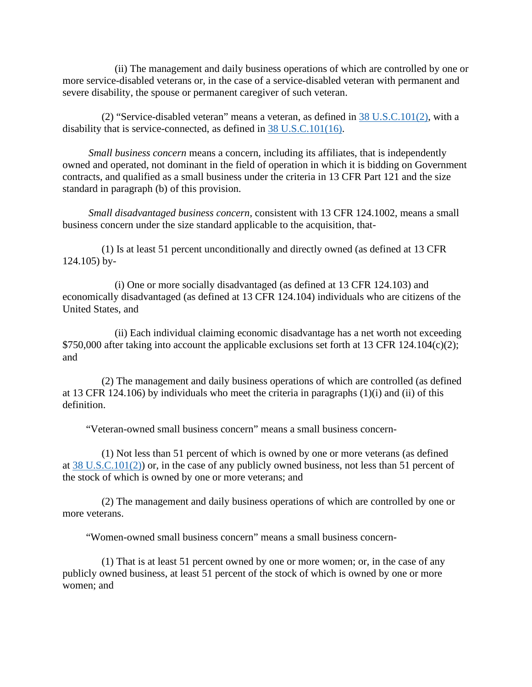(ii) The management and daily business operations of which are controlled by one or more service-disabled veterans or, in the case of a service-disabled veteran with permanent and severe disability, the spouse or permanent caregiver of such veteran.

 (2) "Service-disabled veteran" means a veteran, as defined in 38 [U.S.C.101\(2\),](http://uscode.house.gov/browse.xhtml;jsessionid=114A3287C7B3359E597506A31FC855B3) with a disability that is service-connected, as defined in 38 [U.S.C.101\(16\).](http://uscode.house.gov/browse.xhtml;jsessionid=114A3287C7B3359E597506A31FC855B3)

 *Small business concern* means a concern, including its affiliates, that is independently owned and operated, not dominant in the field of operation in which it is bidding on Government contracts, and qualified as a small business under the criteria in 13 CFR Part 121 and the size standard in paragraph (b) of this provision.

 *Small disadvantaged business concern,* consistent with 13 CFR 124.1002, means a small business concern under the size standard applicable to the acquisition, that-

 (1) Is at least 51 percent unconditionally and directly owned (as defined at 13 CFR 124.105) by-

 (i) One or more socially disadvantaged (as defined at 13 CFR 124.103) and economically disadvantaged (as defined at 13 CFR 124.104) individuals who are citizens of the United States, and

 (ii) Each individual claiming economic disadvantage has a net worth not exceeding \$750,000 after taking into account the applicable exclusions set forth at 13 CFR 124.104(c)(2); and

 (2) The management and daily business operations of which are controlled (as defined at 13 CFR 124.106) by individuals who meet the criteria in paragraphs (1)(i) and (ii) of this definition.

"Veteran-owned small business concern" means a small business concern-

 (1) Not less than 51 percent of which is owned by one or more veterans (as defined at  $38$  [U.S.C.101\(2\)\)](http://uscode.house.gov/view.xhtml?req=granuleid:USC-prelim-title38-section101&num=0&edition=prelim) or, in the case of any publicly owned business, not less than 51 percent of the stock of which is owned by one or more veterans; and

 (2) The management and daily business operations of which are controlled by one or more veterans.

"Women-owned small business concern" means a small business concern-

 (1) That is at least 51 percent owned by one or more women; or, in the case of any publicly owned business, at least 51 percent of the stock of which is owned by one or more women; and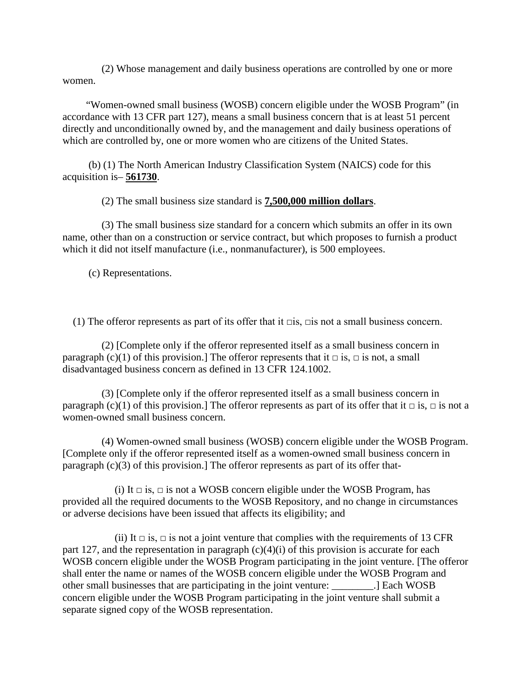(2) Whose management and daily business operations are controlled by one or more women.

 "Women-owned small business (WOSB) concern eligible under the WOSB Program" (in accordance with 13 CFR part 127), means a small business concern that is at least 51 percent directly and unconditionally owned by, and the management and daily business operations of which are controlled by, one or more women who are citizens of the United States.

 (b) (1) The North American Industry Classification System (NAICS) code for this acquisition is– **561730**.

(2) The small business size standard is **7,500,000 million dollars**.

 (3) The small business size standard for a concern which submits an offer in its own name, other than on a construction or service contract, but which proposes to furnish a product which it did not itself manufacture (i.e., nonmanufacturer), is 500 employees.

(c) Representations.

(1) The offeror represents as part of its offer that it  $\Box$ is,  $\Box$ is not a small business concern.

 (2) [Complete only if the offeror represented itself as a small business concern in paragraph (c)(1) of this provision.] The offeror represents that it  $\Box$  is,  $\Box$  is not, a small disadvantaged business concern as defined in 13 CFR 124.1002.

 (3) [Complete only if the offeror represented itself as a small business concern in paragraph (c)(1) of this provision.] The offeror represents as part of its offer that it *□* is, *□* is not a women-owned small business concern.

 (4) Women-owned small business (WOSB) concern eligible under the WOSB Program. [Complete only if the offeror represented itself as a women-owned small business concern in paragraph (c)(3) of this provision.] The offeror represents as part of its offer that-

(i) It  $\Box$  is,  $\Box$  is not a WOSB concern eligible under the WOSB Program, has provided all the required documents to the WOSB Repository, and no change in circumstances or adverse decisions have been issued that affects its eligibility; and

(ii) It  $\Box$  is,  $\Box$  is not a joint venture that complies with the requirements of 13 CFR part 127, and the representation in paragraph  $(c)(4)(i)$  of this provision is accurate for each WOSB concern eligible under the WOSB Program participating in the joint venture. [The offeror shall enter the name or names of the WOSB concern eligible under the WOSB Program and other small businesses that are participating in the joint venture: \_\_\_\_\_\_\_\_.] Each WOSB concern eligible under the WOSB Program participating in the joint venture shall submit a separate signed copy of the WOSB representation.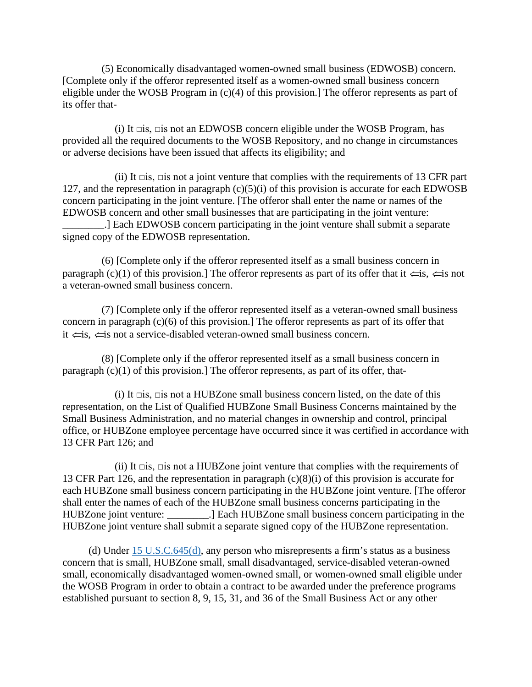(5) Economically disadvantaged women-owned small business (EDWOSB) concern. [Complete only if the offeror represented itself as a women-owned small business concern eligible under the WOSB Program in (c)(4) of this provision.] The offeror represents as part of its offer that-

(i) It  $\overline{\text{cis}}$ ,  $\overline{\text{cis}}$  not an EDWOSB concern eligible under the WOSB Program, has provided all the required documents to the WOSB Repository, and no change in circumstances or adverse decisions have been issued that affects its eligibility; and

(ii) It  $\Box$ is,  $\Box$ is not a joint venture that complies with the requirements of 13 CFR part 127, and the representation in paragraph  $(c)(5)(i)$  of this provision is accurate for each EDWOSB concern participating in the joint venture. [The offeror shall enter the name or names of the EDWOSB concern and other small businesses that are participating in the joint venture:

\_\_\_\_\_\_\_\_.] Each EDWOSB concern participating in the joint venture shall submit a separate signed copy of the EDWOSB representation.

 (6) [Complete only if the offeror represented itself as a small business concern in paragraph (c)(1) of this provision.] The offeror represents as part of its offer that it  $\Leftarrow$ is,  $\Leftarrow$ is not a veteran-owned small business concern.

 (7) [Complete only if the offeror represented itself as a veteran-owned small business concern in paragraph (c)(6) of this provision.] The offeror represents as part of its offer that it ⇐is, ⇐is not a service-disabled veteran-owned small business concern.

 (8) [Complete only if the offeror represented itself as a small business concern in paragraph  $(c)(1)$  of this provision.] The offeror represents, as part of its offer, that-

(i) It  $\Box$ is,  $\Box$ is not a HUBZone small business concern listed, on the date of this representation, on the List of Qualified HUBZone Small Business Concerns maintained by the Small Business Administration, and no material changes in ownership and control, principal office, or HUBZone employee percentage have occurred since it was certified in accordance with 13 CFR Part 126; and

(ii) It  $\Box$ is,  $\Box$ is not a HUBZone joint venture that complies with the requirements of 13 CFR Part 126, and the representation in paragraph (c)(8)(i) of this provision is accurate for each HUBZone small business concern participating in the HUBZone joint venture. [The offeror shall enter the names of each of the HUBZone small business concerns participating in the HUBZone joint venture:  $\qquad \qquad$ .] Each HUBZone small business concern participating in the HUBZone joint venture shall submit a separate signed copy of the HUBZone representation.

 (d) Under 15 [U.S.C.645\(d\),](http://uscode.house.gov/browse.xhtml;jsessionid=114A3287C7B3359E597506A31FC855B3) any person who misrepresents a firm's status as a business concern that is small, HUBZone small, small disadvantaged, service-disabled veteran-owned small, economically disadvantaged women-owned small, or women-owned small eligible under the WOSB Program in order to obtain a contract to be awarded under the preference programs established pursuant to section 8, 9, 15, 31, and 36 of the Small Business Act or any other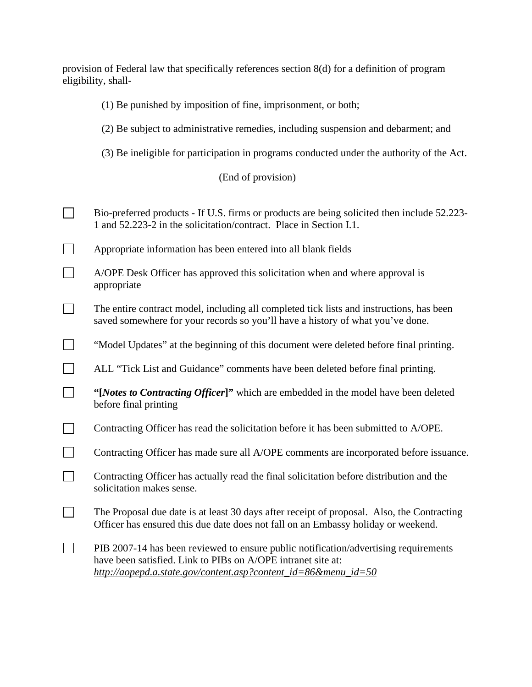provision of Federal law that specifically references section 8(d) for a definition of program eligibility, shall-

| (1) Be punished by imposition of fine, imprisonment, or both;                      |
|------------------------------------------------------------------------------------|
| (2) Be subject to administrative remedies, including suspension and debarment; and |

(3) Be ineligible for participation in programs conducted under the authority of the Act.

# (End of provision)

- $\mathcal{L}_{\mathcal{A}}$ Bio-preferred products - If U.S. firms or products are being solicited then include 52.223- 1 and 52.223-2 in the solicitation/contract. Place in Section I.1.
- $\Box$ Appropriate information has been entered into all blank fields
- $\Box$ A/OPE Desk Officer has approved this solicitation when and where approval is appropriate
- $\Box$ The entire contract model, including all completed tick lists and instructions, has been saved somewhere for your records so you'll have a history of what you've done.
- $\Box$ "Model Updates" at the beginning of this document were deleted before final printing.
- $\Box$ ALL "Tick List and Guidance" comments have been deleted before final printing.
- $\Box$ **"[***Notes to Contracting Officer***]"** which are embedded in the model have been deleted before final printing
- $\Box$ Contracting Officer has read the solicitation before it has been submitted to A/OPE.
- $\Box$ Contracting Officer has made sure all A/OPE comments are incorporated before issuance.
- $\Box$ Contracting Officer has actually read the final solicitation before distribution and the solicitation makes sense.
- $\Box$ The Proposal due date is at least 30 days after receipt of proposal. Also, the Contracting Officer has ensured this due date does not fall on an Embassy holiday or weekend.
- $\Box$ PIB 2007-14 has been reviewed to ensure public notification/advertising requirements have been satisfied. Link to PIBs on A/OPE intranet site at: *[http://aopepd.a.state.gov/content.asp?content\\_id=86&menu\\_id=50](http://aopepd.a.state.gov/content.asp?content_id=86&menu_id=50)*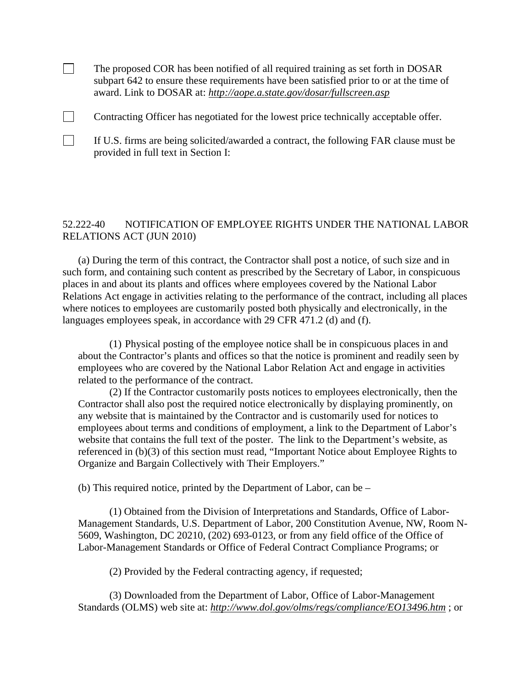$\Box$ The proposed COR has been notified of all required training as set forth in DOSAR subpart 642 to ensure these requirements have been satisfied prior to or at the time of award. Link to DOSAR at: *<http://aope.a.state.gov/dosar/fullscreen.asp>*

- $\Box$ Contracting Officer has negotiated for the lowest price technically acceptable offer.
- $\Box$ If U.S. firms are being solicited/awarded a contract, the following FAR clause must be provided in full text in Section I:

#### 52.222-40 NOTIFICATION OF EMPLOYEE RIGHTS UNDER THE NATIONAL LABOR RELATIONS ACT (JUN 2010)

(a) During the term of this contract, the Contractor shall post a notice, of such size and in such form, and containing such content as prescribed by the Secretary of Labor, in conspicuous places in and about its plants and offices where employees covered by the National Labor Relations Act engage in activities relating to the performance of the contract, including all places where notices to employees are customarily posted both physically and electronically, in the languages employees speak, in accordance with 29 CFR 471.2 (d) and (f).

(1) Physical posting of the employee notice shall be in conspicuous places in and about the Contractor's plants and offices so that the notice is prominent and readily seen by employees who are covered by the National Labor Relation Act and engage in activities related to the performance of the contract.

(2) If the Contractor customarily posts notices to employees electronically, then the Contractor shall also post the required notice electronically by displaying prominently, on any website that is maintained by the Contractor and is customarily used for notices to employees about terms and conditions of employment, a link to the Department of Labor's website that contains the full text of the poster. The link to the Department's website, as referenced in (b)(3) of this section must read, "Important Notice about Employee Rights to Organize and Bargain Collectively with Their Employers."

(b) This required notice, printed by the Department of Labor, can be –

(1) Obtained from the Division of Interpretations and Standards, Office of Labor-Management Standards, U.S. Department of Labor, 200 Constitution Avenue, NW, Room N-5609, Washington, DC 20210, (202) 693-0123, or from any field office of the Office of Labor-Management Standards or Office of Federal Contract Compliance Programs; or

(2) Provided by the Federal contracting agency, if requested;

(3) Downloaded from the Department of Labor, Office of Labor-Management Standards (OLMS) web site at: *<http://www.dol.gov/olms/regs/compliance/EO13496.htm>* ; or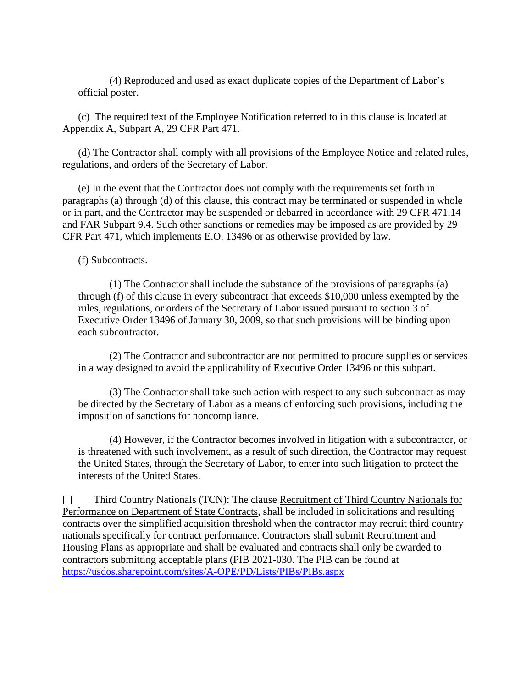(4) Reproduced and used as exact duplicate copies of the Department of Labor's official poster.

(c) The required text of the Employee Notification referred to in this clause is located at Appendix A, Subpart A, 29 CFR Part 471.

(d) The Contractor shall comply with all provisions of the Employee Notice and related rules, regulations, and orders of the Secretary of Labor.

(e) In the event that the Contractor does not comply with the requirements set forth in paragraphs (a) through (d) of this clause, this contract may be terminated or suspended in whole or in part, and the Contractor may be suspended or debarred in accordance with 29 CFR 471.14 and FAR Subpart 9.4. Such other sanctions or remedies may be imposed as are provided by 29 CFR Part 471, which implements E.O. 13496 or as otherwise provided by law.

(f) Subcontracts.

(1) The Contractor shall include the substance of the provisions of paragraphs (a) through (f) of this clause in every subcontract that exceeds \$10,000 unless exempted by the rules, regulations, or orders of the Secretary of Labor issued pursuant to section 3 of Executive Order 13496 of January 30, 2009, so that such provisions will be binding upon each subcontractor.

(2) The Contractor and subcontractor are not permitted to procure supplies or services in a way designed to avoid the applicability of Executive Order 13496 or this subpart.

(3) The Contractor shall take such action with respect to any such subcontract as may be directed by the Secretary of Labor as a means of enforcing such provisions, including the imposition of sanctions for noncompliance.

(4) However, if the Contractor becomes involved in litigation with a subcontractor, or is threatened with such involvement, as a result of such direction, the Contractor may request the United States, through the Secretary of Labor, to enter into such litigation to protect the interests of the United States.

 $\Box$ Third Country Nationals (TCN): The clause Recruitment of Third Country Nationals for Performance on Department of State Contracts, shall be included in solicitations and resulting contracts over the simplified acquisition threshold when the contractor may recruit third country nationals specifically for contract performance. Contractors shall submit Recruitment and Housing Plans as appropriate and shall be evaluated and contracts shall only be awarded to contractors submitting acceptable plans (PIB 2021-030. The PIB can be found at https://usdos.sharepoint.com/sites/A-OPE/PD/Lists/PIBs/PIBs.aspx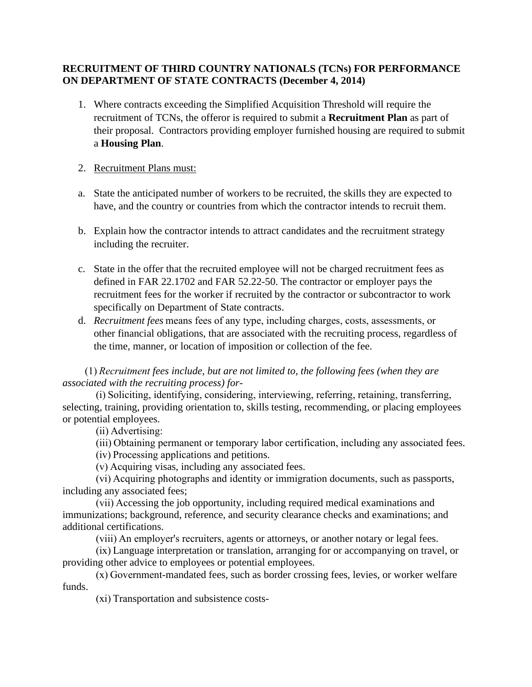#### **RECRUITMENT OF THIRD COUNTRY NATIONALS (TCNs) FOR PERFORMANCE ON DEPARTMENT OF STATE CONTRACTS (December 4, 2014)**

1. Where contracts exceeding the Simplified Acquisition Threshold will require the recruitment of TCNs, the offeror is required to submit a **Recruitment Plan** as part of their proposal. Contractors providing employer furnished housing are required to submit a **Housing Plan**.

#### 2. Recruitment Plans must:

- a. State the anticipated number of workers to be recruited, the skills they are expected to have, and the country or countries from which the contractor intends to recruit them.
- b. Explain how the contractor intends to attract candidates and the recruitment strategy including the recruiter.
- c. State in the offer that the recruited employee will not be charged recruitment fees as defined in FAR 22.1702 and FAR 52.22-50. The contractor or employer pays the recruitment fees for the worker if recruited by the contractor or subcontractor to work specifically on Department of State contracts.
- d. *Recruitment fees* means fees of any type, including charges, costs, assessments, or other financial obligations, that are associated with the recruiting process, regardless of the time, manner, or location of imposition or collection of the fee.

        (1)*Recruitment fees include, but are not limited to, the following fees (when they are associated with the recruiting process) for-*

                (i) Soliciting, identifying, considering, interviewing, referring, retaining, transferring, selecting, training, providing orientation to, skills testing, recommending, or placing employees or potential employees.

                (ii) Advertising:

                (iii) Obtaining permanent or temporary labor certification, including any associated fees.

                (iv) Processing applications and petitions.

                (v) Acquiring visas, including any associated fees.

                (vi) Acquiring photographs and identity or immigration documents, such as passports, including any associated fees;

               (vii) Accessing the job opportunity, including required medical examinations and immunizations; background, reference, and security clearance checks and examinations; and additional certifications.

                (viii) An employer's recruiters, agents or attorneys, or another notary or legal fees.

                (ix) Language interpretation or translation, arranging for or accompanying on travel, or providing other advice to employees or potential employees.

                (x) Government-mandated fees, such as border crossing fees, levies, or worker welfare funds.

                (xi) Transportation and subsistence costs-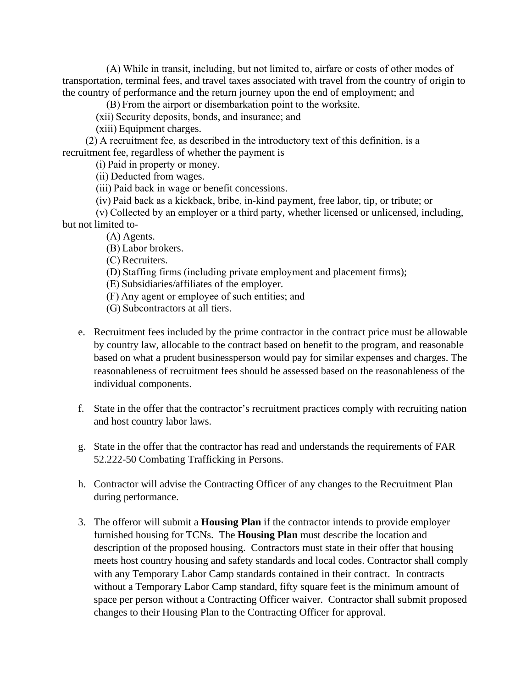(A) While in transit, including, but not limited to, airfare or costs of other modes of transportation, terminal fees, and travel taxes associated with travel from the country of origin to the country of performance and the return journey upon the end of employment; and

                     (B) From the airport or disembarkation point to the worksite.

               (xii) Security deposits, bonds, and insurance; and

                (xiii) Equipment charges.

           (2) A recruitment fee, as described in the introductory text of this definition, is a recruitment fee, regardless of whether the payment is

                (i) Paid in property or money.

                (ii) Deducted from wages.

                (iii) Paid back in wage or benefit concessions.

                (iv) Paid back as a kickback, bribe, in-kind payment, free labor, tip, or tribute; or

                (v) Collected by an employer or a third party, whether licensed or unlicensed, including, but not limited to-

                     (A) Agents.

                     (B) Labor brokers.

                     (C) Recruiters.

                    (D) Staffing firms (including private employment and placement firms);

                     (E) Subsidiaries/affiliates of the employer.

                     (F) Any agent or employee of such entities; and

                     (G) Subcontractors at all tiers.

- e. Recruitment fees included by the prime contractor in the contract price must be allowable by country law, allocable to the contract based on benefit to the program, and reasonable based on what a prudent businessperson would pay for similar expenses and charges. The reasonableness of recruitment fees should be assessed based on the reasonableness of the individual components.
- f. State in the offer that the contractor's recruitment practices comply with recruiting nation and host country labor laws.
- g. State in the offer that the contractor has read and understands the requirements of FAR 52.222-50 Combating Trafficking in Persons.
- h. Contractor will advise the Contracting Officer of any changes to the Recruitment Plan during performance.
- 3. The offeror will submit a **Housing Plan** if the contractor intends to provide employer furnished housing for TCNs. The **Housing Plan** must describe the location and description of the proposed housing. Contractors must state in their offer that housing meets host country housing and safety standards and local codes. Contractor shall comply with any Temporary Labor Camp standards contained in their contract. In contracts without a Temporary Labor Camp standard, fifty square feet is the minimum amount of space per person without a Contracting Officer waiver. Contractor shall submit proposed changes to their Housing Plan to the Contracting Officer for approval.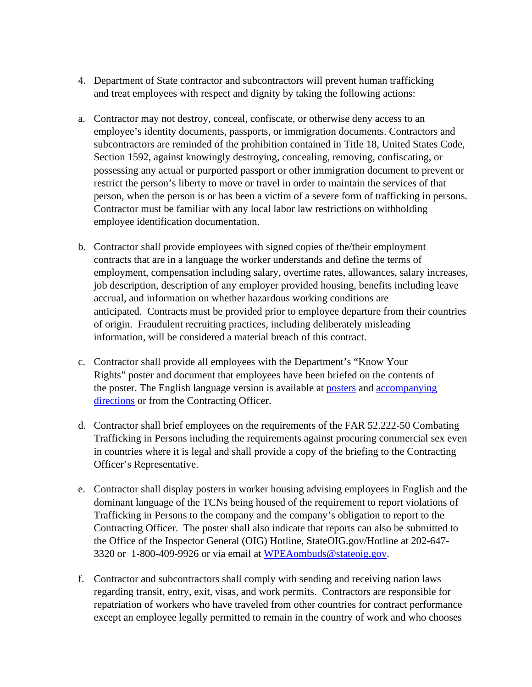- 4. Department of State contractor and subcontractors will prevent human trafficking and treat employees with respect and dignity by taking the following actions:
- a. Contractor may not destroy, conceal, confiscate, or otherwise deny access to an employee's identity documents, passports, or immigration documents. Contractors and subcontractors are reminded of the prohibition contained in Title 18, United States Code, Section 1592, against knowingly destroying, concealing, removing, confiscating, or possessing any actual or purported passport or other immigration document to prevent or restrict the person's liberty to move or travel in order to maintain the services of that person, when the person is or has been a victim of a severe form of trafficking in persons. Contractor must be familiar with any local labor law restrictions on withholding employee identification documentation.
- b. Contractor shall provide employees with signed copies of the/their employment contracts that are in a language the worker understands and define the terms of employment, compensation including salary, overtime rates, allowances, salary increases, job description, description of any employer provided housing, benefits including leave accrual, and information on whether hazardous working conditions are anticipated. Contracts must be provided prior to employee departure from their countries of origin. Fraudulent recruiting practices, including deliberately misleading information, will be considered a material breach of this contract.
- c. Contractor shall provide all employees with the Department's "Know Your Rights" poster and document that employees have been briefed on the contents of the poster. The English language version is available at [posters](https://www.responsiblesourcingtool.org/uploads/56/Fed_Procurement_poster-FINAL.pdf) and [accompanying](https://www.responsiblesourcingtool.org/uploads/57/FAR_Poster_Directions__002_.pdf)  [directions](https://www.responsiblesourcingtool.org/uploads/57/FAR_Poster_Directions__002_.pdf) or from the Contracting Officer.
- d. Contractor shall brief employees on the requirements of the FAR 52.222-50 Combating Trafficking in Persons including the requirements against procuring commercial sex even in countries where it is legal and shall provide a copy of the briefing to the Contracting Officer's Representative.
- e. Contractor shall display posters in worker housing advising employees in English and the dominant language of the TCNs being housed of the requirement to report violations of Trafficking in Persons to the company and the company's obligation to report to the Contracting Officer. The poster shall also indicate that reports can also be submitted to the Office of the Inspector General (OIG) Hotline, StateOIG.gov/Hotline at 202-647- 3320 or 1-800-409-9926 or via email at [WPEAombuds@stateoig.gov.](mailto:WPEAombuds@stateoig.gov)
- f. Contractor and subcontractors shall comply with sending and receiving nation laws regarding transit, entry, exit, visas, and work permits. Contractors are responsible for repatriation of workers who have traveled from other countries for contract performance except an employee legally permitted to remain in the country of work and who chooses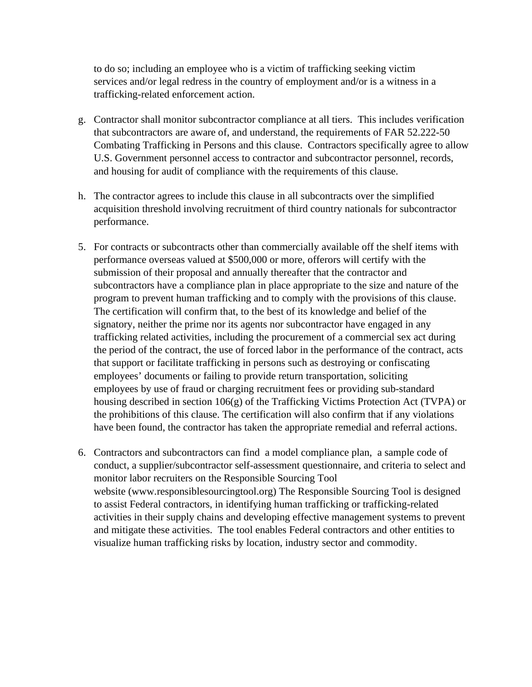to do so; including an employee who is a victim of trafficking seeking victim services and/or legal redress in the country of employment and/or is a witness in a trafficking-related enforcement action.

- g. Contractor shall monitor subcontractor compliance at all tiers. This includes verification that subcontractors are aware of, and understand, the requirements of FAR 52.222-50 Combating Trafficking in Persons and this clause. Contractors specifically agree to allow U.S. Government personnel access to contractor and subcontractor personnel, records, and housing for audit of compliance with the requirements of this clause.
- h. The contractor agrees to include this clause in all subcontracts over the simplified acquisition threshold involving recruitment of third country nationals for subcontractor performance.
- 5. For contracts or subcontracts other than commercially available off the shelf items with performance overseas valued at \$500,000 or more, offerors will certify with the submission of their proposal and annually thereafter that the contractor and subcontractors have a compliance plan in place appropriate to the size and nature of the program to prevent human trafficking and to comply with the provisions of this clause. The certification will confirm that, to the best of its knowledge and belief of the signatory, neither the prime nor its agents nor subcontractor have engaged in any trafficking related activities, including the procurement of a commercial sex act during the period of the contract, the use of forced labor in the performance of the contract, acts that support or facilitate trafficking in persons such as destroying or confiscating employees' documents or failing to provide return transportation, soliciting employees by use of fraud or charging recruitment fees or providing sub-standard housing described in section 106(g) of the Trafficking Victims Protection Act (TVPA) or the prohibitions of this clause. The certification will also confirm that if any violations have been found, the contractor has taken the appropriate remedial and referral actions.
- 6. Contractors and subcontractors can find a model compliance plan, a sample code of conduct, a supplier/subcontractor self-assessment questionnaire, and criteria to select and monitor labor recruiters on the Responsible Sourcing Tool website (www.responsiblesourcingtool.org) The Responsible Sourcing Tool is designed to assist Federal contractors, in identifying human trafficking or trafficking-related activities in their supply chains and developing effective management systems to prevent and mitigate these activities. The tool enables Federal contractors and other entities to visualize human trafficking risks by location, industry sector and commodity.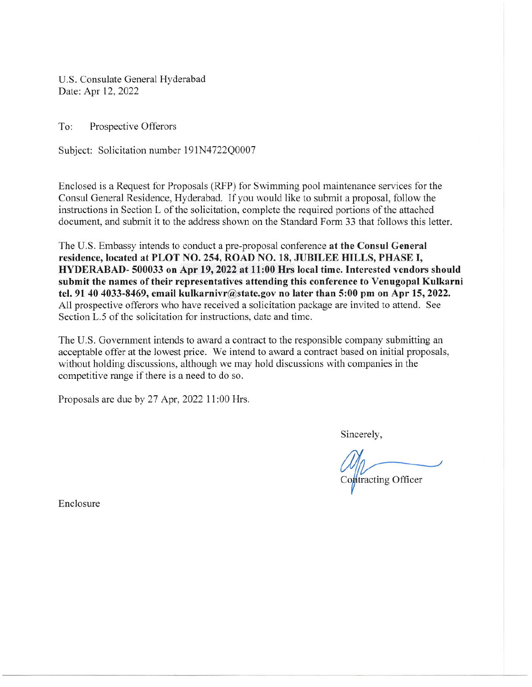U.S. Consulate General Hyderabad Date: Apr 12, 2022

Prospective Offerors To:

Subject: Solicitation number 191N4722Q0007

Enclosed is a Request for Proposals (RFP) for Swimming pool maintenance services for the Consul General Residence, Hyderabad. If you would like to submit a proposal, follow the instructions in Section L of the solicitation, complete the required portions of the attached document, and submit it to the address shown on the Standard Form 33 that follows this letter.

The U.S. Embassy intends to conduct a pre-proposal conference at the Consul General residence, located at PLOT NO. 254, ROAD NO. 18, JUBILEE HILLS, PHASE I, HYDERABAD- 500033 on Apr 19, 2022 at 11:00 Hrs local time. Interested vendors should submit the names of their representatives attending this conference to Venugopal Kulkarni tel. 91 40 4033-8469, email kulkarnivr@state.gov no later than 5:00 pm on Apr 15, 2022. All prospective offerors who have received a solicitation package are invited to attend. See Section L.5 of the solicitation for instructions, date and time.

The U.S. Government intends to award a contract to the responsible company submitting an acceptable offer at the lowest price. We intend to award a contract based on initial proposals, without holding discussions, although we may hold discussions with companies in the competitive range if there is a need to do so.

Proposals are due by 27 Apr, 2022 11:00 Hrs.

Sincerely,

Contracting Officer

Enclosure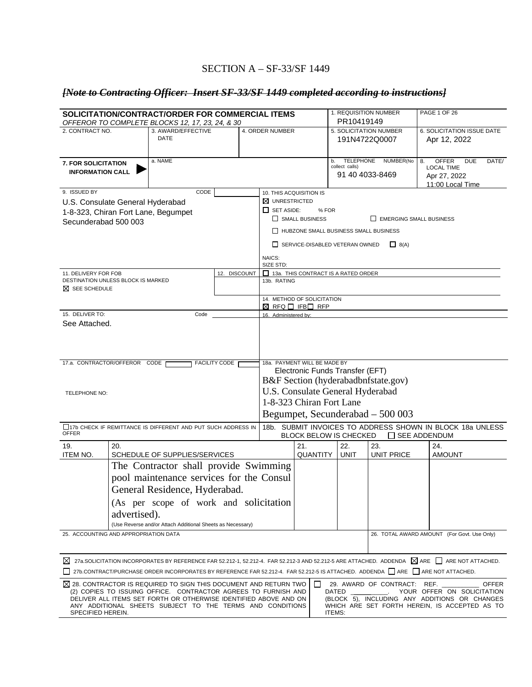# SECTION A – SF-33/SF 1449

# *[Note to Contracting Officer: Insert SF-33/SF 1449 completed according to instructions]*

|                                                                                                 |     | SOLICITATION/CONTRACT/ORDER FOR COMMERCIAL ITEMS<br>OFFEROR TO COMPLETE BLOCKS 12, 17, 23, 24, & 30                                                                                                                                                                            |                      |                                                                                                                   |                                          | 1. REQUISITION NUMBER<br>PR10419149        |                                                                                | <b>PAGE 1 OF 26</b>                                                                                                                                                     |
|-------------------------------------------------------------------------------------------------|-----|--------------------------------------------------------------------------------------------------------------------------------------------------------------------------------------------------------------------------------------------------------------------------------|----------------------|-------------------------------------------------------------------------------------------------------------------|------------------------------------------|--------------------------------------------|--------------------------------------------------------------------------------|-------------------------------------------------------------------------------------------------------------------------------------------------------------------------|
| 2. CONTRACT NO.                                                                                 |     | 3. AWARD/EFFECTIVE                                                                                                                                                                                                                                                             |                      | 4. ORDER NUMBER                                                                                                   |                                          |                                            | 5. SOLICITATION NUMBER                                                         | <b>6. SOLICITATION ISSUE DATE</b>                                                                                                                                       |
|                                                                                                 |     | <b>DATE</b>                                                                                                                                                                                                                                                                    |                      |                                                                                                                   |                                          |                                            | 191N4722Q0007                                                                  | Apr 12, 2022                                                                                                                                                            |
| a. NAME<br><b>7. FOR SOLICITATION</b><br><b>INFORMATION CALL</b>                                |     |                                                                                                                                                                                                                                                                                |                      |                                                                                                                   | <b>TELEPHONE</b><br>b.<br>collect calls) | NUMBER <sub>(No</sub><br>91 40 4033-8469   | <b>OFFER</b><br><b>DUE</b><br>8.<br>DATE/<br><b>LOCAL TIME</b><br>Apr 27, 2022 |                                                                                                                                                                         |
| 9. ISSUED BY                                                                                    |     | CODE                                                                                                                                                                                                                                                                           |                      | 10. THIS ACQUISITION IS                                                                                           |                                          |                                            |                                                                                | 11:00 Local Time                                                                                                                                                        |
| U.S. Consulate General Hyderabad<br>1-8-323, Chiran Fort Lane, Begumpet<br>Secunderabad 500 003 |     |                                                                                                                                                                                                                                                                                |                      | <b>X UNRESTRICTED</b><br>$\Box$ SET ASIDE:                                                                        | % FOR<br>SMALL BUSINESS                  | HUBZONE SMALL BUSINESS SMALL BUSINESS      | EMERGING SMALL BUSINESS                                                        |                                                                                                                                                                         |
|                                                                                                 |     |                                                                                                                                                                                                                                                                                |                      |                                                                                                                   |                                          | SERVICE-DISABLED VETERAN OWNED             | $\Box$ 8(A)                                                                    |                                                                                                                                                                         |
|                                                                                                 |     |                                                                                                                                                                                                                                                                                |                      | NAICS:<br>SIZE STD:                                                                                               |                                          |                                            |                                                                                |                                                                                                                                                                         |
| 11. DELIVERY FOR FOB                                                                            |     |                                                                                                                                                                                                                                                                                | 12. DISCOUNT         |                                                                                                                   |                                          | $\Box$ 13a. THIS CONTRACT IS A RATED ORDER |                                                                                |                                                                                                                                                                         |
| DESTINATION UNLESS BLOCK IS MARKED<br>⊠ SEE SCHEDULE                                            |     |                                                                                                                                                                                                                                                                                |                      | 13b. RATING                                                                                                       |                                          |                                            |                                                                                |                                                                                                                                                                         |
|                                                                                                 |     |                                                                                                                                                                                                                                                                                |                      |                                                                                                                   | 14. METHOD OF SOLICITATION               |                                            |                                                                                |                                                                                                                                                                         |
| 15. DELIVER TO:                                                                                 |     | Code                                                                                                                                                                                                                                                                           |                      | 16. Administered by:                                                                                              | $\boxtimes$ RFQ $\Box$ IFB $\Box$ RFP    |                                            |                                                                                |                                                                                                                                                                         |
| See Attached.                                                                                   |     |                                                                                                                                                                                                                                                                                |                      |                                                                                                                   |                                          |                                            |                                                                                |                                                                                                                                                                         |
|                                                                                                 |     |                                                                                                                                                                                                                                                                                |                      |                                                                                                                   |                                          |                                            |                                                                                |                                                                                                                                                                         |
| 17.a. CONTRACTOR/OFFEROR CODE                                                                   |     |                                                                                                                                                                                                                                                                                | <b>FACILITY CODE</b> | 18a. PAYMENT WILL BE MADE BY                                                                                      |                                          |                                            |                                                                                |                                                                                                                                                                         |
|                                                                                                 |     |                                                                                                                                                                                                                                                                                |                      | Electronic Funds Transfer (EFT)<br>B&F Section (hyderabadbnfstate.gov)                                            |                                          |                                            |                                                                                |                                                                                                                                                                         |
| TELEPHONE NO:                                                                                   |     |                                                                                                                                                                                                                                                                                |                      | U.S. Consulate General Hyderabad                                                                                  |                                          |                                            |                                                                                |                                                                                                                                                                         |
|                                                                                                 |     |                                                                                                                                                                                                                                                                                |                      | 1-8-323 Chiran Fort Lane                                                                                          |                                          |                                            |                                                                                |                                                                                                                                                                         |
|                                                                                                 |     |                                                                                                                                                                                                                                                                                |                      |                                                                                                                   |                                          |                                            | Begumpet, Secunderabad - 500 003                                               |                                                                                                                                                                         |
| <b>OFFER</b>                                                                                    |     | 17b CHECK IF REMITTANCE IS DIFFERENT AND PUT SUCH ADDRESS IN                                                                                                                                                                                                                   |                      | 18b. SUBMIT INVOICES TO ADDRESS SHOWN IN BLOCK 18a UNLESS<br><b>BLOCK BELOW IS CHECKED</b><br>$\Box$ SEE ADDENDUM |                                          |                                            |                                                                                |                                                                                                                                                                         |
| 19.                                                                                             | 20. |                                                                                                                                                                                                                                                                                |                      |                                                                                                                   | 21.                                      | 22.                                        | 23.                                                                            | 24.                                                                                                                                                                     |
| ITEM NO.                                                                                        |     | SCHEDULE OF SUPPLIES/SERVICES<br>The Contractor shall provide Swimming                                                                                                                                                                                                         |                      |                                                                                                                   | <b>QUANTITY</b>                          | UNIT                                       | <b>UNIT PRICE</b>                                                              | <b>AMOUNT</b>                                                                                                                                                           |
|                                                                                                 |     |                                                                                                                                                                                                                                                                                |                      |                                                                                                                   |                                          |                                            |                                                                                |                                                                                                                                                                         |
| pool maintenance services for the Consul<br>General Residence, Hyderabad.                       |     |                                                                                                                                                                                                                                                                                |                      |                                                                                                                   |                                          |                                            |                                                                                |                                                                                                                                                                         |
| (As per scope of work and solicitation                                                          |     |                                                                                                                                                                                                                                                                                |                      |                                                                                                                   |                                          |                                            |                                                                                |                                                                                                                                                                         |
| advertised).                                                                                    |     |                                                                                                                                                                                                                                                                                |                      |                                                                                                                   |                                          |                                            |                                                                                |                                                                                                                                                                         |
|                                                                                                 |     | (Use Reverse and/or Attach Additional Sheets as Necessary)                                                                                                                                                                                                                     |                      |                                                                                                                   |                                          |                                            |                                                                                |                                                                                                                                                                         |
| 25. ACCOUNTING AND APPROPRIATION DATA                                                           |     |                                                                                                                                                                                                                                                                                |                      |                                                                                                                   |                                          |                                            | 26. TOTAL AWARD AMOUNT (For Govt. Use Only)                                    |                                                                                                                                                                         |
|                                                                                                 |     |                                                                                                                                                                                                                                                                                |                      |                                                                                                                   |                                          |                                            |                                                                                | $\boxtimes$ 27a.SOLICITATION INCORPORATES BY REFERENCE FAR 52.212-1, 52.212-4. FAR 52.212-3 AND 52.212-5 ARE ATTACHED. ADDENDA $\boxtimes$ ARE $\Box$ ARE NOT ATTACHED. |
|                                                                                                 |     | 27b.CONTRACT/PURCHASE ORDER INCORPORATES BY REFERENCE FAR 52.212-4. FAR 52.212-5 IS ATTACHED. ADDENDA □ ARE □ ARE NOT ATTACHED.                                                                                                                                                |                      |                                                                                                                   |                                          |                                            |                                                                                |                                                                                                                                                                         |
| SPECIFIED HEREIN.                                                                               |     | $\boxtimes$ 28. CONTRACTOR IS REQUIRED TO SIGN THIS DOCUMENT AND RETURN TWO<br>(2) COPIES TO ISSUING OFFICE. CONTRACTOR AGREES TO FURNISH AND<br>DELIVER ALL ITEMS SET FORTH OR OTHERWISE IDENTIFIED ABOVE AND ON<br>ANY ADDITIONAL SHEETS SUBJECT TO THE TERMS AND CONDITIONS |                      |                                                                                                                   |                                          | DATED<br><b>ITEMS:</b>                     | 29. AWARD OF CONTRACT: REF.                                                    | <b>OFFER</b><br>YOUR OFFER ON SOLICITATION<br>(BLOCK 5), INCLUDING ANY ADDITIONS OR CHANGES<br>WHICH ARE SET FORTH HEREIN, IS ACCEPTED AS TO                            |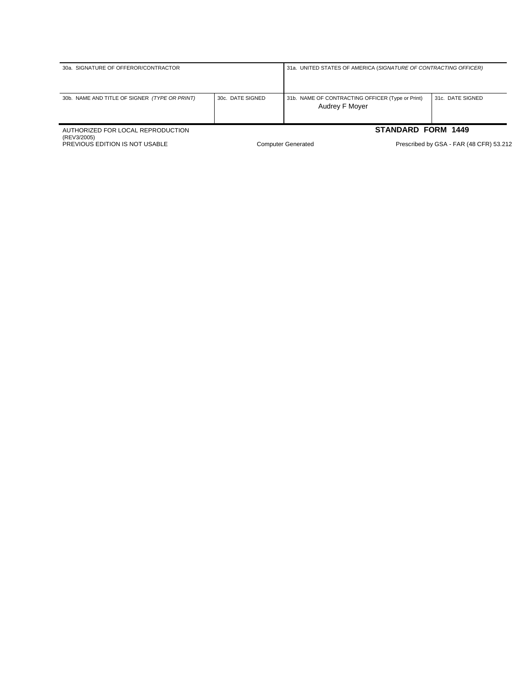| 30a. SIGNATURE OF OFFEROR/CONTRACTOR                                               |                  | 31a. UNITED STATES OF AMERICA (SIGNATURE OF CONTRACTING OFFICER)   |                                         |
|------------------------------------------------------------------------------------|------------------|--------------------------------------------------------------------|-----------------------------------------|
| 30b. NAME AND TITLE OF SIGNER (TYPE OR PRINT)                                      | 30c. DATE SIGNED | 31b. NAME OF CONTRACTING OFFICER (Type or Print)<br>Audrey F Moyer | 31c. DATE SIGNED                        |
| AUTHORIZED FOR LOCAL REPRODUCTION<br>(REV3/2005)<br>PREVIOUS EDITION IS NOT USABLE |                  | <b>STANDARD FORM 1449</b><br><b>Computer Generated</b>             | Prescribed by GSA - FAR (48 CFR) 53.212 |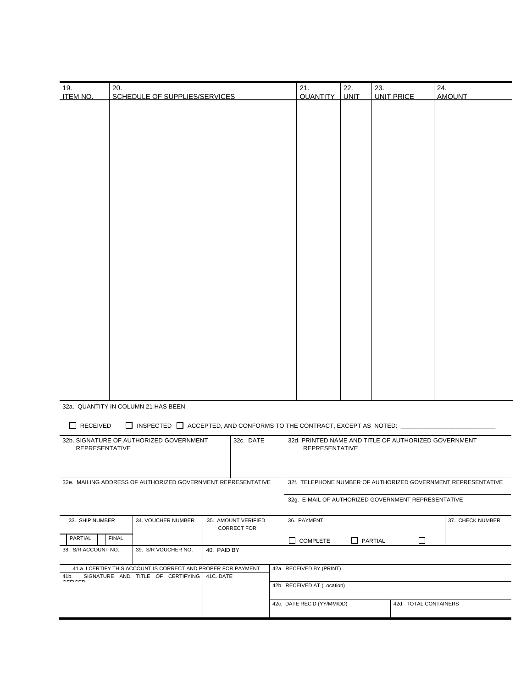| 19.<br><b>ITEM NO.</b> | 20.<br>SCHEDULE OF SUPPLIES/SERVICES | 21.<br><b>QUANTITY</b> | 22.<br><b>UNIT</b> | 23.<br><b>UNIT PRICE</b> | 24.<br><b>AMOUNT</b> |
|------------------------|--------------------------------------|------------------------|--------------------|--------------------------|----------------------|
|                        |                                      |                        |                    |                          |                      |
|                        |                                      |                        |                    |                          |                      |
|                        |                                      |                        |                    |                          |                      |
|                        |                                      |                        |                    |                          |                      |
|                        |                                      |                        |                    |                          |                      |
|                        |                                      |                        |                    |                          |                      |
|                        |                                      |                        |                    |                          |                      |
|                        |                                      |                        |                    |                          |                      |
|                        |                                      |                        |                    |                          |                      |
|                        |                                      |                        |                    |                          |                      |
|                        |                                      |                        |                    |                          |                      |
|                        |                                      |                        |                    |                          |                      |
|                        |                                      |                        |                    |                          |                      |
|                        |                                      |                        |                    |                          |                      |
|                        |                                      |                        |                    |                          |                      |
|                        |                                      |                        |                    |                          |                      |
|                        |                                      |                        |                    |                          |                      |
|                        |                                      |                        |                    |                          |                      |
|                        |                                      |                        |                    |                          |                      |

32a. QUANTITY IN COLUMN 21 HAS BEEN

 $\Box$  RECEIVED  $\Box$  INSPECTED  $\Box$  ACCEPTED, AND CONFORMS TO THE CONTRACT, EXCEPT AS NOTED:  $\Box$ 

| 32b, SIGNATURE OF AUTHORIZED GOVERNMENT<br><b>REPRESENTATIVE</b>           | 32c. DATE                                                      |                                           | 32d. PRINTED NAME AND TITLE OF AUTHORIZED GOVERNMENT<br><b>REPRESENTATIVE</b> |                             |                                                               |         |                       |                  |
|----------------------------------------------------------------------------|----------------------------------------------------------------|-------------------------------------------|-------------------------------------------------------------------------------|-----------------------------|---------------------------------------------------------------|---------|-----------------------|------------------|
|                                                                            | 32e. MAILING ADDRESS OF AUTHORIZED GOVERNMENT REPRESENTATIVE   |                                           |                                                                               |                             | 32f. TELEPHONE NUMBER OF AUTHORIZED GOVERNMENT REPRESENTATIVE |         |                       |                  |
|                                                                            |                                                                |                                           |                                                                               |                             | 32g. E-MAIL OF AUTHORIZED GOVERNMENT REPRESENTATIVE           |         |                       |                  |
| 33. SHIP NUMBER                                                            | 34. VOUCHER NUMBER                                             | 35. AMOUNT VERIFIED<br><b>CORRECT FOR</b> |                                                                               |                             | 36. PAYMENT                                                   |         |                       | 37. CHECK NUMBER |
| <b>PARTIAL</b><br><b>FINAL</b>                                             |                                                                |                                           |                                                                               |                             | <b>COMPLETE</b><br>$\perp$                                    | PARTIAL | l I                   |                  |
| 38. S/R ACCOUNT NO.                                                        | 39. S/R VOUCHER NO.                                            | 40. PAID BY                               |                                                                               |                             |                                                               |         |                       |                  |
|                                                                            | 41.a. I CERTIFY THIS ACCOUNT IS CORRECT AND PROPER FOR PAYMENT |                                           |                                                                               |                             | 42a. RECEIVED BY (PRINT)                                      |         |                       |                  |
| SIGNATURE AND TITLE OF CERTIFYING 41C. DATE<br>41 <sub>b</sub> .<br>------ |                                                                |                                           |                                                                               |                             |                                                               |         |                       |                  |
|                                                                            |                                                                |                                           |                                                                               | 42b. RECEIVED AT (Location) |                                                               |         |                       |                  |
|                                                                            |                                                                |                                           |                                                                               |                             | 42c. DATE REC'D (YY/MM/DD)                                    |         | 42d. TOTAL CONTAINERS |                  |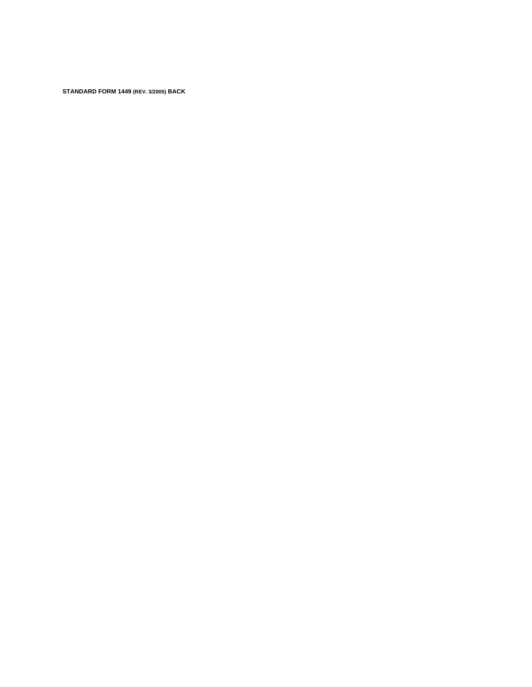**STANDARD FORM 1449 (REV. 3/2005) BACK**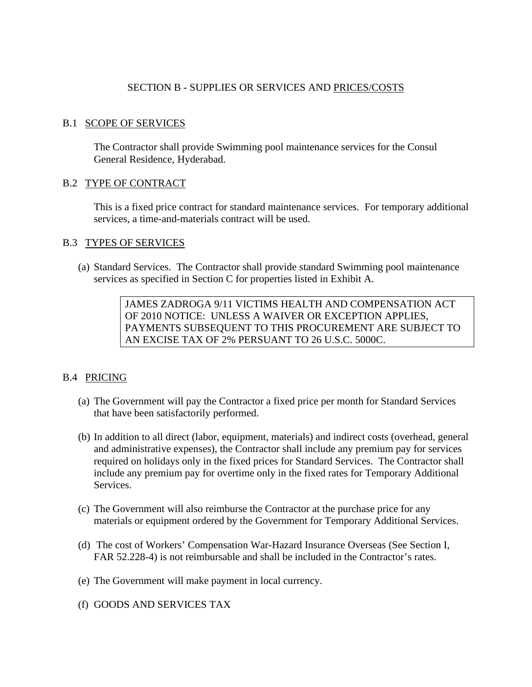#### SECTION B - SUPPLIES OR SERVICES AND PRICES/COSTS

#### B.1 SCOPE OF SERVICES

The Contractor shall provide Swimming pool maintenance services for the Consul General Residence, Hyderabad.

#### B.2 TYPE OF CONTRACT

This is a fixed price contract for standard maintenance services. For temporary additional services, a time-and-materials contract will be used.

#### B.3 TYPES OF SERVICES

(a) Standard Services. The Contractor shall provide standard Swimming pool maintenance services as specified in Section C for properties listed in Exhibit A.

> JAMES ZADROGA 9/11 VICTIMS HEALTH AND COMPENSATION ACT OF 2010 NOTICE: UNLESS A WAIVER OR EXCEPTION APPLIES, PAYMENTS SUBSEQUENT TO THIS PROCUREMENT ARE SUBJECT TO AN EXCISE TAX OF 2% PERSUANT TO 26 U.S.C. 5000C.

# B.4 PRICING

- (a) The Government will pay the Contractor a fixed price per month for Standard Services that have been satisfactorily performed.
- (b) In addition to all direct (labor, equipment, materials) and indirect costs (overhead, general and administrative expenses), the Contractor shall include any premium pay for services required on holidays only in the fixed prices for Standard Services. The Contractor shall include any premium pay for overtime only in the fixed rates for Temporary Additional Services.
- (c) The Government will also reimburse the Contractor at the purchase price for any materials or equipment ordered by the Government for Temporary Additional Services.
- (d) The cost of Workers' Compensation War-Hazard Insurance Overseas (See Section I, FAR 52.228-4) is not reimbursable and shall be included in the Contractor's rates.
- (e) The Government will make payment in local currency.
- (f) GOODS AND SERVICES TAX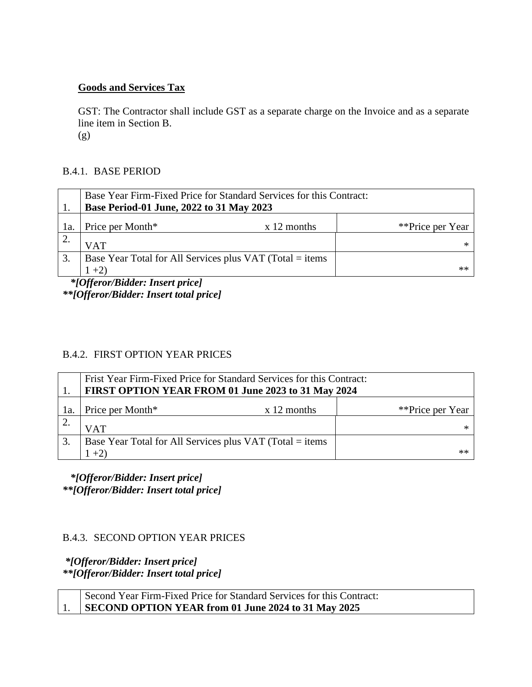# **Goods and Services Tax**

GST: The Contractor shall include GST as a separate charge on the Invoice and as a separate line item in Section B. (g)

# B.4.1. BASE PERIOD

|     | Base Year Firm-Fixed Price for Standard Services for this Contract:<br>Base Period-01 June, 2022 to 31 May 2023 |               |                  |  |  |
|-----|-----------------------------------------------------------------------------------------------------------------|---------------|------------------|--|--|
| -1. |                                                                                                                 |               |                  |  |  |
| lа. | Price per Month*                                                                                                | $x 12$ months | **Price per Year |  |  |
|     | <b>VAT</b>                                                                                                      |               | ∗                |  |  |
| 3.  | Base Year Total for All Services plus VAT (Total = items                                                        |               |                  |  |  |
|     | $1+2$                                                                                                           |               | $**$             |  |  |

 *\*[Offeror/Bidder: Insert price] \*\*[Offeror/Bidder: Insert total price]*

# B.4.2. FIRST OPTION YEAR PRICES

|     | Frist Year Firm-Fixed Price for Standard Services for this Contract:<br>FIRST OPTION YEAR FROM 01 June 2023 to 31 May 2024 |               |                  |  |  |  |
|-----|----------------------------------------------------------------------------------------------------------------------------|---------------|------------------|--|--|--|
| 1a. | Price per Month*                                                                                                           | $x$ 12 months | **Price per Year |  |  |  |
|     | VAT                                                                                                                        |               | *                |  |  |  |
| 3.  | Base Year Total for All Services plus VAT (Total = items                                                                   |               |                  |  |  |  |
|     | $+2.$                                                                                                                      |               | **               |  |  |  |

 *\*[Offeror/Bidder: Insert price] \*\*[Offeror/Bidder: Insert total price]*

# B.4.3. SECOND OPTION YEAR PRICES

# *\*[Offeror/Bidder: Insert price] \*\*[Offeror/Bidder: Insert total price]*

| Second Year Firm-Fixed Price for Standard Services for this Contract: |
|-----------------------------------------------------------------------|
| SECOND OPTION YEAR from 01 June 2024 to 31 May 2025                   |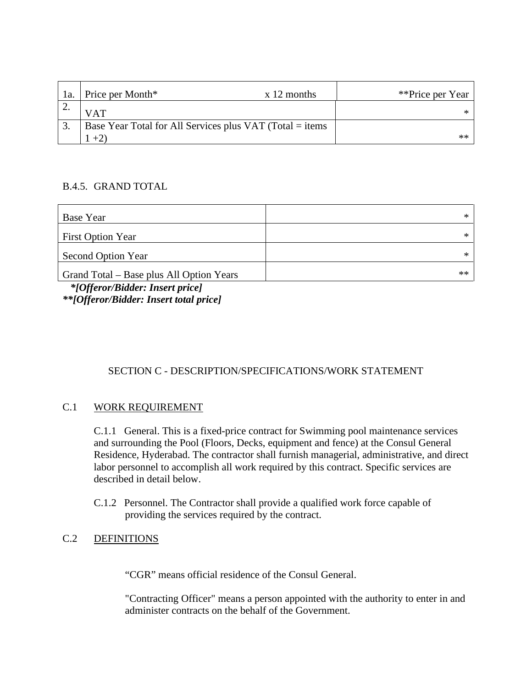| la. | Price per Month*                                         | x 12 months | **Price per Year |
|-----|----------------------------------------------------------|-------------|------------------|
|     | VAT                                                      |             |                  |
|     | Base Year Total for All Services plus VAT (Total = items |             |                  |
|     | $+2$                                                     |             | **               |

# B.4.5. GRAND TOTAL

| Base Year                                | *. |
|------------------------------------------|----|
| <b>First Option Year</b>                 | *  |
| <b>Second Option Year</b>                | *  |
| Grand Total – Base plus All Option Years | ** |

 *\*[Offeror/Bidder: Insert price] \*\*[Offeror/Bidder: Insert total price]*

# SECTION C - DESCRIPTION/SPECIFICATIONS/WORK STATEMENT

# C.1 WORK REQUIREMENT

C.1.1 General. This is a fixed-price contract for Swimming pool maintenance services and surrounding the Pool (Floors, Decks, equipment and fence) at the Consul General Residence, Hyderabad. The contractor shall furnish managerial, administrative, and direct labor personnel to accomplish all work required by this contract. Specific services are described in detail below.

C.1.2 Personnel. The Contractor shall provide a qualified work force capable of providing the services required by the contract.

# C.2 DEFINITIONS

"CGR" means official residence of the Consul General.

"Contracting Officer" means a person appointed with the authority to enter in and administer contracts on the behalf of the Government.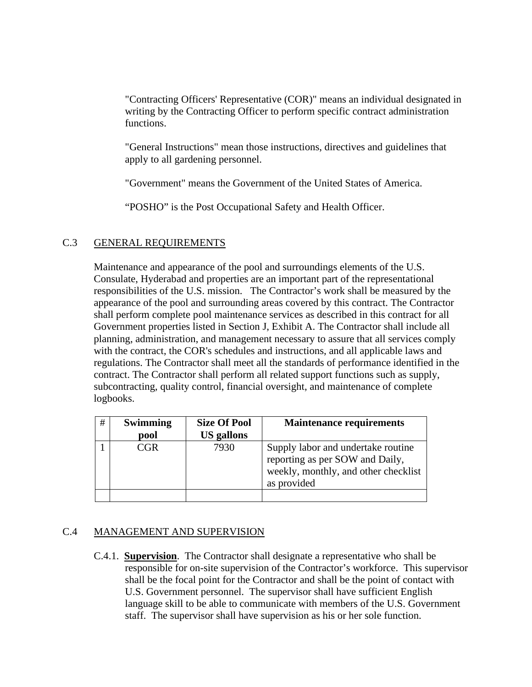"Contracting Officers' Representative (COR)" means an individual designated in writing by the Contracting Officer to perform specific contract administration functions.

"General Instructions" mean those instructions, directives and guidelines that apply to all gardening personnel.

"Government" means the Government of the United States of America.

"POSHO" is the Post Occupational Safety and Health Officer.

# C.3 GENERAL REQUIREMENTS

Maintenance and appearance of the pool and surroundings elements of the U.S. Consulate, Hyderabad and properties are an important part of the representational responsibilities of the U.S. mission. The Contractor's work shall be measured by the appearance of the pool and surrounding areas covered by this contract. The Contractor shall perform complete pool maintenance services as described in this contract for all Government properties listed in Section J, Exhibit A. The Contractor shall include all planning, administration, and management necessary to assure that all services comply with the contract, the COR's schedules and instructions, and all applicable laws and regulations. The Contractor shall meet all the standards of performance identified in the contract. The Contractor shall perform all related support functions such as supply, subcontracting, quality control, financial oversight, and maintenance of complete logbooks.

| # | <b>Swimming</b><br>pool | <b>Size Of Pool</b><br><b>US</b> gallons | <b>Maintenance requirements</b>                                                                                              |
|---|-------------------------|------------------------------------------|------------------------------------------------------------------------------------------------------------------------------|
|   | CGR                     | 7930                                     | Supply labor and undertake routine<br>reporting as per SOW and Daily,<br>weekly, monthly, and other checklist<br>as provided |
|   |                         |                                          |                                                                                                                              |

# C.4 MANAGEMENT AND SUPERVISION

C.4.1. **Supervision**. The Contractor shall designate a representative who shall be responsible for on-site supervision of the Contractor's workforce. This supervisor shall be the focal point for the Contractor and shall be the point of contact with U.S. Government personnel. The supervisor shall have sufficient English language skill to be able to communicate with members of the U.S. Government staff. The supervisor shall have supervision as his or her sole function.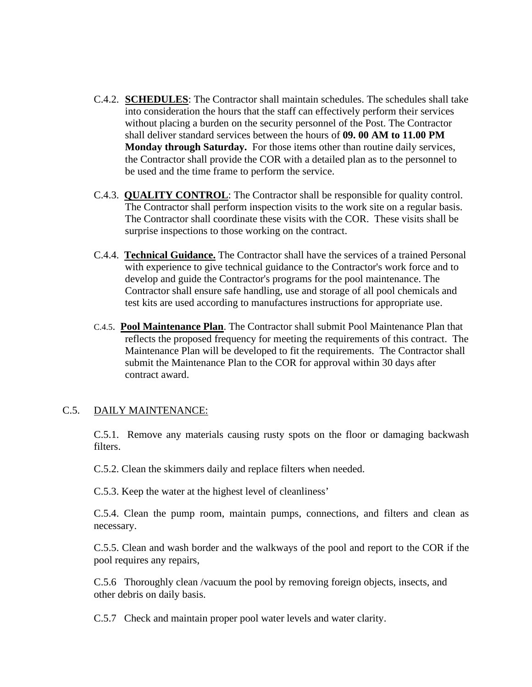- C.4.2. **SCHEDULES**: The Contractor shall maintain schedules. The schedules shall take into consideration the hours that the staff can effectively perform their services without placing a burden on the security personnel of the Post. The Contractor shall deliver standard services between the hours of **09. 00 AM to 11.00 PM Monday through Saturday.** For those items other than routine daily services, the Contractor shall provide the COR with a detailed plan as to the personnel to be used and the time frame to perform the service.
- C.4.3. **QUALITY CONTROL**: The Contractor shall be responsible for quality control. The Contractor shall perform inspection visits to the work site on a regular basis. The Contractor shall coordinate these visits with the COR. These visits shall be surprise inspections to those working on the contract.
- C.4.4. **Technical Guidance.** The Contractor shall have the services of a trained Personal with experience to give technical guidance to the Contractor's work force and to develop and guide the Contractor's programs for the pool maintenance. The Contractor shall ensure safe handling, use and storage of all pool chemicals and test kits are used according to manufactures instructions for appropriate use.
- C.4.5. **Pool Maintenance Plan**. The Contractor shall submit Pool Maintenance Plan that reflects the proposed frequency for meeting the requirements of this contract. The Maintenance Plan will be developed to fit the requirements. The Contractor shall submit the Maintenance Plan to the COR for approval within 30 days after contract award.

#### C.5. DAILY MAINTENANCE:

C.5.1. Remove any materials causing rusty spots on the floor or damaging backwash filters.

C.5.2. Clean the skimmers daily and replace filters when needed.

C.5.3. Keep the water at the highest level of cleanliness'

C.5.4. Clean the pump room, maintain pumps, connections, and filters and clean as necessary.

C.5.5. Clean and wash border and the walkways of the pool and report to the COR if the pool requires any repairs,

C.5.6 Thoroughly clean /vacuum the pool by removing foreign objects, insects, and other debris on daily basis.

C.5.7 Check and maintain proper pool water levels and water clarity.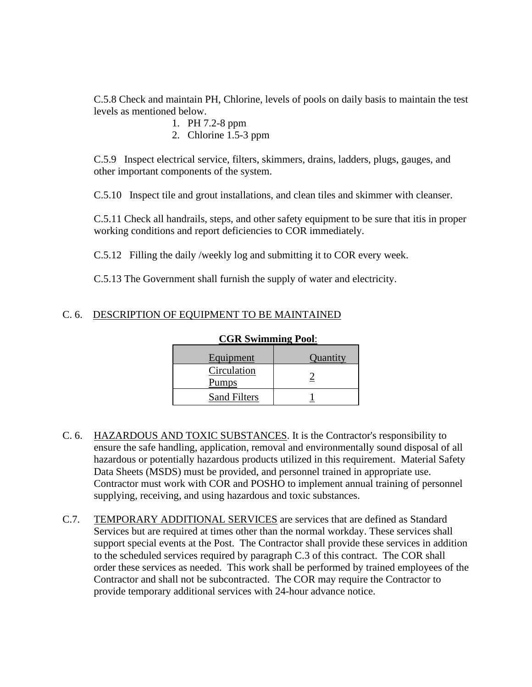C.5.8 Check and maintain PH, Chlorine, levels of pools on daily basis to maintain the test levels as mentioned below.

- 1. PH 7.2-8 ppm
- 2. Chlorine 1.5-3 ppm

C.5.9 Inspect electrical service, filters, skimmers, drains, ladders, plugs, gauges, and other important components of the system.

C.5.10 Inspect tile and grout installations, and clean tiles and skimmer with cleanser.

C.5.11 Check all handrails, steps, and other safety equipment to be sure that itis in proper working conditions and report deficiencies to COR immediately.

C.5.12 Filling the daily /weekly log and submitting it to COR every week.

C.5.13 The Government shall furnish the supply of water and electricity.

#### C. 6. DESCRIPTION OF EQUIPMENT TO BE MAINTAINED

| Equipment            | Quantity |
|----------------------|----------|
| Circulation<br>Pumps |          |
| <b>Sand Filters</b>  |          |

**CGR Swimming Pool**:

- C. 6. HAZARDOUS AND TOXIC SUBSTANCES. It is the Contractor's responsibility to ensure the safe handling, application, removal and environmentally sound disposal of all hazardous or potentially hazardous products utilized in this requirement. Material Safety Data Sheets (MSDS) must be provided, and personnel trained in appropriate use. Contractor must work with COR and POSHO to implement annual training of personnel supplying, receiving, and using hazardous and toxic substances.
- C.7. TEMPORARY ADDITIONAL SERVICES are services that are defined as Standard Services but are required at times other than the normal workday. These services shall support special events at the Post. The Contractor shall provide these services in addition to the scheduled services required by paragraph C.3 of this contract. The COR shall order these services as needed. This work shall be performed by trained employees of the Contractor and shall not be subcontracted. The COR may require the Contractor to provide temporary additional services with 24-hour advance notice.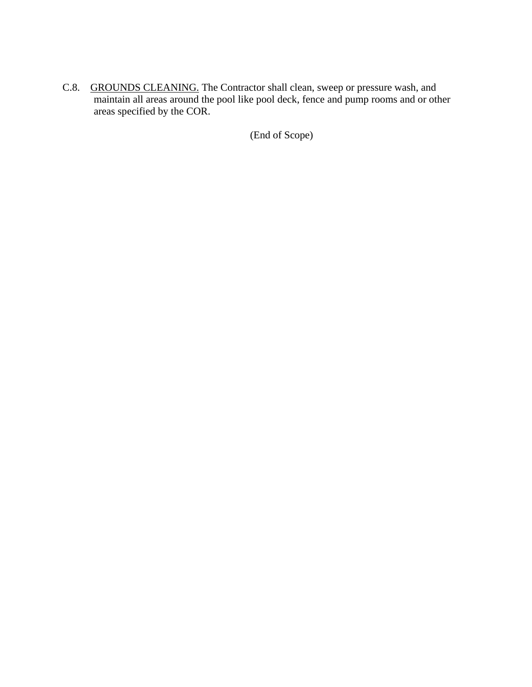C.8. GROUNDS CLEANING. The Contractor shall clean, sweep or pressure wash, and maintain all areas around the pool like pool deck, fence and pump rooms and or other areas specified by the COR.

(End of Scope)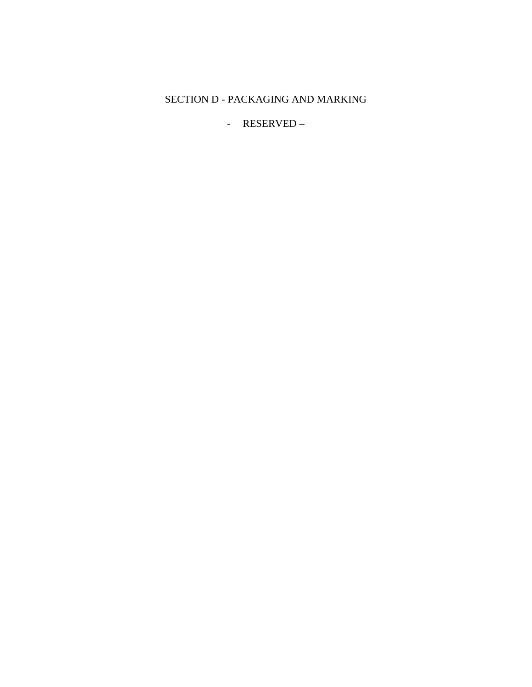#### SECTION D - PACKAGING AND MARKING

- RESERVED –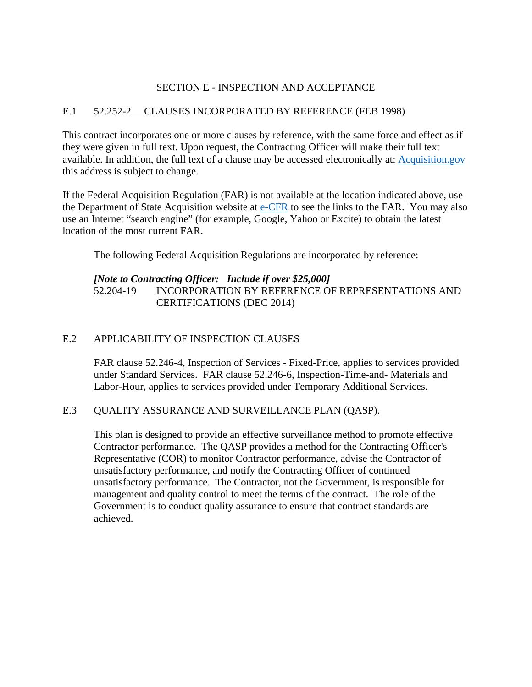#### SECTION E - INSPECTION AND ACCEPTANCE

#### E.1 52.252-2 CLAUSES INCORPORATED BY REFERENCE (FEB 1998)

This contract incorporates one or more clauses by reference, with the same force and effect as if they were given in full text. Upon request, the Contracting Officer will make their full text available. In addition, the full text of a clause may be accessed electronically at: [Acquisition.gov](https://acquisition.gov/browse/index/far)  this address is subject to change.

If the Federal Acquisition Regulation (FAR) is not available at the location indicated above, use the Department of State Acquisition website at [e-CFR](https://gov.ecfr.io/cgi-bin/text-idx?SID=d9a7851186785ba2b1896db79b1b6b29&mc=true&tpl=/ecfrbrowse/Title48/48tab_02.tpl) to see the links to the FAR. You may also use an Internet "search engine" (for example, Google, Yahoo or Excite) to obtain the latest location of the most current FAR.

The following Federal Acquisition Regulations are incorporated by reference:

#### *[Note to Contracting Officer: Include if over \$25,000]*

52.204-19 INCORPORATION BY REFERENCE OF REPRESENTATIONS AND CERTIFICATIONS (DEC 2014)

# E.2 APPLICABILITY OF INSPECTION CLAUSES

FAR clause 52.246-4, Inspection of Services - Fixed-Price, applies to services provided under Standard Services. FAR clause 52.246-6, Inspection-Time-and- Materials and Labor-Hour, applies to services provided under Temporary Additional Services.

#### E.3 QUALITY ASSURANCE AND SURVEILLANCE PLAN (QASP).

This plan is designed to provide an effective surveillance method to promote effective Contractor performance. The QASP provides a method for the Contracting Officer's Representative (COR) to monitor Contractor performance, advise the Contractor of unsatisfactory performance, and notify the Contracting Officer of continued unsatisfactory performance. The Contractor, not the Government, is responsible for management and quality control to meet the terms of the contract. The role of the Government is to conduct quality assurance to ensure that contract standards are achieved.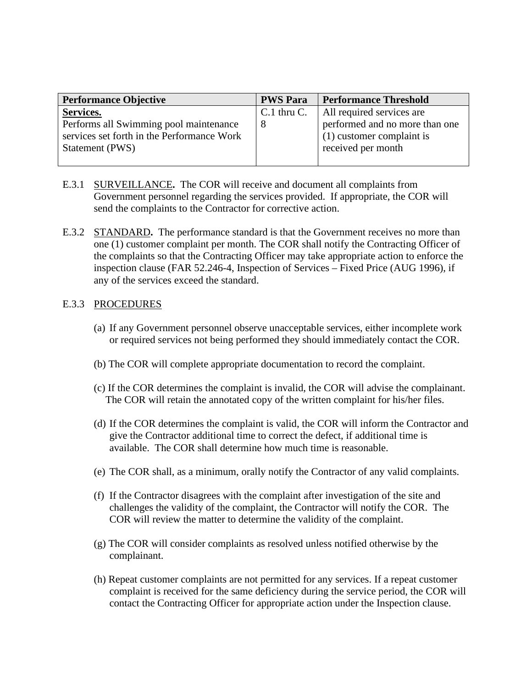| <b>Performance Objective</b>               | <b>PWS Para</b> | <b>Performance Threshold</b>   |
|--------------------------------------------|-----------------|--------------------------------|
| Services.                                  | C.1 thru C.     | All required services are      |
| Performs all Swimming pool maintenance     |                 | performed and no more than one |
| services set forth in the Performance Work |                 | (1) customer complaint is      |
| Statement (PWS)                            |                 | received per month             |
|                                            |                 |                                |

- E.3.1 SURVEILLANCE**.** The COR will receive and document all complaints from Government personnel regarding the services provided. If appropriate, the COR will send the complaints to the Contractor for corrective action.
- E.3.2 STANDARD**.** The performance standard is that the Government receives no more than one (1) customer complaint per month. The COR shall notify the Contracting Officer of the complaints so that the Contracting Officer may take appropriate action to enforce the inspection clause (FAR 52.246-4, Inspection of Services – Fixed Price (AUG 1996), if any of the services exceed the standard.

#### E.3.3 PROCEDURES

- (a) If any Government personnel observe unacceptable services, either incomplete work or required services not being performed they should immediately contact the COR.
- (b) The COR will complete appropriate documentation to record the complaint.
- (c) If the COR determines the complaint is invalid, the COR will advise the complainant. The COR will retain the annotated copy of the written complaint for his/her files.
- (d) If the COR determines the complaint is valid, the COR will inform the Contractor and give the Contractor additional time to correct the defect, if additional time is available. The COR shall determine how much time is reasonable.
- (e) The COR shall, as a minimum, orally notify the Contractor of any valid complaints.
- (f) If the Contractor disagrees with the complaint after investigation of the site and challenges the validity of the complaint, the Contractor will notify the COR. The COR will review the matter to determine the validity of the complaint.
- (g) The COR will consider complaints as resolved unless notified otherwise by the complainant.
- (h) Repeat customer complaints are not permitted for any services. If a repeat customer complaint is received for the same deficiency during the service period, the COR will contact the Contracting Officer for appropriate action under the Inspection clause.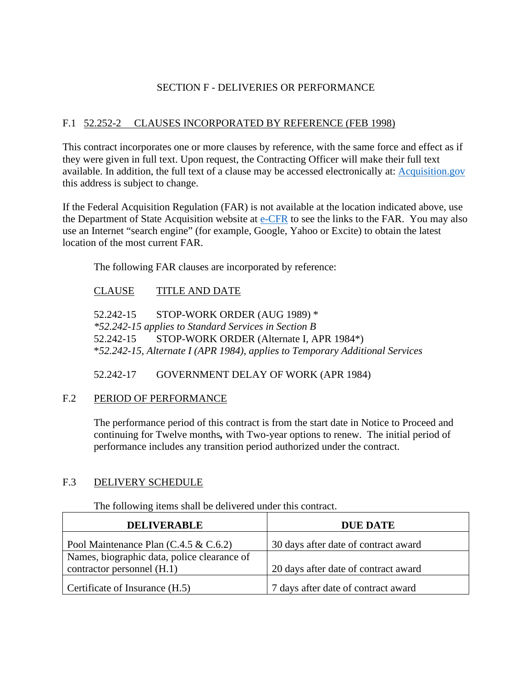# SECTION F - DELIVERIES OR PERFORMANCE

# F.1 52.252-2 CLAUSES INCORPORATED BY REFERENCE (FEB 1998)

This contract incorporates one or more clauses by reference, with the same force and effect as if they were given in full text. Upon request, the Contracting Officer will make their full text available. In addition, the full text of a clause may be accessed electronically at: [Acquisition.gov](https://acquisition.gov/browse/index/far)  this address is subject to change.

If the Federal Acquisition Regulation (FAR) is not available at the location indicated above, use the Department of State Acquisition website at [e-CFR](https://gov.ecfr.io/cgi-bin/text-idx?SID=d9a7851186785ba2b1896db79b1b6b29&mc=true&tpl=/ecfrbrowse/Title48/48tab_02.tpl) to see the links to the FAR. You may also use an Internet "search engine" (for example, Google, Yahoo or Excite) to obtain the latest location of the most current FAR.

The following FAR clauses are incorporated by reference:

# CLAUSE TITLE AND DATE

52.242-15 STOP-WORK ORDER (AUG 1989) \* *\*52.242-15 applies to Standard Services in Section B* 52.242-15 STOP-WORK ORDER (Alternate I, APR 1984\*) \**52.242-15, Alternate I (APR 1984), applies to Temporary Additional Services*

52.242-17 GOVERNMENT DELAY OF WORK (APR 1984)

# F.2 PERIOD OF PERFORMANCE

The performance period of this contract is from the start date in Notice to Proceed and continuing for Twelve months*,* with Two-year options to renew. The initial period of performance includes any transition period authorized under the contract.

# F.3 DELIVERY SCHEDULE

| <b>DELIVERABLE</b>                          | <b>DUE DATE</b>                      |
|---------------------------------------------|--------------------------------------|
| Pool Maintenance Plan $(C.4.5 \& C.6.2)$    | 30 days after date of contract award |
| Names, biographic data, police clearance of |                                      |
| contractor personnel (H.1)                  | 20 days after date of contract award |
| Certificate of Insurance (H.5)              | 7 days after date of contract award  |

The following items shall be delivered under this contract.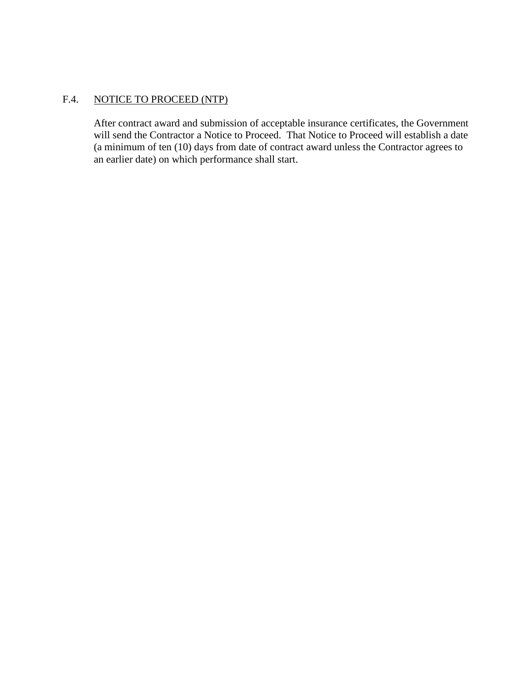# F.4. NOTICE TO PROCEED (NTP)

After contract award and submission of acceptable insurance certificates, the Government will send the Contractor a Notice to Proceed. That Notice to Proceed will establish a date (a minimum of ten (10) days from date of contract award unless the Contractor agrees to an earlier date) on which performance shall start.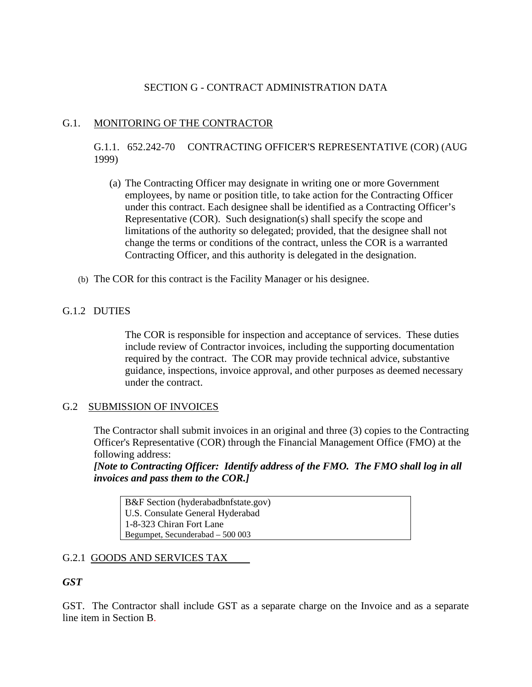# SECTION G - CONTRACT ADMINISTRATION DATA

#### G.1. MONITORING OF THE CONTRACTOR

G.1.1. 652.242-70 CONTRACTING OFFICER'S REPRESENTATIVE (COR) (AUG 1999)

- (a) The Contracting Officer may designate in writing one or more Government employees, by name or position title, to take action for the Contracting Officer under this contract. Each designee shall be identified as a Contracting Officer's Representative (COR). Such designation(s) shall specify the scope and limitations of the authority so delegated; provided, that the designee shall not change the terms or conditions of the contract, unless the COR is a warranted Contracting Officer, and this authority is delegated in the designation.
- (b) The COR for this contract is the Facility Manager or his designee.

#### G.1.2 DUTIES

The COR is responsible for inspection and acceptance of services. These duties include review of Contractor invoices, including the supporting documentation required by the contract. The COR may provide technical advice, substantive guidance, inspections, invoice approval, and other purposes as deemed necessary under the contract.

#### G.2 SUBMISSION OF INVOICES

The Contractor shall submit invoices in an original and three (3) copies to the Contracting Officer's Representative (COR) through the Financial Management Office (FMO) at the following address:

*[Note to Contracting Officer: Identify address of the FMO. The FMO shall log in all invoices and pass them to the COR.]*

B&F Section (hyderabadbnfstate.gov) U.S. Consulate General Hyderabad 1-8-323 Chiran Fort Lane Begumpet, Secunderabad – 500 003

#### G.2.1 GOODS AND SERVICES TAX

#### *GST*

GST. The Contractor shall include GST as a separate charge on the Invoice and as a separate line item in Section B.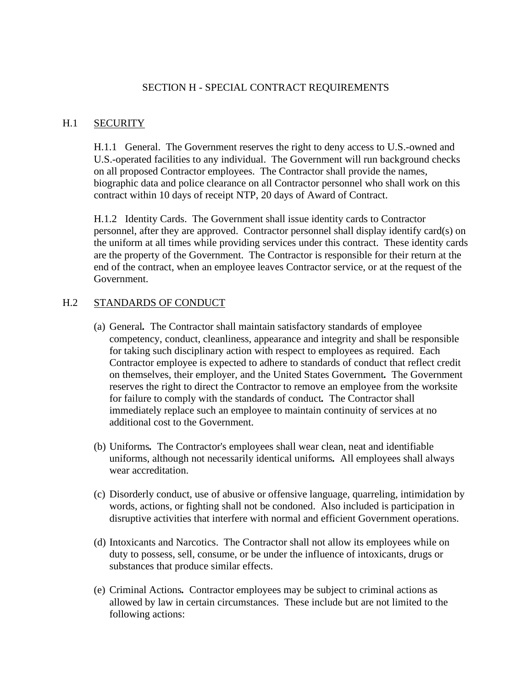## SECTION H - SPECIAL CONTRACT REQUIREMENTS

### H.1 SECURITY

H.1.1 General. The Government reserves the right to deny access to U.S.-owned and U.S.-operated facilities to any individual. The Government will run background checks on all proposed Contractor employees. The Contractor shall provide the names, biographic data and police clearance on all Contractor personnel who shall work on this contract within 10 days of receipt NTP, 20 days of Award of Contract.

H.1.2 Identity Cards. The Government shall issue identity cards to Contractor personnel, after they are approved. Contractor personnel shall display identify card(s) on the uniform at all times while providing services under this contract. These identity cards are the property of the Government. The Contractor is responsible for their return at the end of the contract, when an employee leaves Contractor service, or at the request of the Government.

#### H.2 STANDARDS OF CONDUCT

- (a) General*.* The Contractor shall maintain satisfactory standards of employee competency, conduct, cleanliness, appearance and integrity and shall be responsible for taking such disciplinary action with respect to employees as required. Each Contractor employee is expected to adhere to standards of conduct that reflect credit on themselves, their employer, and the United States Government*.* The Government reserves the right to direct the Contractor to remove an employee from the worksite for failure to comply with the standards of conduct*.* The Contractor shall immediately replace such an employee to maintain continuity of services at no additional cost to the Government.
- (b) Uniforms*.* The Contractor's employees shall wear clean, neat and identifiable uniforms, although not necessarily identical uniforms*.* All employees shall always wear accreditation.
- (c) Disorderly conduct, use of abusive or offensive language, quarreling, intimidation by words, actions, or fighting shall not be condoned. Also included is participation in disruptive activities that interfere with normal and efficient Government operations.
- (d) Intoxicants and Narcotics. The Contractor shall not allow its employees while on duty to possess, sell, consume, or be under the influence of intoxicants, drugs or substances that produce similar effects.
- (e) Criminal Actions*.* Contractor employees may be subject to criminal actions as allowed by law in certain circumstances. These include but are not limited to the following actions: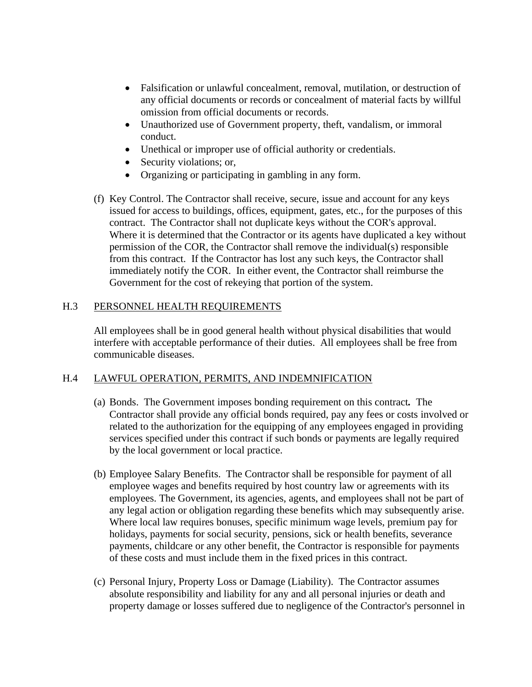- Falsification or unlawful concealment, removal, mutilation, or destruction of any official documents or records or concealment of material facts by willful omission from official documents or records.
- Unauthorized use of Government property, theft, vandalism, or immoral conduct.
- Unethical or improper use of official authority or credentials.
- Security violations; or,
- Organizing or participating in gambling in any form.
- (f) Key Control. The Contractor shall receive, secure, issue and account for any keys issued for access to buildings, offices, equipment, gates, etc., for the purposes of this contract. The Contractor shall not duplicate keys without the COR's approval. Where it is determined that the Contractor or its agents have duplicated a key without permission of the COR, the Contractor shall remove the individual(s) responsible from this contract. If the Contractor has lost any such keys, the Contractor shall immediately notify the COR. In either event, the Contractor shall reimburse the Government for the cost of rekeying that portion of the system.

# H.3 PERSONNEL HEALTH REQUIREMENTS

All employees shall be in good general health without physical disabilities that would interfere with acceptable performance of their duties. All employees shall be free from communicable diseases.

# H.4 LAWFUL OPERATION, PERMITS, AND INDEMNIFICATION

- (a) Bonds. The Government imposes bonding requirement on this contract*.* The Contractor shall provide any official bonds required, pay any fees or costs involved or related to the authorization for the equipping of any employees engaged in providing services specified under this contract if such bonds or payments are legally required by the local government or local practice.
- (b) Employee Salary Benefits. The Contractor shall be responsible for payment of all employee wages and benefits required by host country law or agreements with its employees. The Government, its agencies, agents, and employees shall not be part of any legal action or obligation regarding these benefits which may subsequently arise. Where local law requires bonuses, specific minimum wage levels, premium pay for holidays, payments for social security, pensions, sick or health benefits, severance payments, childcare or any other benefit, the Contractor is responsible for payments of these costs and must include them in the fixed prices in this contract.
- (c) Personal Injury, Property Loss or Damage (Liability). The Contractor assumes absolute responsibility and liability for any and all personal injuries or death and property damage or losses suffered due to negligence of the Contractor's personnel in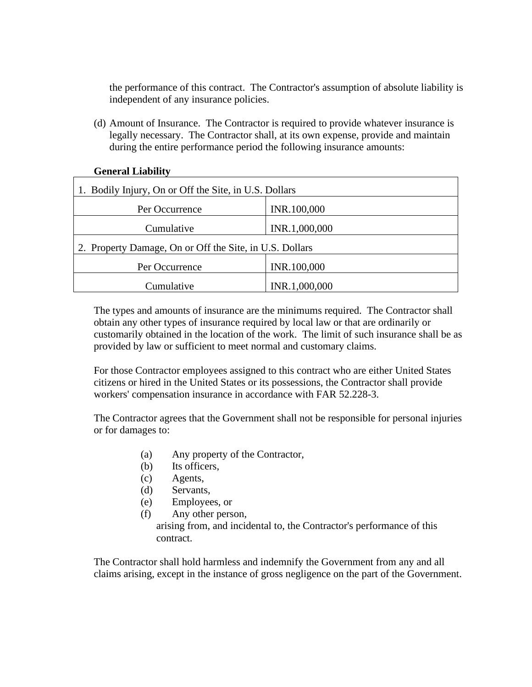the performance of this contract. The Contractor's assumption of absolute liability is independent of any insurance policies.

(d) Amount of Insurance. The Contractor is required to provide whatever insurance is legally necessary. The Contractor shall, at its own expense, provide and maintain during the entire performance period the following insurance amounts:

| o ener ar maconie                                       |               |
|---------------------------------------------------------|---------------|
| 1. Bodily Injury, On or Off the Site, in U.S. Dollars   |               |
| Per Occurrence                                          | INR.100,000   |
| Cumulative                                              | INR.1,000,000 |
| 2. Property Damage, On or Off the Site, in U.S. Dollars |               |
| Per Occurrence                                          | INR.100,000   |
| Cumulative                                              | INR.1,000,000 |

#### **General Liability**

The types and amounts of insurance are the minimums required. The Contractor shall obtain any other types of insurance required by local law or that are ordinarily or customarily obtained in the location of the work. The limit of such insurance shall be as provided by law or sufficient to meet normal and customary claims.

For those Contractor employees assigned to this contract who are either United States citizens or hired in the United States or its possessions, the Contractor shall provide workers' compensation insurance in accordance with FAR 52.228-3.

The Contractor agrees that the Government shall not be responsible for personal injuries or for damages to:

- (a) Any property of the Contractor,
- (b) Its officers,
- (c) Agents,
- (d) Servants,
- (e) Employees, or
- (f) Any other person,

arising from, and incidental to, the Contractor's performance of this contract.

The Contractor shall hold harmless and indemnify the Government from any and all claims arising, except in the instance of gross negligence on the part of the Government.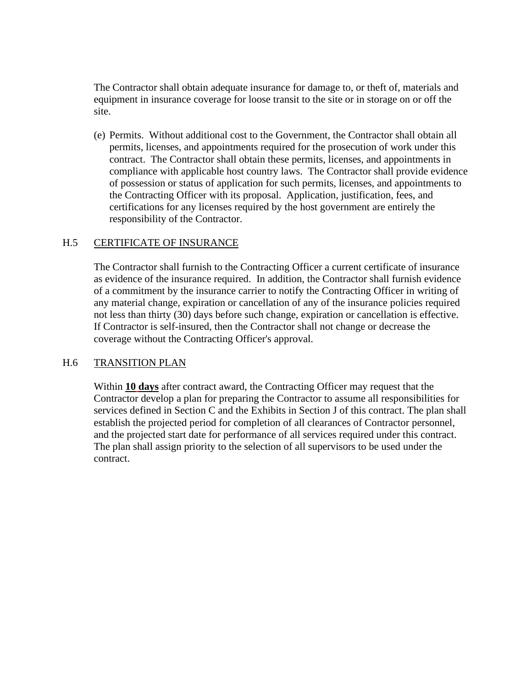The Contractor shall obtain adequate insurance for damage to, or theft of, materials and equipment in insurance coverage for loose transit to the site or in storage on or off the site.

(e) Permits. Without additional cost to the Government, the Contractor shall obtain all permits, licenses, and appointments required for the prosecution of work under this contract. The Contractor shall obtain these permits, licenses, and appointments in compliance with applicable host country laws. The Contractor shall provide evidence of possession or status of application for such permits, licenses, and appointments to the Contracting Officer with its proposal. Application, justification, fees, and certifications for any licenses required by the host government are entirely the responsibility of the Contractor.

## H.5 CERTIFICATE OF INSURANCE

The Contractor shall furnish to the Contracting Officer a current certificate of insurance as evidence of the insurance required. In addition, the Contractor shall furnish evidence of a commitment by the insurance carrier to notify the Contracting Officer in writing of any material change, expiration or cancellation of any of the insurance policies required not less than thirty (30) days before such change, expiration or cancellation is effective. If Contractor is self-insured, then the Contractor shall not change or decrease the coverage without the Contracting Officer's approval.

## H.6 TRANSITION PLAN

Within **10 days** after contract award, the Contracting Officer may request that the Contractor develop a plan for preparing the Contractor to assume all responsibilities for services defined in Section C and the Exhibits in Section J of this contract. The plan shall establish the projected period for completion of all clearances of Contractor personnel, and the projected start date for performance of all services required under this contract. The plan shall assign priority to the selection of all supervisors to be used under the contract.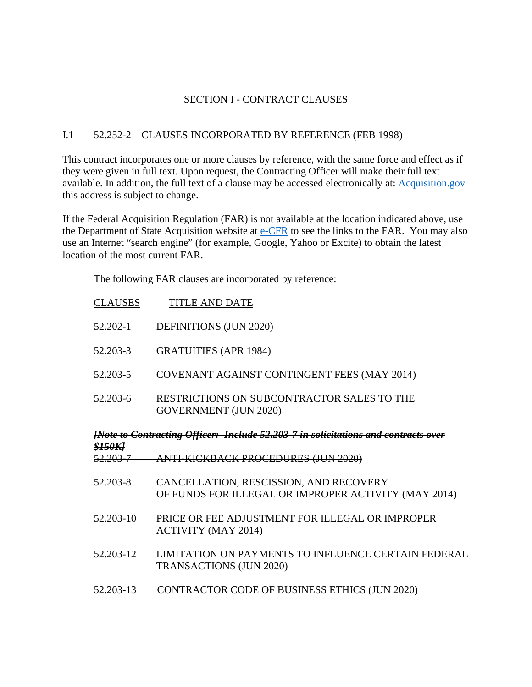# SECTION I - CONTRACT CLAUSES

# I.1 52.252-2 CLAUSES INCORPORATED BY REFERENCE (FEB 1998)

This contract incorporates one or more clauses by reference, with the same force and effect as if they were given in full text. Upon request, the Contracting Officer will make their full text available. In addition, the full text of a clause may be accessed electronically at: [Acquisition.gov](https://acquisition.gov/browse/index/far)  this address is subject to change.

If the Federal Acquisition Regulation (FAR) is not available at the location indicated above, use the Department of State Acquisition website at [e-CFR](https://gov.ecfr.io/cgi-bin/text-idx?SID=d9a7851186785ba2b1896db79b1b6b29&mc=true&tpl=/ecfrbrowse/Title48/48tab_02.tpl) to see the links to the FAR. You may also use an Internet "search engine" (for example, Google, Yahoo or Excite) to obtain the latest location of the most current FAR.

The following FAR clauses are incorporated by reference:

| <b>CLAUSES</b>     | <b>TITLE AND DATE</b>                                                                          |
|--------------------|------------------------------------------------------------------------------------------------|
| 52.202-1           | <b>DEFINITIONS (JUN 2020)</b>                                                                  |
| 52.203-3           | <b>GRATUITIES (APR 1984)</b>                                                                   |
| 52.203-5           | COVENANT AGAINST CONTINGENT FEES (MAY 2014)                                                    |
| 52.203-6           | RESTRICTIONS ON SUBCONTRACTOR SALES TO THE<br><b>GOVERNMENT (JUN 2020)</b>                     |
| <del>\$150K]</del> | <b>[Note to Contracting Officer: Include 52.203-7 in solicitations and contracts over</b>      |
|                    | 52.203-7 ANTI-KICKBACK PROCEDURES (JUN 2020)                                                   |
| 52.203-8           | CANCELLATION, RESCISSION, AND RECOVERY<br>OF FUNDS FOR ILLEGAL OR IMPROPER ACTIVITY (MAY 2014) |
| 52.203-10          | PRICE OR FEE ADJUSTMENT FOR ILLEGAL OR IMPROPER<br><b>ACTIVITY (MAY 2014)</b>                  |
| 52.203-12          | LIMITATION ON PAYMENTS TO INFLUENCE CERTAIN FEDERAL<br><b>TRANSACTIONS (JUN 2020)</b>          |
|                    |                                                                                                |

52.203-13 CONTRACTOR CODE OF BUSINESS ETHICS (JUN 2020)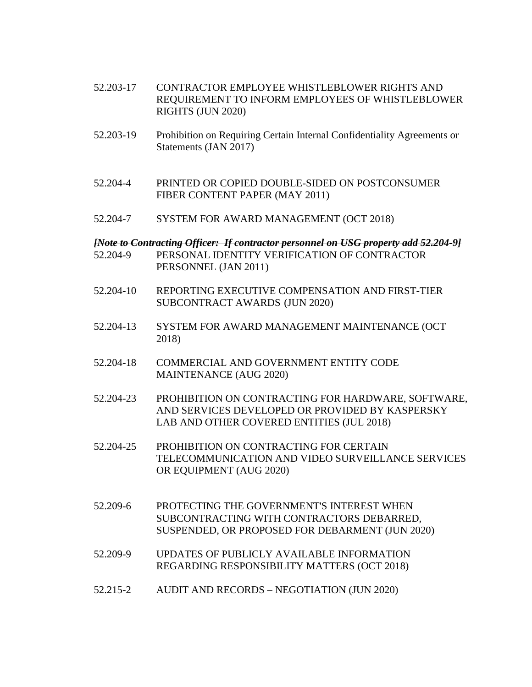- 52.203-17 CONTRACTOR EMPLOYEE WHISTLEBLOWER RIGHTS AND REQUIREMENT TO INFORM EMPLOYEES OF WHISTLEBLOWER RIGHTS (JUN 2020)
- 52.203-19 Prohibition on Requiring Certain Internal Confidentiality Agreements or Statements (JAN 2017)
- 52.204-4 PRINTED OR COPIED DOUBLE-SIDED ON POSTCONSUMER FIBER CONTENT PAPER (MAY 2011)
- 52.204-7 SYSTEM FOR AWARD MANAGEMENT (OCT 2018)

*[Note to Contracting Officer: If contractor personnel on USG property add 52.204-9]*

- 52.204-9 PERSONAL IDENTITY VERIFICATION OF CONTRACTOR PERSONNEL (JAN 2011)
- 52.204-10 REPORTING EXECUTIVE COMPENSATION AND FIRST-TIER SUBCONTRACT AWARDS (JUN 2020)
- 52.204-13 SYSTEM FOR AWARD MANAGEMENT MAINTENANCE (OCT 2018)
- 52.204-18 COMMERCIAL AND GOVERNMENT ENTITY CODE MAINTENANCE (AUG 2020)
- 52.204-23 PROHIBITION ON CONTRACTING FOR HARDWARE, SOFTWARE, AND SERVICES DEVELOPED OR PROVIDED BY KASPERSKY LAB AND OTHER COVERED ENTITIES (JUL 2018)
- 52.204-25 PROHIBITION ON CONTRACTING FOR CERTAIN TELECOMMUNICATION AND VIDEO SURVEILLANCE SERVICES OR EQUIPMENT (AUG 2020)
- 52.209-6 PROTECTING THE GOVERNMENT'S INTEREST WHEN SUBCONTRACTING WITH CONTRACTORS DEBARRED, SUSPENDED, OR PROPOSED FOR DEBARMENT (JUN 2020)
- 52.209-9 UPDATES OF PUBLICLY AVAILABLE INFORMATION REGARDING RESPONSIBILITY MATTERS (OCT 2018)
- 52.215-2 AUDIT AND RECORDS NEGOTIATION (JUN 2020)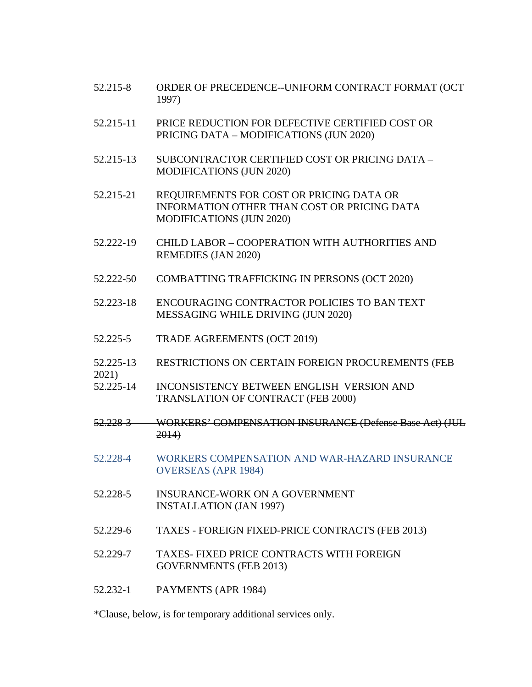- 52.215-8 ORDER OF PRECEDENCE--UNIFORM CONTRACT FORMAT (OCT 1997)
- 52.215-11 PRICE REDUCTION FOR DEFECTIVE CERTIFIED COST OR PRICING DATA – MODIFICATIONS (JUN 2020)
- 52.215-13 SUBCONTRACTOR CERTIFIED COST OR PRICING DATA MODIFICATIONS (JUN 2020)
- 52.215-21 REQUIREMENTS FOR COST OR PRICING DATA OR INFORMATION OTHER THAN COST OR PRICING DATA MODIFICATIONS (JUN 2020)
- 52.222-19 CHILD LABOR COOPERATION WITH AUTHORITIES AND REMEDIES (JAN 2020)
- 52.222-50 COMBATTING TRAFFICKING IN PERSONS (OCT 2020)
- 52.223-18 ENCOURAGING CONTRACTOR POLICIES TO BAN TEXT MESSAGING WHILE DRIVING (JUN 2020)
- 52.225-5 TRADE AGREEMENTS (OCT 2019)
- 52.225-13 RESTRICTIONS ON CERTAIN FOREIGN PROCUREMENTS (FEB 2021)
- 52.225-14 INCONSISTENCY BETWEEN ENGLISH VERSION AND TRANSLATION OF CONTRACT (FEB 2000)
- 52.228-3 WORKERS' COMPENSATION INSURANCE (Defense Base Act) (JUL 2014)
- 52.228-4 WORKERS COMPENSATION AND WAR-HAZARD INSURANCE OVERSEAS (APR 1984)
- 52.228-5 INSURANCE-WORK ON A GOVERNMENT INSTALLATION (JAN 1997)
- 52.229-6 TAXES FOREIGN FIXED-PRICE CONTRACTS (FEB 2013)
- 52.229-7 TAXES- FIXED PRICE CONTRACTS WITH FOREIGN GOVERNMENTS (FEB 2013)
- 52.232-1 PAYMENTS (APR 1984)

\*Clause, below, is for temporary additional services only.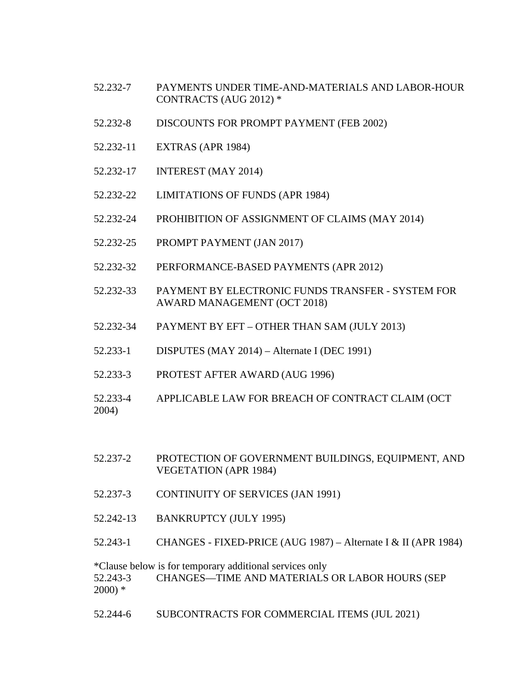- 52.232-7 PAYMENTS UNDER TIME-AND-MATERIALS AND LABOR-HOUR CONTRACTS (AUG 2012) \*
- 52.232-8 DISCOUNTS FOR PROMPT PAYMENT (FEB 2002)
- 52.232-11 EXTRAS (APR 1984)
- 52.232-17 INTEREST (MAY 2014)
- 52.232-22 LIMITATIONS OF FUNDS (APR 1984)
- 52.232-24 PROHIBITION OF ASSIGNMENT OF CLAIMS (MAY 2014)
- 52.232-25 PROMPT PAYMENT (JAN 2017)
- 52.232-32 PERFORMANCE-BASED PAYMENTS (APR 2012)
- 52.232-33 PAYMENT BY ELECTRONIC FUNDS TRANSFER SYSTEM FOR AWARD MANAGEMENT (OCT 2018)
- 52.232-34 PAYMENT BY EFT OTHER THAN SAM (JULY 2013)
- 52.233-1 DISPUTES (MAY 2014) Alternate I (DEC 1991)
- 52.233-3 PROTEST AFTER AWARD (AUG 1996)
- 52.233-4 APPLICABLE LAW FOR BREACH OF CONTRACT CLAIM (OCT 2004)
- 52.237-2 PROTECTION OF GOVERNMENT BUILDINGS, EQUIPMENT, AND VEGETATION (APR 1984)
- 52.237-3 CONTINUITY OF SERVICES (JAN 1991)
- 52.242-13 BANKRUPTCY (JULY 1995)
- 52.243-1 CHANGES FIXED-PRICE (AUG 1987) Alternate I & II (APR 1984)

\*Clause below is for temporary additional services only 52.243-3 CHANGES—TIME AND MATERIALS OR LABOR HOURS (SEP  $2000$ )  $*$ 

52.244-6 SUBCONTRACTS FOR COMMERCIAL ITEMS (JUL 2021)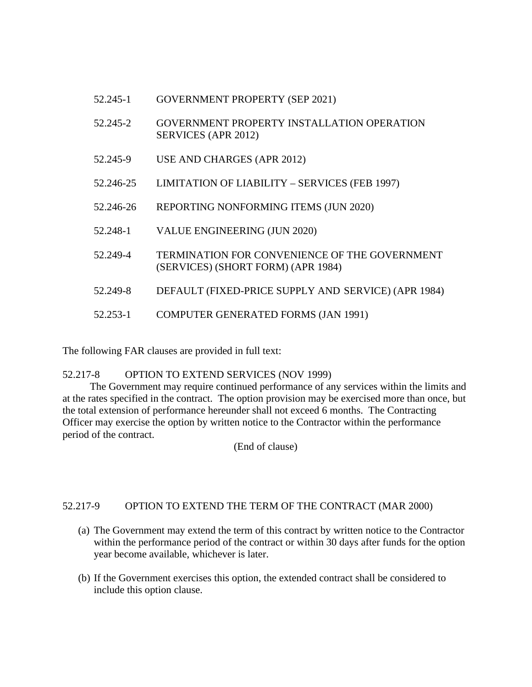| <b>GOVERNMENT PROPERTY (SEP 2021)</b><br>52.245-1 |
|---------------------------------------------------|
|---------------------------------------------------|

| 52.245-2 | GOVERNMENT PROPERTY INSTALLATION OPERATION |
|----------|--------------------------------------------|
|          | <b>SERVICES (APR 2012)</b>                 |

- 52.245-9 USE AND CHARGES (APR 2012)
- 52.246-25 LIMITATION OF LIABILITY SERVICES (FEB 1997)
- 52.246-26 REPORTING NONFORMING ITEMS (JUN 2020)
- 52.248-1 VALUE ENGINEERING (JUN 2020)
- 52.249-4 TERMINATION FOR CONVENIENCE OF THE GOVERNMENT (SERVICES) (SHORT FORM) (APR 1984)
- 52.249-8 DEFAULT (FIXED-PRICE SUPPLY AND SERVICE) (APR 1984)
- 52.253-1 COMPUTER GENERATED FORMS (JAN 1991)

The following FAR clauses are provided in full text:

## 52.217-8 OPTION TO EXTEND SERVICES (NOV 1999)

The Government may require continued performance of any services within the limits and at the rates specified in the contract. The option provision may be exercised more than once, but the total extension of performance hereunder shall not exceed 6 months. The Contracting Officer may exercise the option by written notice to the Contractor within the performance period of the contract.

(End of clause)

#### 52.217-9 OPTION TO EXTEND THE TERM OF THE CONTRACT (MAR 2000)

- (a) The Government may extend the term of this contract by written notice to the Contractor within the performance period of the contract or within 30 days after funds for the option year become available, whichever is later.
- (b) If the Government exercises this option, the extended contract shall be considered to include this option clause.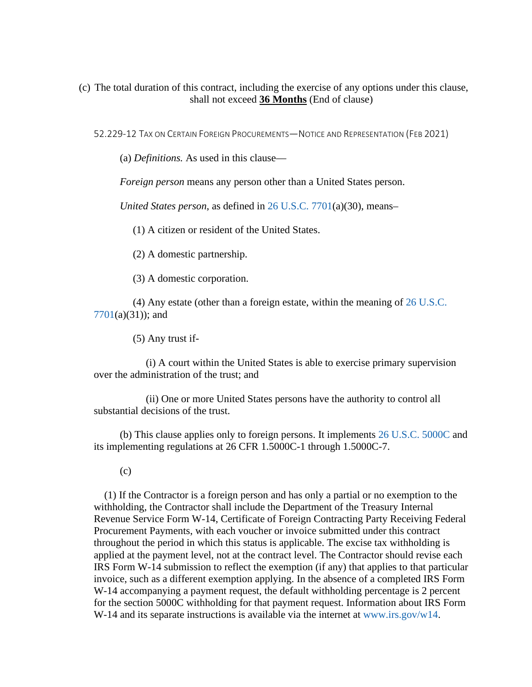## (c) The total duration of this contract, including the exercise of any options under this clause, shall not exceed **36 Months** (End of clause)

52.229-12 TAX ON CERTAIN FOREIGN PROCUREMENTS—NOTICE AND REPRESENTATION (FEB 2021)

(a) *Definitions.* As used in this clause—

*Foreign person* means any person other than a United States person.

*United States person*, as defined in 26 [U.S.C.](https://uscode.house.gov/view.xhtml?req=granuleid:USC-prelim-title26-section7701&num=0&edition=prelim) 7701(a)(30), means–

(1) A citizen or resident of the United States.

(2) A domestic partnership.

(3) A domestic corporation.

 (4) Any estate (other than a foreign estate, within the meaning of 26 [U.S.C.](https://uscode.house.gov/view.xhtml?req=granuleid:USC-prelim-title26-section7701&num=0&edition=prelim)  $7701(a)(31)$  $7701(a)(31)$ ; and

(5) Any trust if-

 (i) A court within the United States is able to exercise primary supervision over the administration of the trust; and

 (ii) One or more United States persons have the authority to control all substantial decisions of the trust.

 (b) This clause applies only to foreign persons. It implements 26 [U.S.C.](https://uscode.house.gov/view.xhtml?req=granuleid:USC-prelim-title26-section5000C&num=0&edition=prelim) 5000C and its implementing regulations at 26 CFR 1.5000C-1 through 1.5000C-7.

(c)

(1) If the Contractor is a foreign person and has only a partial or no exemption to the withholding, the Contractor shall include the Department of the Treasury Internal Revenue Service Form W-14, Certificate of Foreign Contracting Party Receiving Federal Procurement Payments, with each voucher or invoice submitted under this contract throughout the period in which this status is applicable. The excise tax withholding is applied at the payment level, not at the contract level. The Contractor should revise each IRS Form W-14 submission to reflect the exemption (if any) that applies to that particular invoice, such as a different exemption applying. In the absence of a completed IRS Form W-14 accompanying a payment request, the default withholding percentage is 2 percent for the section 5000C withholding for that payment request. Information about IRS Form W-14 and its separate instructions is available via the internet at [www.irs.gov/w14.](https://www.irs.gov/w14)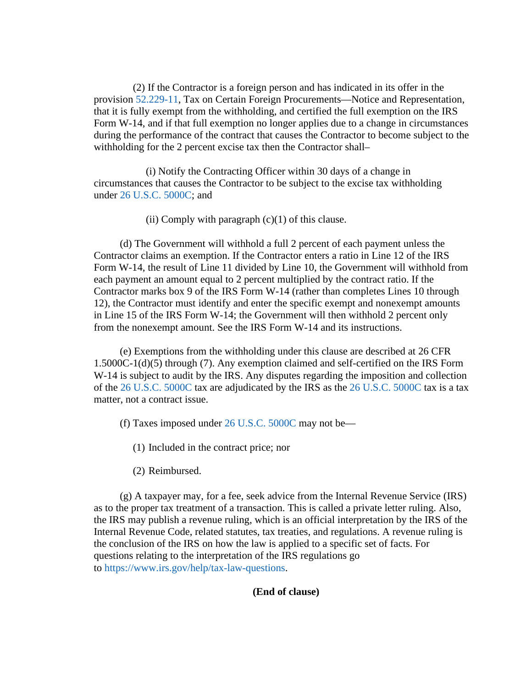(2) If the Contractor is a foreign person and has indicated in its offer in the provision [52.229-11,](https://www.acquisition.gov/far/52.229-11#FAR_52_229_11) Tax on Certain Foreign Procurements—Notice and Representation, that it is fully exempt from the withholding, and certified the full exemption on the IRS Form W-14, and if that full exemption no longer applies due to a change in circumstances during the performance of the contract that causes the Contractor to become subject to the withholding for the 2 percent excise tax then the Contractor shall–

 (i) Notify the Contracting Officer within 30 days of a change in circumstances that causes the Contractor to be subject to the excise tax withholding under 26 U.S.C. [5000C;](https://uscode.house.gov/view.xhtml?req=granuleid:USC-prelim-title26-section5000C&num=0&edition=prelim) and

(ii) Comply with paragraph  $(c)(1)$  of this clause.

 (d) The Government will withhold a full 2 percent of each payment unless the Contractor claims an exemption. If the Contractor enters a ratio in Line 12 of the IRS Form W-14, the result of Line 11 divided by Line 10, the Government will withhold from each payment an amount equal to 2 percent multiplied by the contract ratio. If the Contractor marks box 9 of the IRS Form W-14 (rather than completes Lines 10 through 12), the Contractor must identify and enter the specific exempt and nonexempt amounts in Line 15 of the IRS Form W-14; the Government will then withhold 2 percent only from the nonexempt amount. See the IRS Form W-14 and its instructions.

 (e) Exemptions from the withholding under this clause are described at 26 CFR 1.5000C-1(d)(5) through (7). Any exemption claimed and self-certified on the IRS Form W-14 is subject to audit by the IRS. Any disputes regarding the imposition and collection of the 26 [U.S.C.](https://uscode.house.gov/view.xhtml?req=granuleid:USC-prelim-title26-section5000C&num=0&edition=prelim) 5000C tax are adjudicated by the IRS as the 26 [U.S.C.](https://uscode.house.gov/view.xhtml?req=granuleid:USC-prelim-title26-section5000C&num=0&edition=prelim) 5000C tax is a tax matter, not a contract issue.

- (f) Taxes imposed under 26 [U.S.C.](https://uscode.house.gov/view.xhtml?req=granuleid:USC-prelim-title26-section5000C&num=0&edition=prelim) 5000C may not be—
	- (1) Included in the contract price; nor
	- (2) Reimbursed.

 (g) A taxpayer may, for a fee, seek advice from the Internal Revenue Service (IRS) as to the proper tax treatment of a transaction. This is called a private letter ruling. Also, the IRS may publish a revenue ruling, which is an official interpretation by the IRS of the Internal Revenue Code, related statutes, tax treaties, and regulations. A revenue ruling is the conclusion of the IRS on how the law is applied to a specific set of facts. For questions relating to the interpretation of the IRS regulations go to [https://www.irs.gov/help/tax-law-questions.](https://www.irs.gov/help/tax-law-questions)

## **(End of clause)**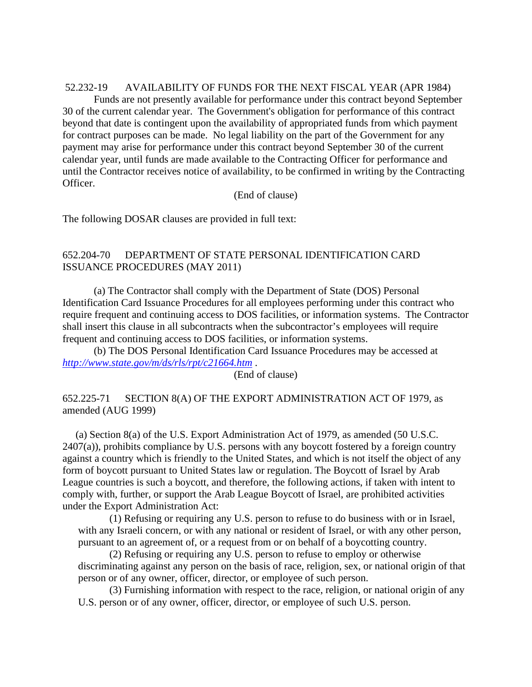52.232-19 AVAILABILITY OF FUNDS FOR THE NEXT FISCAL YEAR (APR 1984) Funds are not presently available for performance under this contract beyond September 30 of the current calendar year. The Government's obligation for performance of this contract beyond that date is contingent upon the availability of appropriated funds from which payment for contract purposes can be made. No legal liability on the part of the Government for any payment may arise for performance under this contract beyond September 30 of the current calendar year, until funds are made available to the Contracting Officer for performance and until the Contractor receives notice of availability, to be confirmed in writing by the Contracting Officer.

(End of clause)

The following DOSAR clauses are provided in full text:

## 652.204-70 DEPARTMENT OF STATE PERSONAL IDENTIFICATION CARD ISSUANCE PROCEDURES (MAY 2011)

(a) The Contractor shall comply with the Department of State (DOS) Personal Identification Card Issuance Procedures for all employees performing under this contract who require frequent and continuing access to DOS facilities, or information systems. The Contractor shall insert this clause in all subcontracts when the subcontractor's employees will require frequent and continuing access to DOS facilities, or information systems.

(b) The DOS Personal Identification Card Issuance Procedures may be accessed at *<http://www.state.gov/m/ds/rls/rpt/c21664.htm>* .

(End of clause)

652.225-71 SECTION 8(A) OF THE EXPORT ADMINISTRATION ACT OF 1979, as amended (AUG 1999)

 (a) Section 8(a) of the U.S. Export Administration Act of 1979, as amended (50 U.S.C.  $2407(a)$ ), prohibits compliance by U.S. persons with any boycott fostered by a foreign country against a country which is friendly to the United States, and which is not itself the object of any form of boycott pursuant to United States law or regulation. The Boycott of Israel by Arab League countries is such a boycott, and therefore, the following actions, if taken with intent to comply with, further, or support the Arab League Boycott of Israel, are prohibited activities under the Export Administration Act:

(1) Refusing or requiring any U.S. person to refuse to do business with or in Israel, with any Israeli concern, or with any national or resident of Israel, or with any other person, pursuant to an agreement of, or a request from or on behalf of a boycotting country.

(2) Refusing or requiring any U.S. person to refuse to employ or otherwise discriminating against any person on the basis of race, religion, sex, or national origin of that person or of any owner, officer, director, or employee of such person.

(3) Furnishing information with respect to the race, religion, or national origin of any U.S. person or of any owner, officer, director, or employee of such U.S. person.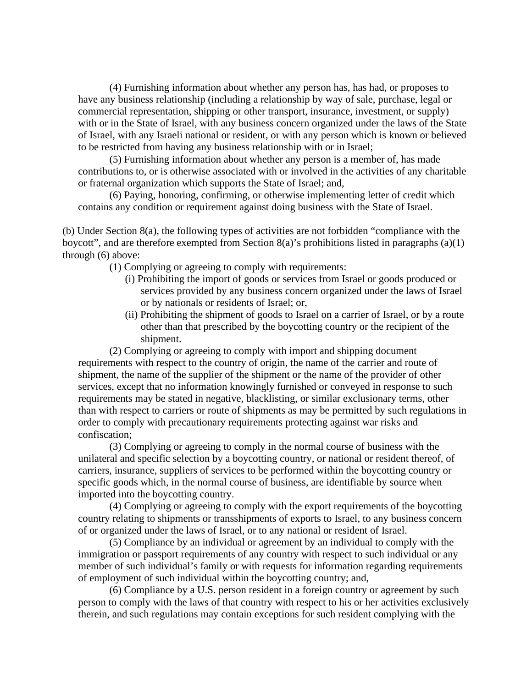(4) Furnishing information about whether any person has, has had, or proposes to have any business relationship (including a relationship by way of sale, purchase, legal or commercial representation, shipping or other transport, insurance, investment, or supply) with or in the State of Israel, with any business concern organized under the laws of the State of Israel, with any Israeli national or resident, or with any person which is known or believed to be restricted from having any business relationship with or in Israel;

(5) Furnishing information about whether any person is a member of, has made contributions to, or is otherwise associated with or involved in the activities of any charitable or fraternal organization which supports the State of Israel; and,

(6) Paying, honoring, confirming, or otherwise implementing letter of credit which contains any condition or requirement against doing business with the State of Israel.

(b) Under Section 8(a), the following types of activities are not forbidden "compliance with the boycott", and are therefore exempted from Section 8(a)'s prohibitions listed in paragraphs (a)(1) through (6) above:

- (1) Complying or agreeing to comply with requirements:
	- (i) Prohibiting the import of goods or services from Israel or goods produced or services provided by any business concern organized under the laws of Israel or by nationals or residents of Israel; or,
	- (ii) Prohibiting the shipment of goods to Israel on a carrier of Israel, or by a route other than that prescribed by the boycotting country or the recipient of the shipment.

(2) Complying or agreeing to comply with import and shipping document requirements with respect to the country of origin, the name of the carrier and route of shipment, the name of the supplier of the shipment or the name of the provider of other services, except that no information knowingly furnished or conveyed in response to such requirements may be stated in negative, blacklisting, or similar exclusionary terms, other than with respect to carriers or route of shipments as may be permitted by such regulations in order to comply with precautionary requirements protecting against war risks and confiscation;

(3) Complying or agreeing to comply in the normal course of business with the unilateral and specific selection by a boycotting country, or national or resident thereof, of carriers, insurance, suppliers of services to be performed within the boycotting country or specific goods which, in the normal course of business, are identifiable by source when imported into the boycotting country.

(4) Complying or agreeing to comply with the export requirements of the boycotting country relating to shipments or transshipments of exports to Israel, to any business concern of or organized under the laws of Israel, or to any national or resident of Israel.

(5) Compliance by an individual or agreement by an individual to comply with the immigration or passport requirements of any country with respect to such individual or any member of such individual's family or with requests for information regarding requirements of employment of such individual within the boycotting country; and,

(6) Compliance by a U.S. person resident in a foreign country or agreement by such person to comply with the laws of that country with respect to his or her activities exclusively therein, and such regulations may contain exceptions for such resident complying with the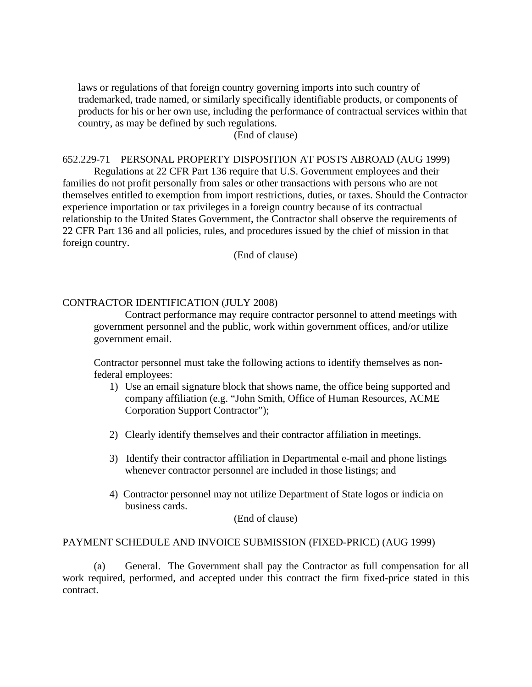laws or regulations of that foreign country governing imports into such country of trademarked, trade named, or similarly specifically identifiable products, or components of products for his or her own use, including the performance of contractual services within that country, as may be defined by such regulations.

## (End of clause)

# 652.229-71 PERSONAL PROPERTY DISPOSITION AT POSTS ABROAD (AUG 1999)

Regulations at 22 CFR Part 136 require that U.S. Government employees and their families do not profit personally from sales or other transactions with persons who are not themselves entitled to exemption from import restrictions, duties, or taxes. Should the Contractor experience importation or tax privileges in a foreign country because of its contractual relationship to the United States Government, the Contractor shall observe the requirements of 22 CFR Part 136 and all policies, rules, and procedures issued by the chief of mission in that foreign country.

(End of clause)

#### CONTRACTOR IDENTIFICATION (JULY 2008)

Contract performance may require contractor personnel to attend meetings with government personnel and the public, work within government offices, and/or utilize government email.

Contractor personnel must take the following actions to identify themselves as nonfederal employees:

- 1) Use an email signature block that shows name, the office being supported and company affiliation (e.g. "John Smith, Office of Human Resources, ACME Corporation Support Contractor");
- 2) Clearly identify themselves and their contractor affiliation in meetings.
- 3) Identify their contractor affiliation in Departmental e-mail and phone listings whenever contractor personnel are included in those listings; and
- 4) Contractor personnel may not utilize Department of State logos or indicia on business cards.

(End of clause)

#### PAYMENT SCHEDULE AND INVOICE SUBMISSION (FIXED-PRICE) (AUG 1999)

(a) General. The Government shall pay the Contractor as full compensation for all work required, performed, and accepted under this contract the firm fixed-price stated in this contract.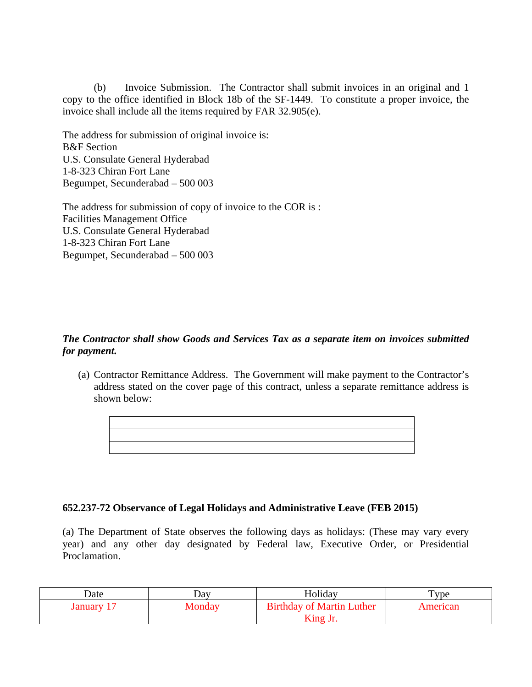(b) Invoice Submission. The Contractor shall submit invoices in an original and 1 copy to the office identified in Block 18b of the SF-1449. To constitute a proper invoice, the invoice shall include all the items required by FAR 32.905(e).

The address for submission of original invoice is: B&F Section U.S. Consulate General Hyderabad 1-8-323 Chiran Fort Lane Begumpet, Secunderabad – 500 003

The address for submission of copy of invoice to the COR is : Facilities Management Office U.S. Consulate General Hyderabad 1-8-323 Chiran Fort Lane Begumpet, Secunderabad – 500 003

# *The Contractor shall show Goods and Services Tax as a separate item on invoices submitted for payment.*

(a) Contractor Remittance Address. The Government will make payment to the Contractor's address stated on the cover page of this contract, unless a separate remittance address is shown below:

# **652.237-72 Observance of Legal Holidays and Administrative Leave (FEB 2015)**

(a) The Department of State observes the following days as holidays: (These may vary every year) and any other day designated by Federal law, Executive Order, or Presidential Proclamation.

| Date    | Day           | Holiday                                      | $TV$ pe  |
|---------|---------------|----------------------------------------------|----------|
| January | <b>Monday</b> | <b>Birthday of Martin Luther</b><br>King Jr. | American |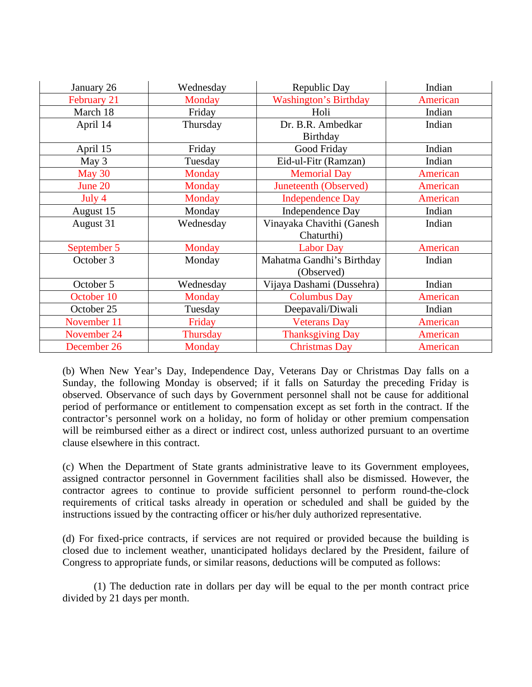| January 26  | Wednesday       | Republic Day                            | Indian   |
|-------------|-----------------|-----------------------------------------|----------|
| February 21 | <b>Monday</b>   | <b>Washington's Birthday</b>            | American |
| March 18    | Friday          | Holi                                    | Indian   |
| April 14    | Thursday        | Dr. B.R. Ambedkar<br>Birthday           | Indian   |
| April 15    | Friday          | Good Friday                             | Indian   |
| May 3       | Tuesday         | Eid-ul-Fitr (Ramzan)                    | Indian   |
| May 30      | Monday          | <b>Memorial Day</b>                     | American |
| June 20     | Monday          | Juneteenth (Observed)                   | American |
| July $4$    | Monday          | <b>Independence Day</b>                 | American |
| August 15   | Monday          | <b>Independence Day</b>                 | Indian   |
| August 31   | Wednesday       | Vinayaka Chavithi (Ganesh               | Indian   |
|             |                 | Chaturthi)                              |          |
| September 5 | Monday          | <b>Labor Day</b>                        | American |
| October 3   | Monday          | Mahatma Gandhi's Birthday<br>(Observed) | Indian   |
| October 5   | Wednesday       | Vijaya Dashami (Dussehra)               | Indian   |
| October 10  | Monday          | <b>Columbus Day</b>                     | American |
| October 25  | Tuesday         | Deepavali/Diwali                        | Indian   |
| November 11 | Friday          | <b>Veterans Day</b>                     | American |
| November 24 | <b>Thursday</b> | <b>Thanksgiving Day</b>                 | American |
| December 26 | Monday          | <b>Christmas Day</b>                    | American |

(b) When New Year's Day, Independence Day, Veterans Day or Christmas Day falls on a Sunday, the following Monday is observed; if it falls on Saturday the preceding Friday is observed. Observance of such days by Government personnel shall not be cause for additional period of performance or entitlement to compensation except as set forth in the contract. If the contractor's personnel work on a holiday, no form of holiday or other premium compensation will be reimbursed either as a direct or indirect cost, unless authorized pursuant to an overtime clause elsewhere in this contract.

(c) When the Department of State grants administrative leave to its Government employees, assigned contractor personnel in Government facilities shall also be dismissed. However, the contractor agrees to continue to provide sufficient personnel to perform round-the-clock requirements of critical tasks already in operation or scheduled and shall be guided by the instructions issued by the contracting officer or his/her duly authorized representative.

(d) For fixed-price contracts, if services are not required or provided because the building is closed due to inclement weather, unanticipated holidays declared by the President, failure of Congress to appropriate funds, or similar reasons, deductions will be computed as follows:

(1) The deduction rate in dollars per day will be equal to the per month contract price divided by 21 days per month.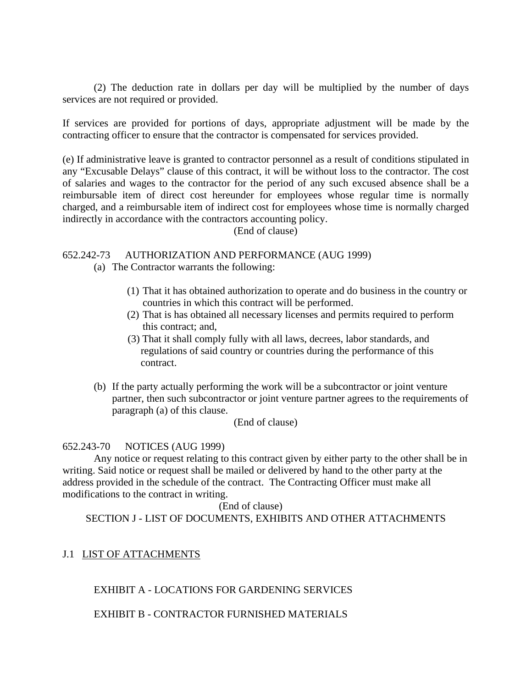(2) The deduction rate in dollars per day will be multiplied by the number of days services are not required or provided.

If services are provided for portions of days, appropriate adjustment will be made by the contracting officer to ensure that the contractor is compensated for services provided.

(e) If administrative leave is granted to contractor personnel as a result of conditions stipulated in any "Excusable Delays" clause of this contract, it will be without loss to the contractor. The cost of salaries and wages to the contractor for the period of any such excused absence shall be a reimbursable item of direct cost hereunder for employees whose regular time is normally charged, and a reimbursable item of indirect cost for employees whose time is normally charged indirectly in accordance with the contractors accounting policy.

(End of clause)

#### 652.242-73 AUTHORIZATION AND PERFORMANCE (AUG 1999)

(a) The Contractor warrants the following:

- (1) That it has obtained authorization to operate and do business in the country or countries in which this contract will be performed.
- (2) That is has obtained all necessary licenses and permits required to perform this contract; and,
- (3) That it shall comply fully with all laws, decrees, labor standards, and regulations of said country or countries during the performance of this contract.
- (b) If the party actually performing the work will be a subcontractor or joint venture partner, then such subcontractor or joint venture partner agrees to the requirements of paragraph (a) of this clause.

(End of clause)

#### 652.243-70 NOTICES (AUG 1999)

Any notice or request relating to this contract given by either party to the other shall be in writing. Said notice or request shall be mailed or delivered by hand to the other party at the address provided in the schedule of the contract. The Contracting Officer must make all modifications to the contract in writing.

(End of clause) SECTION J - LIST OF DOCUMENTS, EXHIBITS AND OTHER ATTACHMENTS

## J.1 LIST OF ATTACHMENTS

EXHIBIT A - LOCATIONS FOR GARDENING SERVICES

## EXHIBIT B - CONTRACTOR FURNISHED MATERIALS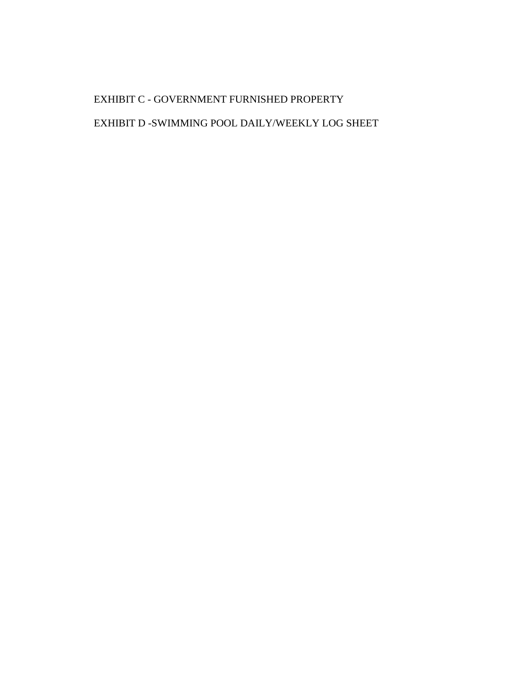# EXHIBIT C - GOVERNMENT FURNISHED PROPERTY

EXHIBIT D -SWIMMING POOL DAILY/WEEKLY LOG SHEET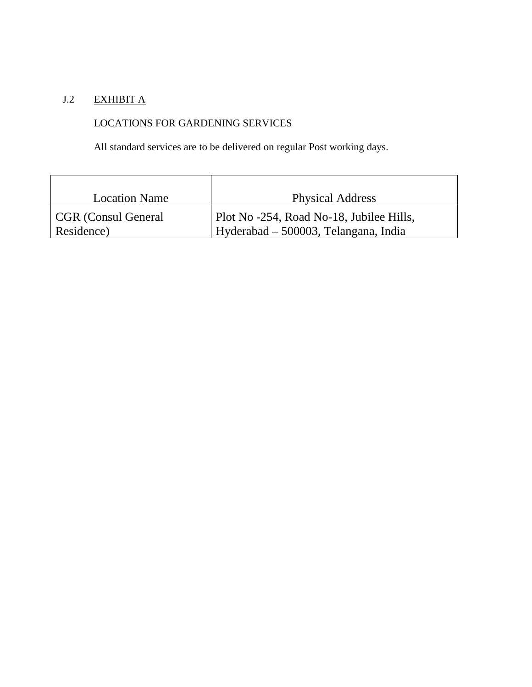# J.2 EXHIBIT A

# LOCATIONS FOR GARDENING SERVICES

All standard services are to be delivered on regular Post working days.

| <b>Location Name</b> | <b>Physical Address</b>                  |
|----------------------|------------------------------------------|
| CGR (Consul General  | Plot No -254, Road No-18, Jubilee Hills, |
| Residence)           | Hyderabad – 500003, Telangana, India     |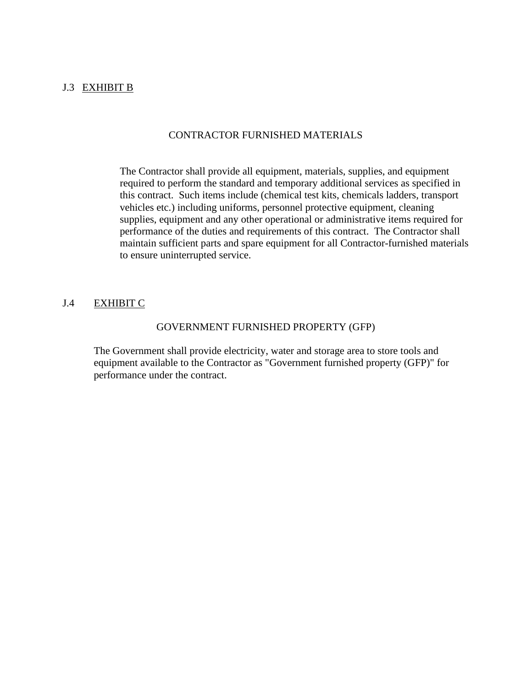#### J.3 EXHIBIT B

# CONTRACTOR FURNISHED MATERIALS

The Contractor shall provide all equipment, materials, supplies, and equipment required to perform the standard and temporary additional services as specified in this contract. Such items include (chemical test kits, chemicals ladders, transport vehicles etc.) including uniforms, personnel protective equipment, cleaning supplies, equipment and any other operational or administrative items required for performance of the duties and requirements of this contract. The Contractor shall maintain sufficient parts and spare equipment for all Contractor-furnished materials to ensure uninterrupted service.

# J.4 EXHIBIT C

#### GOVERNMENT FURNISHED PROPERTY (GFP)

The Government shall provide electricity, water and storage area to store tools and equipment available to the Contractor as "Government furnished property (GFP)" for performance under the contract.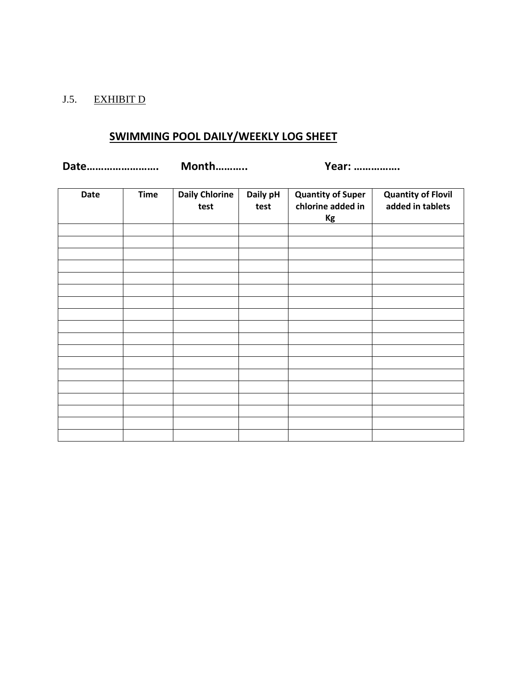# J.5. EXHIBIT D

# **SWIMMING POOL DAILY/WEEKLY LOG SHEET**

**Date……………………. Month……….. Year: …………….** 

| <b>Date</b> | <b>Time</b> | <b>Daily Chlorine</b><br>test | Daily pH<br>test | <b>Quantity of Super</b><br>chlorine added in | <b>Quantity of Flovil</b><br>added in tablets |
|-------------|-------------|-------------------------------|------------------|-----------------------------------------------|-----------------------------------------------|
|             |             |                               |                  | Kg                                            |                                               |
|             |             |                               |                  |                                               |                                               |
|             |             |                               |                  |                                               |                                               |
|             |             |                               |                  |                                               |                                               |
|             |             |                               |                  |                                               |                                               |
|             |             |                               |                  |                                               |                                               |
|             |             |                               |                  |                                               |                                               |
|             |             |                               |                  |                                               |                                               |
|             |             |                               |                  |                                               |                                               |
|             |             |                               |                  |                                               |                                               |
|             |             |                               |                  |                                               |                                               |
|             |             |                               |                  |                                               |                                               |
|             |             |                               |                  |                                               |                                               |
|             |             |                               |                  |                                               |                                               |
|             |             |                               |                  |                                               |                                               |
|             |             |                               |                  |                                               |                                               |
|             |             |                               |                  |                                               |                                               |
|             |             |                               |                  |                                               |                                               |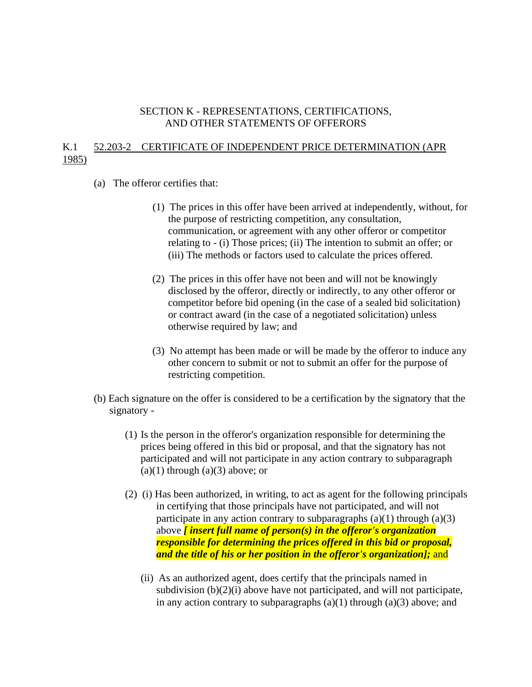# SECTION K - REPRESENTATIONS, CERTIFICATIONS, AND OTHER STATEMENTS OF OFFERORS

## K.1 52.203-2 CERTIFICATE OF INDEPENDENT PRICE DETERMINATION (APR 1985)

- (a) The offeror certifies that:
	- (1) The prices in this offer have been arrived at independently, without, for the purpose of restricting competition, any consultation, communication, or agreement with any other offeror or competitor relating to - (i) Those prices; (ii) The intention to submit an offer; or (iii) The methods or factors used to calculate the prices offered.
	- (2) The prices in this offer have not been and will not be knowingly disclosed by the offeror, directly or indirectly, to any other offeror or competitor before bid opening (in the case of a sealed bid solicitation) or contract award (in the case of a negotiated solicitation) unless otherwise required by law; and
	- (3) No attempt has been made or will be made by the offeror to induce any other concern to submit or not to submit an offer for the purpose of restricting competition.
- (b) Each signature on the offer is considered to be a certification by the signatory that the signatory -
	- (1) Is the person in the offeror's organization responsible for determining the prices being offered in this bid or proposal, and that the signatory has not participated and will not participate in any action contrary to subparagraph  $(a)(1)$  through  $(a)(3)$  above; or
	- (2) (i) Has been authorized, in writing, to act as agent for the following principals in certifying that those principals have not participated, and will not participate in any action contrary to subparagraphs  $(a)(1)$  through  $(a)(3)$ above *[ insert full name of person(s) in the offeror's organization responsible for determining the prices offered in this bid or proposal, and the title of his or her position in the offeror's organization];* and
		- (ii) As an authorized agent, does certify that the principals named in subdivision (b)(2)(i) above have not participated, and will not participate, in any action contrary to subparagraphs  $(a)(1)$  through  $(a)(3)$  above; and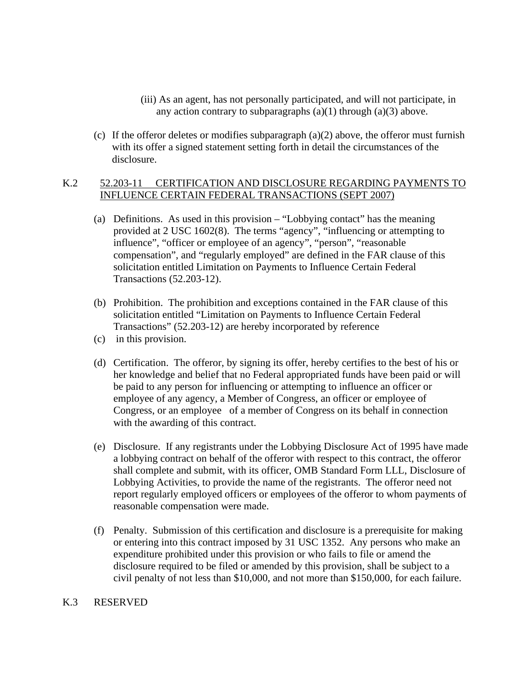- (iii) As an agent, has not personally participated, and will not participate, in any action contrary to subparagraphs  $(a)(1)$  through  $(a)(3)$  above.
- (c) If the offeror deletes or modifies subparagraph  $(a)(2)$  above, the offeror must furnish with its offer a signed statement setting forth in detail the circumstances of the disclosure.

## K.2 52.203-11 CERTIFICATION AND DISCLOSURE REGARDING PAYMENTS TO INFLUENCE CERTAIN FEDERAL TRANSACTIONS (SEPT 2007)

- (a) Definitions. As used in this provision "Lobbying contact" has the meaning provided at 2 USC 1602(8). The terms "agency", "influencing or attempting to influence", "officer or employee of an agency", "person", "reasonable compensation", and "regularly employed" are defined in the FAR clause of this solicitation entitled Limitation on Payments to Influence Certain Federal Transactions (52.203-12).
- (b) Prohibition. The prohibition and exceptions contained in the FAR clause of this solicitation entitled "Limitation on Payments to Influence Certain Federal Transactions" (52.203-12) are hereby incorporated by reference
- (c) in this provision.
- (d) Certification. The offeror, by signing its offer, hereby certifies to the best of his or her knowledge and belief that no Federal appropriated funds have been paid or will be paid to any person for influencing or attempting to influence an officer or employee of any agency, a Member of Congress, an officer or employee of Congress, or an employee of a member of Congress on its behalf in connection with the awarding of this contract.
- (e) Disclosure. If any registrants under the Lobbying Disclosure Act of 1995 have made a lobbying contract on behalf of the offeror with respect to this contract, the offeror shall complete and submit, with its officer, OMB Standard Form LLL, Disclosure of Lobbying Activities, to provide the name of the registrants. The offeror need not report regularly employed officers or employees of the offeror to whom payments of reasonable compensation were made.
- (f) Penalty. Submission of this certification and disclosure is a prerequisite for making or entering into this contract imposed by 31 USC 1352. Any persons who make an expenditure prohibited under this provision or who fails to file or amend the disclosure required to be filed or amended by this provision, shall be subject to a civil penalty of not less than \$10,000, and not more than \$150,000, for each failure.

#### K.3 RESERVED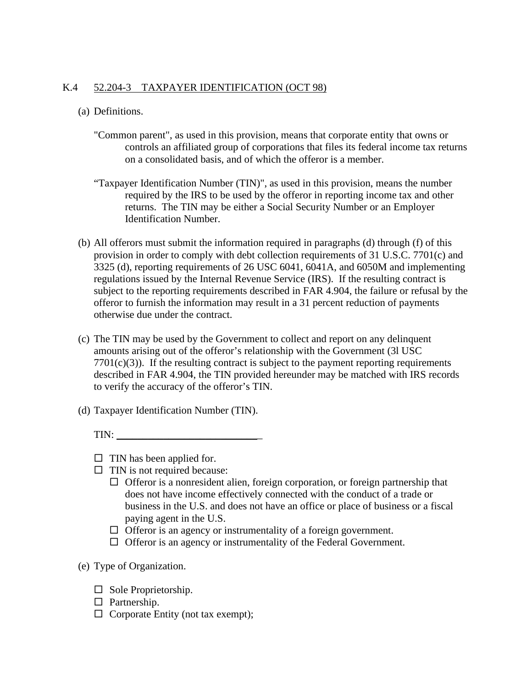# K.4 52.204-3 TAXPAYER IDENTIFICATION (OCT 98)

# (a) Definitions.

- "Common parent", as used in this provision, means that corporate entity that owns or controls an affiliated group of corporations that files its federal income tax returns on a consolidated basis, and of which the offeror is a member.
- "Taxpayer Identification Number (TIN)", as used in this provision, means the number required by the IRS to be used by the offeror in reporting income tax and other returns. The TIN may be either a Social Security Number or an Employer Identification Number.
- (b) All offerors must submit the information required in paragraphs (d) through (f) of this provision in order to comply with debt collection requirements of 31 U.S.C. 7701(c) and 3325 (d), reporting requirements of 26 USC 6041, 6041A, and 6050M and implementing regulations issued by the Internal Revenue Service (IRS). If the resulting contract is subject to the reporting requirements described in FAR 4.904, the failure or refusal by the offeror to furnish the information may result in a 31 percent reduction of payments otherwise due under the contract.
- (c) The TIN may be used by the Government to collect and report on any delinquent amounts arising out of the offeror's relationship with the Government (3l USC  $7701(c)(3)$ ). If the resulting contract is subject to the payment reporting requirements described in FAR 4.904, the TIN provided hereunder may be matched with IRS records to verify the accuracy of the offeror's TIN.
- (d) Taxpayer Identification Number (TIN).

TIN:

- $\Box$  TIN has been applied for.
- $\Box$  TIN is not required because:
	- $\Box$  Offeror is a nonresident alien, foreign corporation, or foreign partnership that does not have income effectively connected with the conduct of a trade or business in the U.S. and does not have an office or place of business or a fiscal paying agent in the U.S.
	- $\Box$  Offeror is an agency or instrumentality of a foreign government.
	- $\Box$  Offeror is an agency or instrumentality of the Federal Government.
- (e) Type of Organization.
	- $\Box$  Sole Proprietorship.
	- □ Partnership.
	- $\Box$  Corporate Entity (not tax exempt);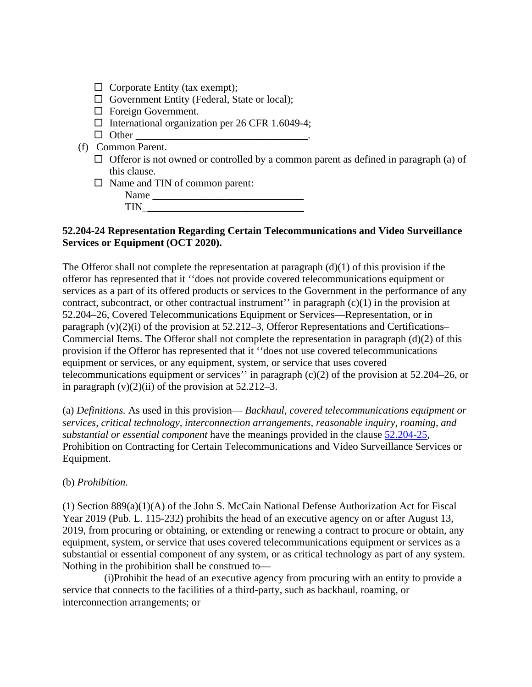|  | $\Box$ Corporate Entity (tax exempt);               |
|--|-----------------------------------------------------|
|  | $\Box$ Government Entity (Federal, State or local); |
|  | $\Box$ Foreign Government.                          |
|  | $25.0772 \pm 20.101$<br>____                        |

- $\Box$  International organization per 26 CFR 1.6049-4;
- Other \_\_\_\_\_\_\_\_\_\_\_\_\_\_\_\_\_\_\_\_\_\_\_\_\_\_\_\_\_\_\_\_\_.
- (f) Common Parent.
	- $\Box$  Offeror is not owned or controlled by a common parent as defined in paragraph (a) of this clause.
	- $\Box$  Name and TIN of common parent:

Name \_\_\_\_\_\_\_\_\_\_\_\_\_\_\_\_\_\_\_\_\_\_\_\_\_\_\_\_\_ TIN  $\blacksquare$ 

# **52.204-24 Representation Regarding Certain Telecommunications and Video Surveillance Services or Equipment (OCT 2020).**

The Offeror shall not complete the representation at paragraph  $(d)(1)$  of this provision if the offeror has represented that it ''does not provide covered telecommunications equipment or services as a part of its offered products or services to the Government in the performance of any contract, subcontract, or other contractual instrument'' in paragraph  $(c)(1)$  in the provision at 52.204–26, Covered Telecommunications Equipment or Services—Representation, or in paragraph (v)(2)(i) of the provision at 52.212–3, Offeror Representations and Certifications– Commercial Items. The Offeror shall not complete the representation in paragraph (d)(2) of this provision if the Offeror has represented that it ''does not use covered telecommunications equipment or services, or any equipment, system, or service that uses covered telecommunications equipment or services'' in paragraph (c)(2) of the provision at 52.204–26, or in paragraph  $(v)(2)(ii)$  of the provision at 52.212–3.

(a) *Definitions.* As used in this provision— *Backhaul, covered telecommunications equipment or services, critical technology, interconnection arrangements, reasonable inquiry, roaming, and substantial or essential component* have the meanings provided in the clause [52.204-25,](https://www.acquisition.gov/content/part-52-solicitation-provisions-and-contract-clauses#unique_1605198408) Prohibition on Contracting for Certain Telecommunications and Video Surveillance Services or Equipment.

# (b) *Prohibition*.

 $(1)$  Section 889(a)(1)(A) of the John S. McCain National Defense Authorization Act for Fiscal Year 2019 (Pub. L. 115-232) prohibits the head of an executive agency on or after August 13, 2019, from procuring or obtaining, or extending or renewing a contract to procure or obtain, any equipment, system, or service that uses covered telecommunications equipment or services as a substantial or essential component of any system, or as critical technology as part of any system. Nothing in the prohibition shall be construed to—

 (i)Prohibit the head of an executive agency from procuring with an entity to provide a service that connects to the facilities of a third-party, such as backhaul, roaming, or interconnection arrangements; or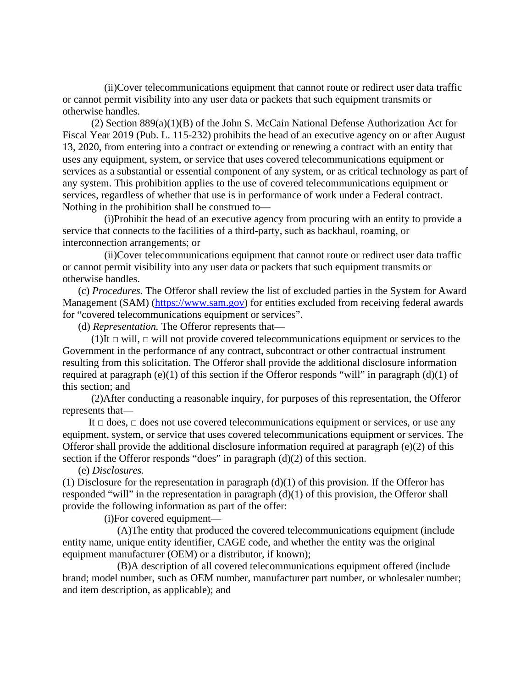(ii)Cover telecommunications equipment that cannot route or redirect user data traffic or cannot permit visibility into any user data or packets that such equipment transmits or otherwise handles.

 $(2)$  Section 889 $(a)(1)(B)$  of the John S. McCain National Defense Authorization Act for Fiscal Year 2019 (Pub. L. 115-232) prohibits the head of an executive agency on or after August 13, 2020, from entering into a contract or extending or renewing a contract with an entity that uses any equipment, system, or service that uses covered telecommunications equipment or services as a substantial or essential component of any system, or as critical technology as part of any system. This prohibition applies to the use of covered telecommunications equipment or services, regardless of whether that use is in performance of work under a Federal contract. Nothing in the prohibition shall be construed to—

 (i)Prohibit the head of an executive agency from procuring with an entity to provide a service that connects to the facilities of a third-party, such as backhaul, roaming, or interconnection arrangements; or

 (ii)Cover telecommunications equipment that cannot route or redirect user data traffic or cannot permit visibility into any user data or packets that such equipment transmits or otherwise handles.

 (c) *Procedures.* The Offeror shall review the list of excluded parties in the System for Award Management (SAM) [\(https://www.sam.gov\)](https://www.sam.gov/) for entities excluded from receiving federal awards for "covered telecommunications equipment or services".

(d) *Representation.* The Offeror represents that—

 (1)It *□* will, *□* will not provide covered telecommunications equipment or services to the Government in the performance of any contract, subcontract or other contractual instrument resulting from this solicitation. The Offeror shall provide the additional disclosure information required at paragraph (e)(1) of this section if the Offeror responds "will" in paragraph  $(d)(1)$  of this section; and

 (2)After conducting a reasonable inquiry, for purposes of this representation, the Offeror represents that—

 It *□* does, *□* does not use covered telecommunications equipment or services, or use any equipment, system, or service that uses covered telecommunications equipment or services. The Offeror shall provide the additional disclosure information required at paragraph (e)(2) of this section if the Offeror responds "does" in paragraph (d)(2) of this section.

(e) *Disclosures.*

(1) Disclosure for the representation in paragraph  $(d)(1)$  of this provision. If the Offeror has responded "will" in the representation in paragraph (d)(1) of this provision, the Offeror shall provide the following information as part of the offer:

(i)For covered equipment—

 (A)The entity that produced the covered telecommunications equipment (include entity name, unique entity identifier, CAGE code, and whether the entity was the original equipment manufacturer (OEM) or a distributor, if known);

 (B)A description of all covered telecommunications equipment offered (include brand; model number, such as OEM number, manufacturer part number, or wholesaler number; and item description, as applicable); and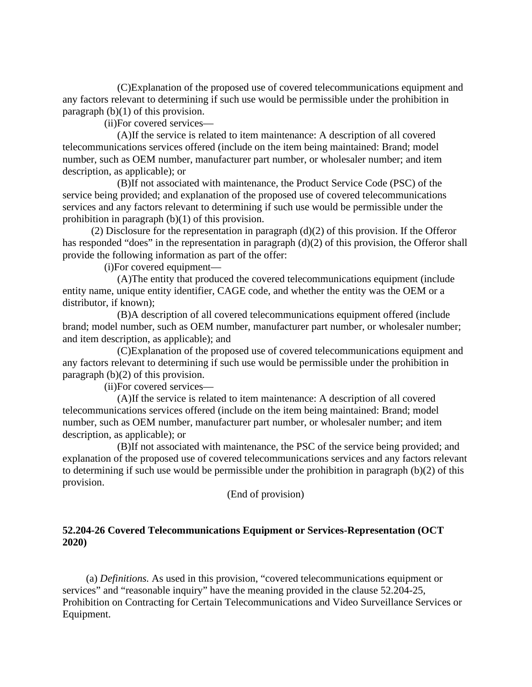(C)Explanation of the proposed use of covered telecommunications equipment and any factors relevant to determining if such use would be permissible under the prohibition in paragraph (b)(1) of this provision.

(ii)For covered services—

 (A)If the service is related to item maintenance: A description of all covered telecommunications services offered (include on the item being maintained: Brand; model number, such as OEM number, manufacturer part number, or wholesaler number; and item description, as applicable); or

 (B)If not associated with maintenance, the Product Service Code (PSC) of the service being provided; and explanation of the proposed use of covered telecommunications services and any factors relevant to determining if such use would be permissible under the prohibition in paragraph (b)(1) of this provision.

 (2) Disclosure for the representation in paragraph (d)(2) of this provision. If the Offeror has responded "does" in the representation in paragraph (d)(2) of this provision, the Offeror shall provide the following information as part of the offer:

(i)For covered equipment—

 (A)The entity that produced the covered telecommunications equipment (include entity name, unique entity identifier, CAGE code, and whether the entity was the OEM or a distributor, if known);

 (B)A description of all covered telecommunications equipment offered (include brand; model number, such as OEM number, manufacturer part number, or wholesaler number; and item description, as applicable); and

 (C)Explanation of the proposed use of covered telecommunications equipment and any factors relevant to determining if such use would be permissible under the prohibition in paragraph (b)(2) of this provision.

(ii)For covered services—

 (A)If the service is related to item maintenance: A description of all covered telecommunications services offered (include on the item being maintained: Brand; model number, such as OEM number, manufacturer part number, or wholesaler number; and item description, as applicable); or

 (B)If not associated with maintenance, the PSC of the service being provided; and explanation of the proposed use of covered telecommunications services and any factors relevant to determining if such use would be permissible under the prohibition in paragraph (b)(2) of this provision.

(End of provision)

# **52.204-26 Covered Telecommunications Equipment or Services-Representation (OCT 2020)**

(a) *Definitions.* As used in this provision, "covered telecommunications equipment or services" and "reasonable inquiry" have the meaning provided in the clause 52.204-25, Prohibition on Contracting for Certain Telecommunications and Video Surveillance Services or Equipment.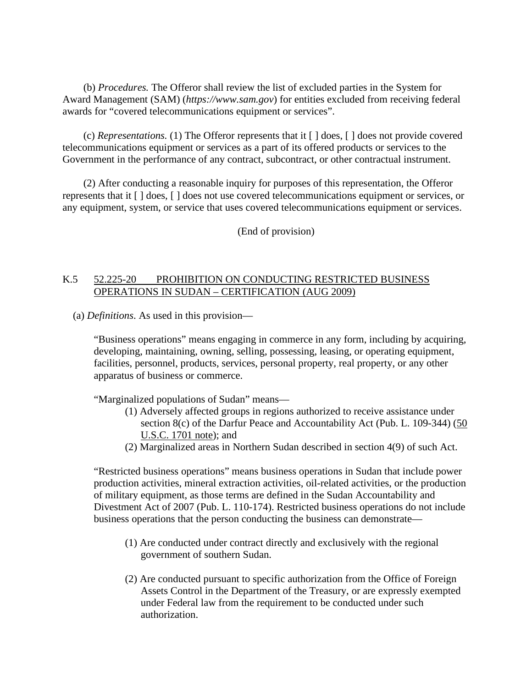(b) *Procedures.* The Offeror shall review the list of excluded parties in the System for Award Management (SAM) (*https://www.sam.gov*) for entities excluded from receiving federal awards for "covered telecommunications equipment or services".

(c) *Representations.* (1) The Offeror represents that it [ ] does, [ ] does not provide covered telecommunications equipment or services as a part of its offered products or services to the Government in the performance of any contract, subcontract, or other contractual instrument.

(2) After conducting a reasonable inquiry for purposes of this representation, the Offeror represents that it [ ] does, [ ] does not use covered telecommunications equipment or services, or any equipment, system, or service that uses covered telecommunications equipment or services.

(End of provision)

# K.5 52.225-20 PROHIBITION ON CONDUCTING RESTRICTED BUSINESS OPERATIONS IN SUDAN – CERTIFICATION (AUG 2009)

(a) *Definitions*. As used in this provision—

"Business operations" means engaging in commerce in any form, including by acquiring, developing, maintaining, owning, selling, possessing, leasing, or operating equipment, facilities, personnel, products, services, personal property, real property, or any other apparatus of business or commerce.

"Marginalized populations of Sudan" means—

- (1) Adversely affected groups in regions authorized to receive assistance under section 8(c) of the Darfur Peace and Accountability Act (Pub. L. 109-344) [\(50](http://uscode.house.gov/)  [U.S.C. 1701 note\)](http://uscode.house.gov/); and
- (2) Marginalized areas in Northern Sudan described in section 4(9) of such Act.

"Restricted business operations" means business operations in Sudan that include power production activities, mineral extraction activities, oil-related activities, or the production of military equipment, as those terms are defined in the Sudan Accountability and Divestment Act of 2007 (Pub. L. 110-174). Restricted business operations do not include business operations that the person conducting the business can demonstrate—

- (1) Are conducted under contract directly and exclusively with the regional government of southern Sudan.
- (2) Are conducted pursuant to specific authorization from the Office of Foreign Assets Control in the Department of the Treasury, or are expressly exempted under Federal law from the requirement to be conducted under such authorization.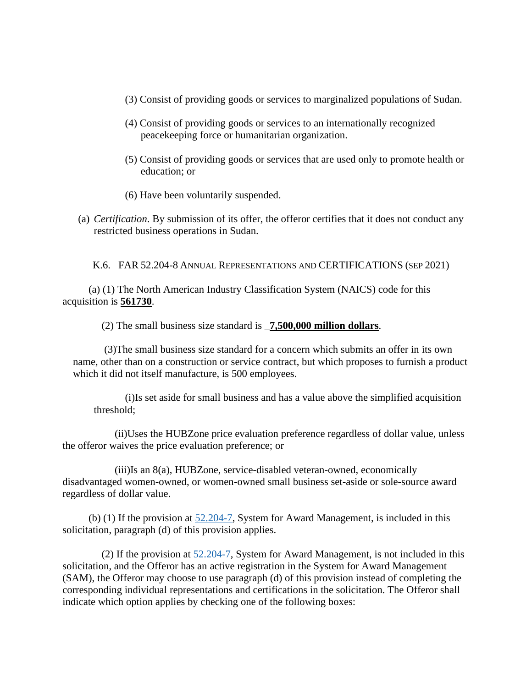- (3) Consist of providing goods or services to marginalized populations of Sudan.
- (4) Consist of providing goods or services to an internationally recognized peacekeeping force or humanitarian organization.
- (5) Consist of providing goods or services that are used only to promote health or education; or
- (6) Have been voluntarily suspended.
- (a) *Certification*. By submission of its offer, the offeror certifies that it does not conduct any restricted business operations in Sudan.

K.6. FAR 52.204-8 ANNUAL REPRESENTATIONS AND CERTIFICATIONS (SEP 2021)

 (a) (1) The North American Industry Classification System (NAICS) code for this acquisition is **561730**.

(2) The small business size standard is *\_***7,500,000 million dollars**.

(3)The small business size standard for a concern which submits an offer in its own name, other than on a construction or service contract, but which proposes to furnish a product which it did not itself manufacture, is 500 employees.

(i)Is set aside for small business and has a value above the simplified acquisition threshold;

 (ii)Uses the HUBZone price evaluation preference regardless of dollar value, unless the offeror waives the price evaluation preference; or

 (iii)Is an 8(a), HUBZone, service-disabled veteran-owned, economically disadvantaged women-owned, or women-owned small business set-aside or sole-source award regardless of dollar value.

 (b) (1) If the provision at [52.204-7,](https://www.acquisition.gov/content/52204-7-system-award-management#i1063838) System for Award Management, is included in this solicitation, paragraph (d) of this provision applies.

 (2) If the provision at [52.204-7,](https://www.acquisition.gov/content/52204-7-system-award-management#i1063838) System for Award Management, is not included in this solicitation, and the Offeror has an active registration in the System for Award Management (SAM), the Offeror may choose to use paragraph (d) of this provision instead of completing the corresponding individual representations and certifications in the solicitation. The Offeror shall indicate which option applies by checking one of the following boxes: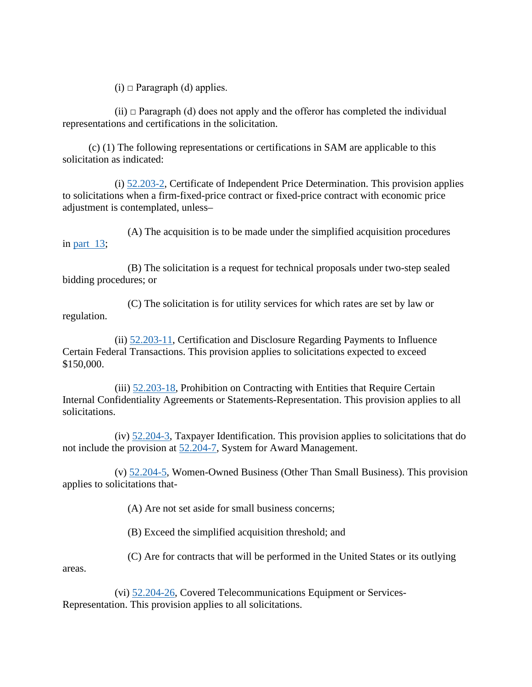$(i)$   $\Box$  Paragraph (d) applies.

 $(i)$   $\Box$  Paragraph (d) does not apply and the offeror has completed the individual representations and certifications in the solicitation.

 (c) (1) The following representations or certifications in SAM are applicable to this solicitation as indicated:

 (i) [52.203-2,](https://www.acquisition.gov/content/52203-2-certificate-independent-price-determination#i1063268) Certificate of Independent Price Determination. This provision applies to solicitations when a firm-fixed-price contract or fixed-price contract with economic price adjustment is contemplated, unless–

 (A) The acquisition is to be made under the simplified acquisition procedures in [part](https://www.acquisition.gov/content/part-13-simplified-acquisition-procedures#i1112458) 13;

 (B) The solicitation is a request for technical proposals under two-step sealed bidding procedures; or

 (C) The solicitation is for utility services for which rates are set by law or regulation.

 (ii) [52.203-11,](https://www.acquisition.gov/content/52203-11-certification-and-disclosure-regarding-payments-influence-certain-federal-transactions#i1063408) Certification and Disclosure Regarding Payments to Influence Certain Federal Transactions. This provision applies to solicitations expected to exceed \$150,000.

 (iii) [52.203-18,](https://www.acquisition.gov/content/52203-18-prohibition-contracting-entities-require-certain-internal-confidentiality-agreements-or-statements-representation#i52_203-18) Prohibition on Contracting with Entities that Require Certain Internal Confidentiality Agreements or Statements-Representation. This provision applies to all solicitations.

 (iv) [52.204-3,](https://www.acquisition.gov/content/52204-3-taxpayer-identification#i1063736) Taxpayer Identification. This provision applies to solicitations that do not include the provision at [52.204-7,](https://www.acquisition.gov/content/52204-7-system-award-management#i1063838) System for Award Management.

 (v) [52.204-5,](https://www.acquisition.gov/content/52204-5-women-owned-business-other-small-business#i1063796) Women-Owned Business (Other Than Small Business). This provision applies to solicitations that-

(A) Are not set aside for small business concerns;

(B) Exceed the simplified acquisition threshold; and

(C) Are for contracts that will be performed in the United States or its outlying

areas.

 (vi) [52.204-26,](https://www.acquisition.gov/content/52204-26-covered-telecommunications-equipment-or-services-representation#id19CAC0P0ESS) Covered Telecommunications Equipment or Services-Representation. This provision applies to all solicitations.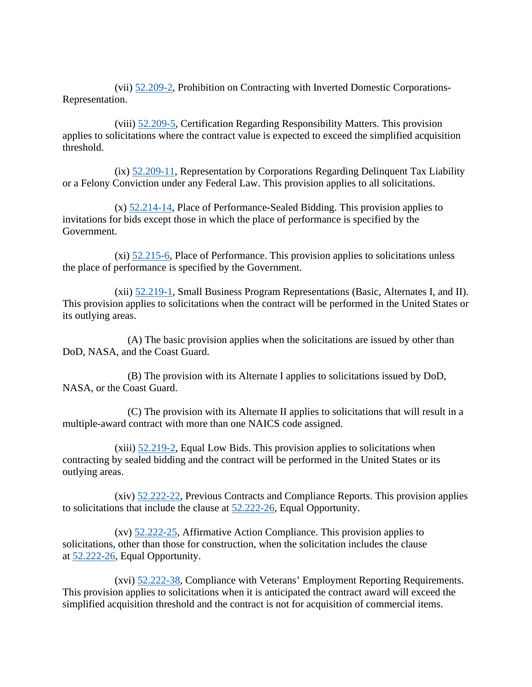(vii) [52.209-2,](https://www.acquisition.gov/content/52209-2-prohibition-contracting-inverted-domestic-corporations-representation#i1062479) Prohibition on Contracting with Inverted Domestic Corporations-Representation.

 (viii) [52.209-5,](https://www.acquisition.gov/content/52209-5-certification-regarding-responsibility-matters#i1062558) Certification Regarding Responsibility Matters. This provision applies to solicitations where the contract value is expected to exceed the simplified acquisition threshold.

 (ix) [52.209-11,](https://www.acquisition.gov/content/52209-11-representation-corporations-regarding-delinquent-tax-liability-or-felony-conviction-under-any-federal-law#id165RA0UH01A) Representation by Corporations Regarding Delinquent Tax Liability or a Felony Conviction under any Federal Law. This provision applies to all solicitations.

 (x) [52.214-14,](https://www.acquisition.gov/content/52214-14-place-performance-sealed-bidding#i1059991) Place of Performance-Sealed Bidding. This provision applies to invitations for bids except those in which the place of performance is specified by the Government.

 (xi) [52.215-6,](https://www.acquisition.gov/content/52215-6-place-performance#i1059247) Place of Performance. This provision applies to solicitations unless the place of performance is specified by the Government.

 (xii) [52.219-1,](https://www.acquisition.gov/content/52219-1-small-business-program-representations#i1057235) Small Business Program Representations (Basic, Alternates I, and II). This provision applies to solicitations when the contract will be performed in the United States or its outlying areas.

 (A) The basic provision applies when the solicitations are issued by other than DoD, NASA, and the Coast Guard.

 (B) The provision with its Alternate I applies to solicitations issued by DoD, NASA, or the Coast Guard.

 (C) The provision with its Alternate II applies to solicitations that will result in a multiple-award contract with more than one NAICS code assigned.

 (xiii) [52.219-2,](https://www.acquisition.gov/content/52219-2-equal-low-bids#i1057302) Equal Low Bids. This provision applies to solicitations when contracting by sealed bidding and the contract will be performed in the United States or its outlying areas.

 (xiv) [52.222-22,](https://www.acquisition.gov/content/52222-22-previous-contracts-and-compliance-reports#i1055729) Previous Contracts and Compliance Reports. This provision applies to solicitations that include the clause at [52.222-26,](https://www.acquisition.gov/content/52222-26-equal-opportunity#i1055793) Equal Opportunity.

 (xv) [52.222-25,](https://www.acquisition.gov/content/52222-25-affirmative-action-compliance#i1055782) Affirmative Action Compliance. This provision applies to solicitations, other than those for construction, when the solicitation includes the clause at [52.222-26,](https://www.acquisition.gov/content/52222-26-equal-opportunity#i1055793) Equal Opportunity.

 (xvi) [52.222-38,](https://www.acquisition.gov/content/52222-38-compliance-veterans%E2%80%99-employment-reporting-requirements#i1056289) Compliance with Veterans' Employment Reporting Requirements. This provision applies to solicitations when it is anticipated the contract award will exceed the simplified acquisition threshold and the contract is not for acquisition of commercial items.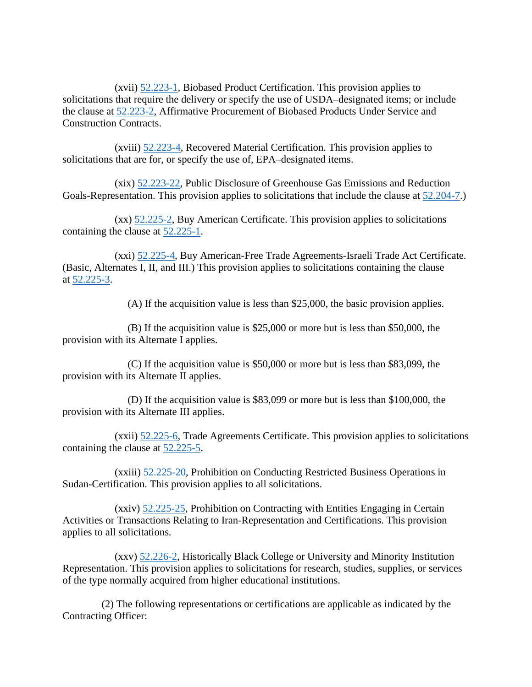(xvii) [52.223-1,](https://www.acquisition.gov/content/52223-1-biobased-product-certification#i1052963) Biobased Product Certification. This provision applies to solicitations that require the delivery or specify the use of USDA–designated items; or include the clause at [52.223-2,](https://www.acquisition.gov/content/52223-2-affirmative-procurement-biobased-products-under-service-and-construction-contracts#i1052973) Affirmative Procurement of Biobased Products Under Service and Construction Contracts.

 (xviii) [52.223-4,](https://www.acquisition.gov/content/52223-4-recovered-material-certification#i1053040) Recovered Material Certification. This provision applies to solicitations that are for, or specify the use of, EPA–designated items.

 (xix) [52.223-22,](https://www.acquisition.gov/content/52223-22-public-disclosure-greenhouse-gas-emissions-and-reduction-goals-representation#CDCHDCIFF4) Public Disclosure of Greenhouse Gas Emissions and Reduction Goals-Representation. This provision applies to solicitations that include the clause at [52.204-7.](https://www.acquisition.gov/content/52204-7-system-award-management#i1063838))

 (xx) [52.225-2,](https://www.acquisition.gov/content/52225-2-buy-american-certificate#i1053411) Buy American Certificate. This provision applies to solicitations containing the clause at [52.225-1.](https://www.acquisition.gov/content/52225-1-buy-american-supplies#i1053372)

 (xxi) [52.225-4,](https://www.acquisition.gov/content/52225-4-buy-american-free-trade-agreements-israeli-trade-act-certificate#i1053526) Buy American-Free Trade Agreements-Israeli Trade Act Certificate. (Basic, Alternates I, II, and III.) This provision applies to solicitations containing the clause at [52.225-3.](https://www.acquisition.gov/content/52225-3-buy-american-free-trade-agreements-israeli-trade-act#i1053446)

(A) If the acquisition value is less than \$25,000, the basic provision applies.

 (B) If the acquisition value is \$25,000 or more but is less than \$50,000, the provision with its Alternate I applies.

 (C) If the acquisition value is \$50,000 or more but is less than \$83,099, the provision with its Alternate II applies.

 (D) If the acquisition value is \$83,099 or more but is less than \$100,000, the provision with its Alternate III applies.

 (xxii) [52.225-6,](https://www.acquisition.gov/content/52225-6-trade-agreements-certificate#i1053693) Trade Agreements Certificate. This provision applies to solicitations containing the clause at [52.225-5.](https://www.acquisition.gov/content/52225-5-trade-agreements#i1053648)

 (xxiii) [52.225-20,](https://www.acquisition.gov/content/52225-20-prohibition-conducting-restricted-business-operations-sudan-certification#i1054426) Prohibition on Conducting Restricted Business Operations in Sudan-Certification. This provision applies to all solicitations.

 (xxiv) [52.225-25,](https://www.acquisition.gov/content/52225-25-prohibition-contracting-entities-engaging-certain-activities-or-transactions-relating-iran-representation-and-certifications#i1054876) Prohibition on Contracting with Entities Engaging in Certain Activities or Transactions Relating to Iran-Representation and Certifications. This provision applies to all solicitations.

 (xxv) [52.226-2,](https://www.acquisition.gov/content/52226-2-historically-black-college-or-university-and-minority-institution-representation#i1054999) Historically Black College or University and Minority Institution Representation. This provision applies to solicitations for research, studies, supplies, or services of the type normally acquired from higher educational institutions.

 (2) The following representations or certifications are applicable as indicated by the Contracting Officer: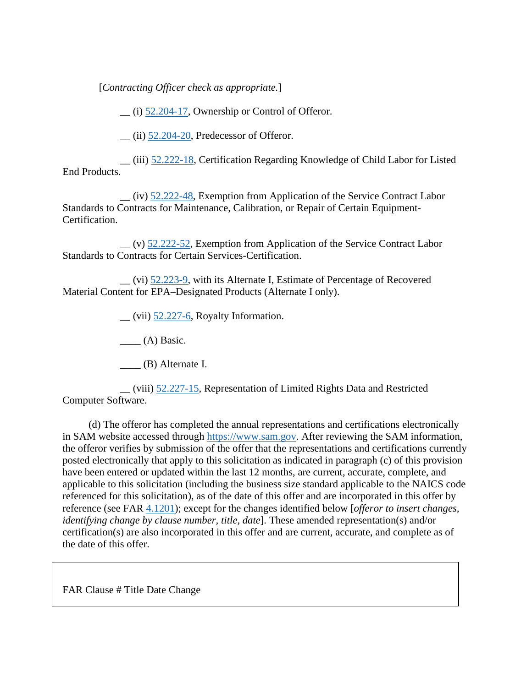[*Contracting Officer check as appropriate.*]

 $\sim$  (i) [52.204-17,](https://www.acquisition.gov/content/52204-17-ownership-or-control-offeror#i1064305) Ownership or Control of Offeror.

 $\frac{1}{2}$  (ii) [52.204-20,](https://www.acquisition.gov/content/52204-20-predecessor-offeror#id165VE00099X) Predecessor of Offeror.

 \_\_ (iii) [52.222-18,](https://www.acquisition.gov/content/52222-18-certification-regarding-knowledge-child-labor-listed-end-products#i1055635) Certification Regarding Knowledge of Child Labor for Listed End Products.

 \_\_ (iv) [52.222-48,](https://www.acquisition.gov/content/52222-48-exemption-application-service-contract-labor-standards-contracts-maintenance-calibration-or-repair-certain-equipment-certification#i1056493) Exemption from Application of the Service Contract Labor Standards to Contracts for Maintenance, Calibration, or Repair of Certain Equipment-Certification.

 \_\_ (v) [52.222-52,](https://www.acquisition.gov/content/52222-52-exemption-application-service-contract-labor-standards-contracts-certain-services-certification#i1056701) Exemption from Application of the Service Contract Labor Standards to Contracts for Certain Services-Certification.

 \_\_ (vi) [52.223-9,](https://www.acquisition.gov/content/52223-9-estimate-percentage-recovered-material-content-epa-designated-items#i1053138) with its Alternate I, Estimate of Percentage of Recovered Material Content for EPA–Designated Products (Alternate I only).

\_\_ (vii) [52.227-6,](https://www.acquisition.gov/content/52227-6-royalty-information#i1052268) Royalty Information.

\_\_\_\_ (A) Basic.

\_\_\_\_ (B) Alternate I.

 \_\_ (viii) [52.227-15,](https://www.acquisition.gov/content/52227-15-representation-limited-rights-data-and-restricted-computer-software#i1052648) Representation of Limited Rights Data and Restricted Computer Software.

 (d) The offeror has completed the annual representations and certifications electronically in SAM website accessed through [https://www.sam.gov.](https://www.sam.gov/) After reviewing the SAM information, the offeror verifies by submission of the offer that the representations and certifications currently posted electronically that apply to this solicitation as indicated in paragraph (c) of this provision have been entered or updated within the last 12 months, are current, accurate, complete, and applicable to this solicitation (including the business size standard applicable to the NAICS code referenced for this solicitation), as of the date of this offer and are incorporated in this offer by reference (see FAR [4.1201\)](https://www.acquisition.gov/content/41201-policy#i1121876); except for the changes identified below [*offeror to insert changes, identifying change by clause number, title, date*]. These amended representation(s) and/or certification(s) are also incorporated in this offer and are current, accurate, and complete as of the date of this offer.

FAR Clause # Title Date Change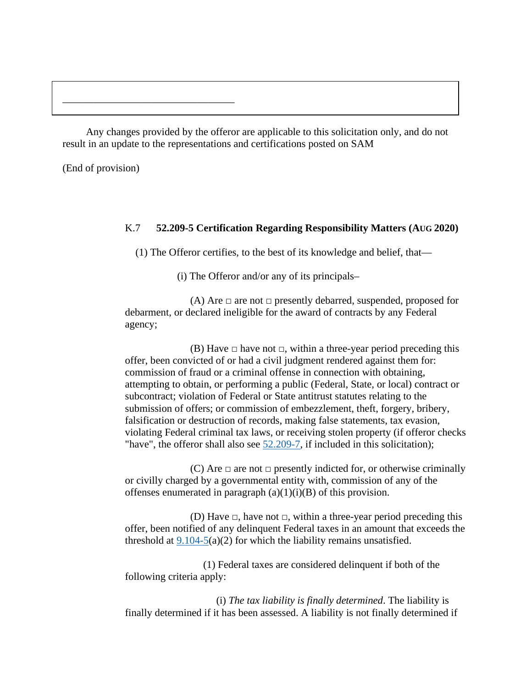Any changes provided by the offeror are applicable to this solicitation only, and do not result in an update to the representations and certifications posted on SAM

(End of provision)

\_\_\_\_\_\_\_\_\_\_\_\_\_\_\_\_\_\_\_\_\_\_\_\_\_\_\_\_\_\_\_\_\_

# K.7 **52.209-5 Certification Regarding Responsibility Matters (AUG 2020)**

(1) The Offeror certifies, to the best of its knowledge and belief, that—

(i) The Offeror and/or any of its principals–

 (A) Are *□* are not *□* presently debarred, suspended, proposed for debarment, or declared ineligible for the award of contracts by any Federal agency;

 (B) Have *□* have not *□*, within a three-year period preceding this offer, been convicted of or had a civil judgment rendered against them for: commission of fraud or a criminal offense in connection with obtaining, attempting to obtain, or performing a public (Federal, State, or local) contract or subcontract; violation of Federal or State antitrust statutes relating to the submission of offers; or commission of embezzlement, theft, forgery, bribery, falsification or destruction of records, making false statements, tax evasion, violating Federal criminal tax laws, or receiving stolen property (if offeror checks "have", the offeror shall also see [52.209-7,](https://www.acquisition.gov/far/part-52#FAR_52_209_7) if included in this solicitation);

 (C) Are *□* are not *□* presently indicted for, or otherwise criminally or civilly charged by a governmental entity with, commission of any of the offenses enumerated in paragraph  $(a)(1)(i)(B)$  of this provision.

 (D) Have *□*, have not *□*, within a three-year period preceding this offer, been notified of any delinquent Federal taxes in an amount that exceeds the threshold at  $9.104-5(a)(2)$  $9.104-5(a)(2)$  for which the liability remains unsatisfied.

 (1) Federal taxes are considered delinquent if both of the following criteria apply:

 (i) *The tax liability is finally determined*. The liability is finally determined if it has been assessed. A liability is not finally determined if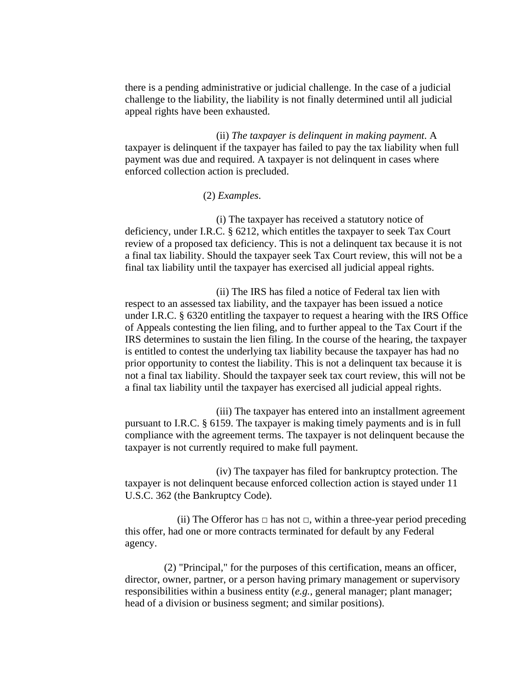there is a pending administrative or judicial challenge. In the case of a judicial challenge to the liability, the liability is not finally determined until all judicial appeal rights have been exhausted.

 (ii) *The taxpayer is delinquent in making payment*. A taxpayer is delinquent if the taxpayer has failed to pay the tax liability when full payment was due and required. A taxpayer is not delinquent in cases where enforced collection action is precluded.

#### (2) *Examples*.

 (i) The taxpayer has received a statutory notice of deficiency, under I.R.C. § 6212, which entitles the taxpayer to seek Tax Court review of a proposed tax deficiency. This is not a delinquent tax because it is not a final tax liability. Should the taxpayer seek Tax Court review, this will not be a final tax liability until the taxpayer has exercised all judicial appeal rights.

 (ii) The IRS has filed a notice of Federal tax lien with respect to an assessed tax liability, and the taxpayer has been issued a notice under I.R.C. § 6320 entitling the taxpayer to request a hearing with the IRS Office of Appeals contesting the lien filing, and to further appeal to the Tax Court if the IRS determines to sustain the lien filing. In the course of the hearing, the taxpayer is entitled to contest the underlying tax liability because the taxpayer has had no prior opportunity to contest the liability. This is not a delinquent tax because it is not a final tax liability. Should the taxpayer seek tax court review, this will not be a final tax liability until the taxpayer has exercised all judicial appeal rights.

 (iii) The taxpayer has entered into an installment agreement pursuant to I.R.C. § 6159. The taxpayer is making timely payments and is in full compliance with the agreement terms. The taxpayer is not delinquent because the taxpayer is not currently required to make full payment.

 (iv) The taxpayer has filed for bankruptcy protection. The taxpayer is not delinquent because enforced collection action is stayed under 11 U.S.C. 362 (the Bankruptcy Code).

 (ii) The Offeror has *□* has not *□*, within a three-year period preceding this offer, had one or more contracts terminated for default by any Federal agency.

 (2) "Principal," for the purposes of this certification, means an officer, director, owner, partner, or a person having primary management or supervisory responsibilities within a business entity (*e.g.*, general manager; plant manager; head of a division or business segment; and similar positions).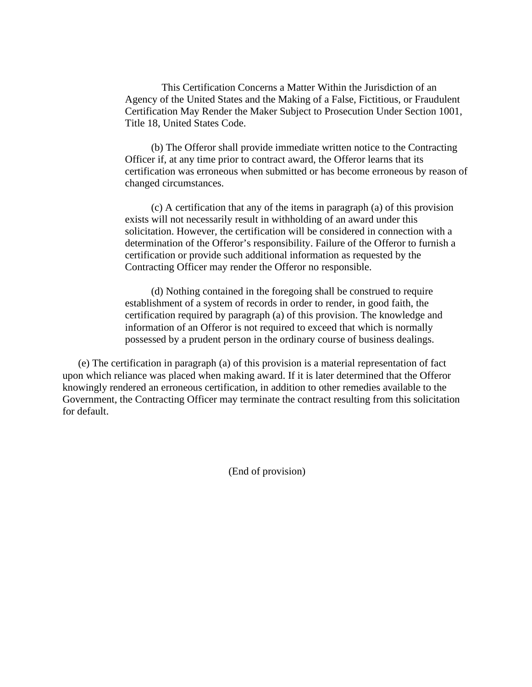This Certification Concerns a Matter Within the Jurisdiction of an Agency of the United States and the Making of a False, Fictitious, or Fraudulent Certification May Render the Maker Subject to Prosecution Under Section 1001, Title 18, United States Code.

 (b) The Offeror shall provide immediate written notice to the Contracting Officer if, at any time prior to contract award, the Offeror learns that its certification was erroneous when submitted or has become erroneous by reason of changed circumstances.

 (c) A certification that any of the items in paragraph (a) of this provision exists will not necessarily result in withholding of an award under this solicitation. However, the certification will be considered in connection with a determination of the Offeror's responsibility. Failure of the Offeror to furnish a certification or provide such additional information as requested by the Contracting Officer may render the Offeror no responsible.

 (d) Nothing contained in the foregoing shall be construed to require establishment of a system of records in order to render, in good faith, the certification required by paragraph (a) of this provision. The knowledge and information of an Offeror is not required to exceed that which is normally possessed by a prudent person in the ordinary course of business dealings.

 (e) The certification in paragraph (a) of this provision is a material representation of fact upon which reliance was placed when making award. If it is later determined that the Offeror knowingly rendered an erroneous certification, in addition to other remedies available to the Government, the Contracting Officer may terminate the contract resulting from this solicitation for default.

(End of provision)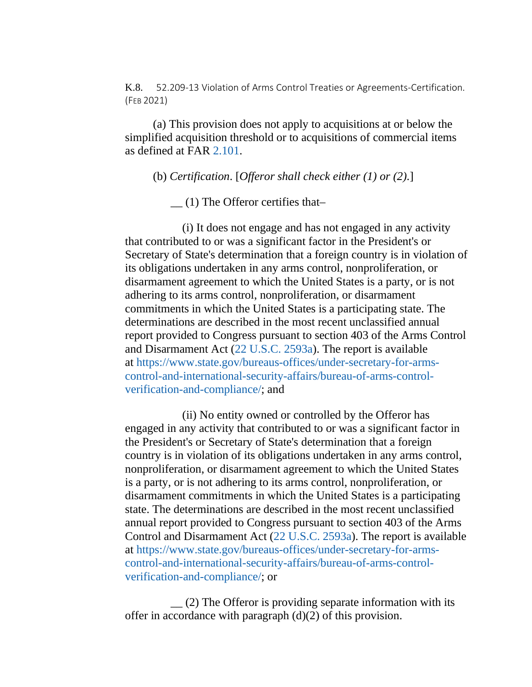K.8. 52.209-13 Violation of Arms Control Treaties or Agreements-Certification. (FEB 2021)

 (a) This provision does not apply to acquisitions at or below the simplified acquisition threshold or to acquisitions of commercial items as defined at FAR [2.101.](https://www.acquisition.gov/far/2.101#FAR_2_101)

(b) *Certification*. [*Offeror shall check either (1) or (2).*]

 $\qquad$  (1) The Offeror certifies that-

 (i) It does not engage and has not engaged in any activity that contributed to or was a significant factor in the President's or Secretary of State's determination that a foreign country is in violation of its obligations undertaken in any arms control, nonproliferation, or disarmament agreement to which the United States is a party, or is not adhering to its arms control, nonproliferation, or disarmament commitments in which the United States is a participating state. The determinations are described in the most recent unclassified annual report provided to Congress pursuant to section 403 of the Arms Control and Disarmament Act (22 [U.S.C.](http://uscode.house.gov/view.xhtml?req=granuleid:USC-prelim-title22-section2593a&num=0&edition=prelim) 2593a). The report is available at [https://www.state.gov/bureaus-offices/under-secretary-for-arms](https://www.state.gov/bureaus-offices/under-secretary-for-arms-control-and-international-security-affairs/bureau-of-arms-control-verification-and-compliance/)[control-and-international-security-affairs/bureau-of-arms-control](https://www.state.gov/bureaus-offices/under-secretary-for-arms-control-and-international-security-affairs/bureau-of-arms-control-verification-and-compliance/)[verification-and-compliance/;](https://www.state.gov/bureaus-offices/under-secretary-for-arms-control-and-international-security-affairs/bureau-of-arms-control-verification-and-compliance/) and

 (ii) No entity owned or controlled by the Offeror has engaged in any activity that contributed to or was a significant factor in the President's or Secretary of State's determination that a foreign country is in violation of its obligations undertaken in any arms control, nonproliferation, or disarmament agreement to which the United States is a party, or is not adhering to its arms control, nonproliferation, or disarmament commitments in which the United States is a participating state. The determinations are described in the most recent unclassified annual report provided to Congress pursuant to section 403 of the Arms Control and Disarmament Act (22 [U.S.C.](http://uscode.house.gov/view.xhtml?req=granuleid:USC-prelim-title22-section2593a&num=0&edition=prelim) 2593a). The report is available at [https://www.state.gov/bureaus-offices/under-secretary-for-arms](https://www.state.gov/bureaus-offices/under-secretary-for-arms-control-and-international-security-affairs/bureau-of-arms-control-verification-and-compliance/)[control-and-international-security-affairs/bureau-of-arms-control](https://www.state.gov/bureaus-offices/under-secretary-for-arms-control-and-international-security-affairs/bureau-of-arms-control-verification-and-compliance/)[verification-and-compliance/;](https://www.state.gov/bureaus-offices/under-secretary-for-arms-control-and-international-security-affairs/bureau-of-arms-control-verification-and-compliance/) or

 $(2)$  The Offeror is providing separate information with its offer in accordance with paragraph (d)(2) of this provision.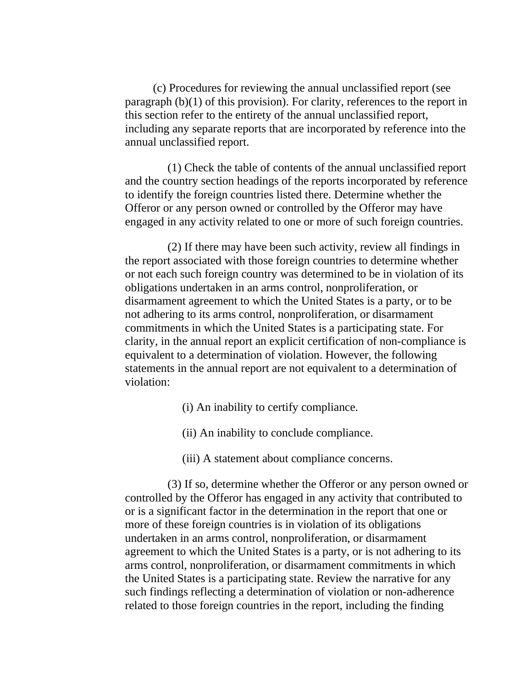(c) Procedures for reviewing the annual unclassified report (see paragraph (b)(1) of this provision). For clarity, references to the report in this section refer to the entirety of the annual unclassified report, including any separate reports that are incorporated by reference into the annual unclassified report.

 (1) Check the table of contents of the annual unclassified report and the country section headings of the reports incorporated by reference to identify the foreign countries listed there. Determine whether the Offeror or any person owned or controlled by the Offeror may have engaged in any activity related to one or more of such foreign countries.

 (2) If there may have been such activity, review all findings in the report associated with those foreign countries to determine whether or not each such foreign country was determined to be in violation of its obligations undertaken in an arms control, nonproliferation, or disarmament agreement to which the United States is a party, or to be not adhering to its arms control, nonproliferation, or disarmament commitments in which the United States is a participating state. For clarity, in the annual report an explicit certification of non-compliance is equivalent to a determination of violation. However, the following statements in the annual report are not equivalent to a determination of violation:

(i) An inability to certify compliance.

(ii) An inability to conclude compliance.

(iii) A statement about compliance concerns.

 (3) If so, determine whether the Offeror or any person owned or controlled by the Offeror has engaged in any activity that contributed to or is a significant factor in the determination in the report that one or more of these foreign countries is in violation of its obligations undertaken in an arms control, nonproliferation, or disarmament agreement to which the United States is a party, or is not adhering to its arms control, nonproliferation, or disarmament commitments in which the United States is a participating state. Review the narrative for any such findings reflecting a determination of violation or non-adherence related to those foreign countries in the report, including the finding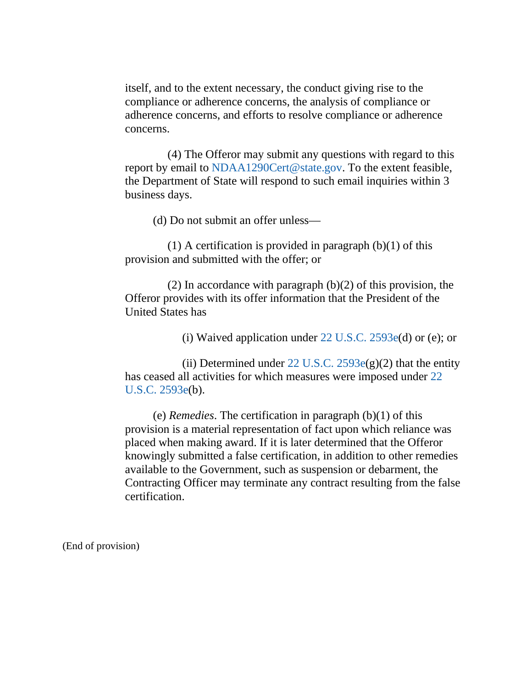itself, and to the extent necessary, the conduct giving rise to the compliance or adherence concerns, the analysis of compliance or adherence concerns, and efforts to resolve compliance or adherence concerns.

 (4) The Offeror may submit any questions with regard to this report by email to [NDAA1290Cert@state.gov.](mailto:NDAA1290Cert@state.gov) To the extent feasible, the Department of State will respond to such email inquiries within 3 business days.

(d) Do not submit an offer unless—

(1) A certification is provided in paragraph  $(b)(1)$  of this provision and submitted with the offer; or

(2) In accordance with paragraph  $(b)(2)$  of this provision, the Offeror provides with its offer information that the President of the United States has

(i) Waived application under 22 [U.S.C.](http://uscode.house.gov/view.xhtml?req=granuleid:USC-prelim-title22-section2593e&num=0&edition=prelim) 2593e(d) or (e); or

(ii) Determined under 22 [U.S.C.](http://uscode.house.gov/view.xhtml?req=granuleid:USC-prelim-title22-section2593e&num=0&edition=prelim)  $2593e(g)(2)$  that the entity has ceased all activities for which measures were imposed under [22](http://uscode.house.gov/view.xhtml?req=granuleid:USC-prelim-title22-section2593e&num=0&edition=prelim) [U.S.C.](http://uscode.house.gov/view.xhtml?req=granuleid:USC-prelim-title22-section2593e&num=0&edition=prelim) 2593e(b).

 (e) *Remedies*. The certification in paragraph (b)(1) of this provision is a material representation of fact upon which reliance was placed when making award. If it is later determined that the Offeror knowingly submitted a false certification, in addition to other remedies available to the Government, such as suspension or debarment, the Contracting Officer may terminate any contract resulting from the false certification.

(End of provision)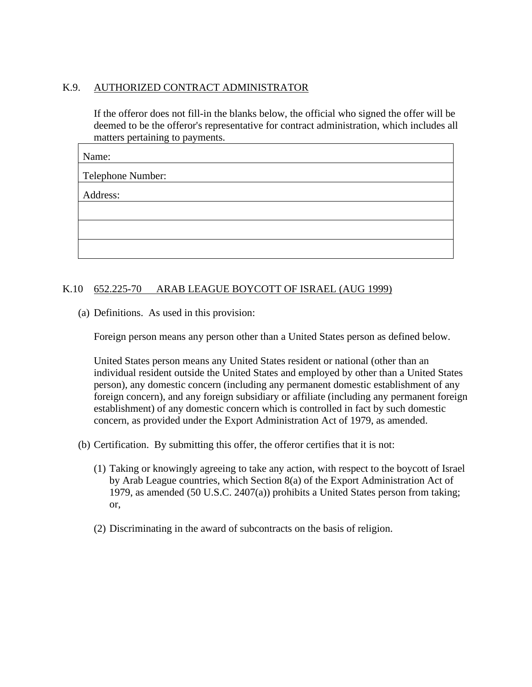### K.9. AUTHORIZED CONTRACT ADMINISTRATOR

If the offeror does not fill-in the blanks below, the official who signed the offer will be deemed to be the offeror's representative for contract administration, which includes all matters pertaining to payments.

Name:

Telephone Number:

Address:

# K.10 652.225-70 ARAB LEAGUE BOYCOTT OF ISRAEL (AUG 1999)

(a) Definitions. As used in this provision:

Foreign person means any person other than a United States person as defined below.

United States person means any United States resident or national (other than an individual resident outside the United States and employed by other than a United States person), any domestic concern (including any permanent domestic establishment of any foreign concern), and any foreign subsidiary or affiliate (including any permanent foreign establishment) of any domestic concern which is controlled in fact by such domestic concern, as provided under the Export Administration Act of 1979, as amended.

- (b) Certification. By submitting this offer, the offeror certifies that it is not:
	- (1) Taking or knowingly agreeing to take any action, with respect to the boycott of Israel by Arab League countries, which Section 8(a) of the Export Administration Act of 1979, as amended (50 U.S.C. 2407(a)) prohibits a United States person from taking; or,
	- (2) Discriminating in the award of subcontracts on the basis of religion.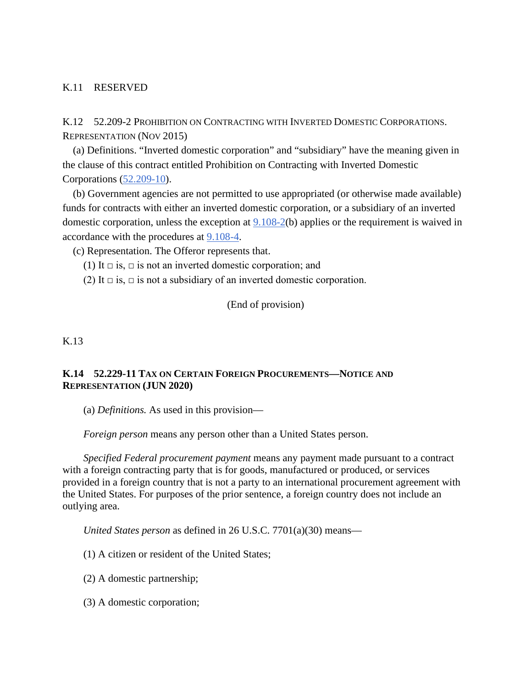### K.11 RESERVED

K.12 52.209-2 PROHIBITION ON CONTRACTING WITH INVERTED DOMESTIC CORPORATIONS. REPRESENTATION (NOV 2015)

(a) Definitions. "Inverted domestic corporation" and "subsidiary" have the meaning given in the clause of this contract entitled Prohibition on Contracting with Inverted Domestic Corporations [\(52.209-10\)](https://www.acquisition.gov/sites/default/files/current/far/html/52_207_211.html#wp1146366).

(b) Government agencies are not permitted to use appropriated (or otherwise made available) funds for contracts with either an inverted domestic corporation, or a subsidiary of an inverted domestic corporation, unless the exception at [9.108-2\(](https://www.acquisition.gov/sites/default/files/current/far/html/Subpart%209_1.html#wp1085903)b) applies or the requirement is waived in accordance with the procedures at [9.108-4.](https://www.acquisition.gov/sites/default/files/current/far/html/Subpart%209_1.html#wp1085953)

(c) Representation. The Offeror represents that.

- (1) It  $\Box$  is,  $\Box$  is not an inverted domestic corporation; and
- (2) It  $\Box$  is,  $\Box$  is not a subsidiary of an inverted domestic corporation.

(End of provision)

K.13

## **K.14 52.229-11 TAX ON CERTAIN FOREIGN PROCUREMENTS—NOTICE AND REPRESENTATION (JUN 2020)**

(a) *Definitions.* As used in this provision—

*Foreign person* means any person other than a United States person.

*Specified Federal procurement payment* means any payment made pursuant to a contract with a foreign contracting party that is for goods, manufactured or produced, or services provided in a foreign country that is not a party to an international procurement agreement with the United States. For purposes of the prior sentence, a foreign country does not include an outlying area.

*United States person* as defined in 26 U.S.C. 7701(a)(30) means—

(1) A citizen or resident of the United States;

(2) A domestic partnership;

(3) A domestic corporation;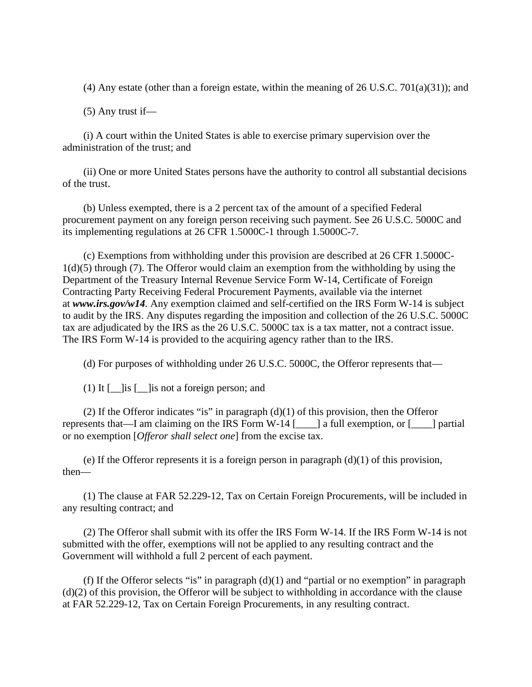(4) Any estate (other than a foreign estate, within the meaning of 26 U.S.C. 701(a)(31)); and

 $(5)$  Any trust if—

(i) A court within the United States is able to exercise primary supervision over the administration of the trust; and

(ii) One or more United States persons have the authority to control all substantial decisions of the trust.

(b) Unless exempted, there is a 2 percent tax of the amount of a specified Federal procurement payment on any foreign person receiving such payment. See 26 U.S.C. 5000C and its implementing regulations at 26 CFR 1.5000C-1 through 1.5000C-7.

(c) Exemptions from withholding under this provision are described at 26 CFR 1.5000C-1(d)(5) through (7). The Offeror would claim an exemption from the withholding by using the Department of the Treasury Internal Revenue Service Form W-14, Certificate of Foreign Contracting Party Receiving Federal Procurement Payments, available via the internet at *www.irs.gov/w14.* Any exemption claimed and self-certified on the IRS Form W-14 is subject to audit by the IRS. Any disputes regarding the imposition and collection of the 26 U.S.C. 5000C tax are adjudicated by the IRS as the 26 U.S.C. 5000C tax is a tax matter, not a contract issue. The IRS Form W-14 is provided to the acquiring agency rather than to the IRS.

(d) For purposes of withholding under 26 U.S.C. 5000C, the Offeror represents that—

(1) It  $\lceil$  | is  $\lceil$  | is not a foreign person; and

(2) If the Offeror indicates "is" in paragraph  $(d)(1)$  of this provision, then the Offeror represents that—I am claiming on the IRS Form W-14  $\lceil \cdot \cdot \rceil$  a full exemption, or  $\lceil \cdot \cdot \rceil$  partial or no exemption [*Offeror shall select one*] from the excise tax.

(e) If the Offeror represents it is a foreign person in paragraph  $(d)(1)$  of this provision, then—

(1) The clause at FAR 52.229-12, Tax on Certain Foreign Procurements, will be included in any resulting contract; and

(2) The Offeror shall submit with its offer the IRS Form W-14. If the IRS Form W-14 is not submitted with the offer, exemptions will not be applied to any resulting contract and the Government will withhold a full 2 percent of each payment.

(f) If the Offeror selects "is" in paragraph  $(d)(1)$  and "partial or no exemption" in paragraph  $(d)(2)$  of this provision, the Offeror will be subject to withholding in accordance with the clause at FAR 52.229-12, Tax on Certain Foreign Procurements, in any resulting contract.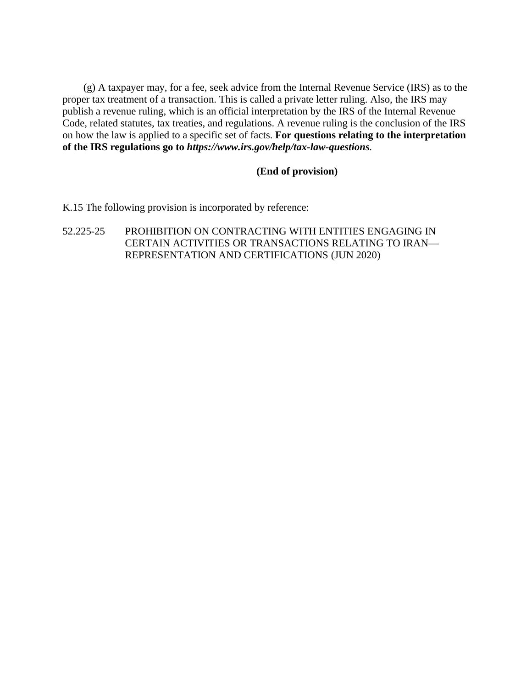(g) A taxpayer may, for a fee, seek advice from the Internal Revenue Service (IRS) as to the proper tax treatment of a transaction. This is called a private letter ruling. Also, the IRS may publish a revenue ruling, which is an official interpretation by the IRS of the Internal Revenue Code, related statutes, tax treaties, and regulations. A revenue ruling is the conclusion of the IRS on how the law is applied to a specific set of facts. **For questions relating to the interpretation of the IRS regulations go to** *https://www.irs.gov/help/tax-law-questions.*

#### **(End of provision)**

K.15 The following provision is incorporated by reference:

### 52.225-25 PROHIBITION ON CONTRACTING WITH ENTITIES ENGAGING IN CERTAIN ACTIVITIES OR TRANSACTIONS RELATING TO IRAN— REPRESENTATION AND CERTIFICATIONS (JUN 2020)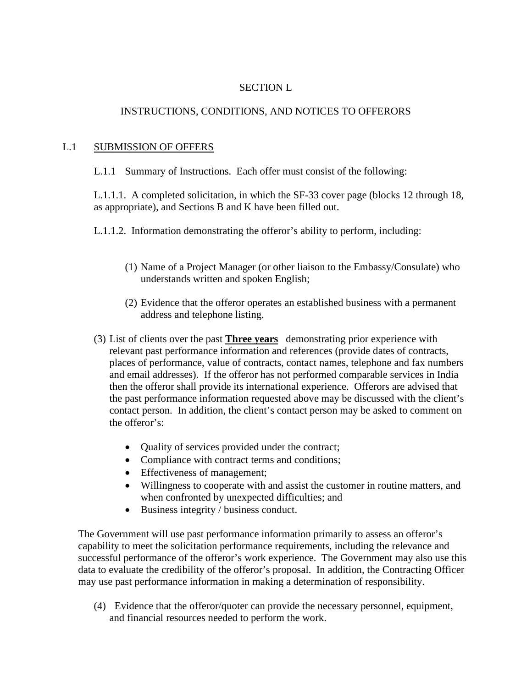## SECTION L

# INSTRUCTIONS, CONDITIONS, AND NOTICES TO OFFERORS

## L.1 SUBMISSION OF OFFERS

L.1.1 Summary of Instructions. Each offer must consist of the following:

L.1.1.1. A completed solicitation, in which the SF-33 cover page (blocks 12 through 18, as appropriate), and Sections B and K have been filled out.

L.1.1.2. Information demonstrating the offeror's ability to perform, including:

- (1) Name of a Project Manager (or other liaison to the Embassy/Consulate) who understands written and spoken English;
- (2) Evidence that the offeror operates an established business with a permanent address and telephone listing.
- (3) List of clients over the past **Three years** demonstrating prior experience with relevant past performance information and references (provide dates of contracts, places of performance, value of contracts, contact names, telephone and fax numbers and email addresses). If the offeror has not performed comparable services in India then the offeror shall provide its international experience. Offerors are advised that the past performance information requested above may be discussed with the client's contact person. In addition, the client's contact person may be asked to comment on the offeror's:
	- Quality of services provided under the contract;
	- Compliance with contract terms and conditions;
	- Effectiveness of management;
	- Willingness to cooperate with and assist the customer in routine matters, and when confronted by unexpected difficulties; and
	- Business integrity / business conduct.

The Government will use past performance information primarily to assess an offeror's capability to meet the solicitation performance requirements, including the relevance and successful performance of the offeror's work experience. The Government may also use this data to evaluate the credibility of the offeror's proposal. In addition, the Contracting Officer may use past performance information in making a determination of responsibility.

(4) Evidence that the offeror/quoter can provide the necessary personnel, equipment, and financial resources needed to perform the work.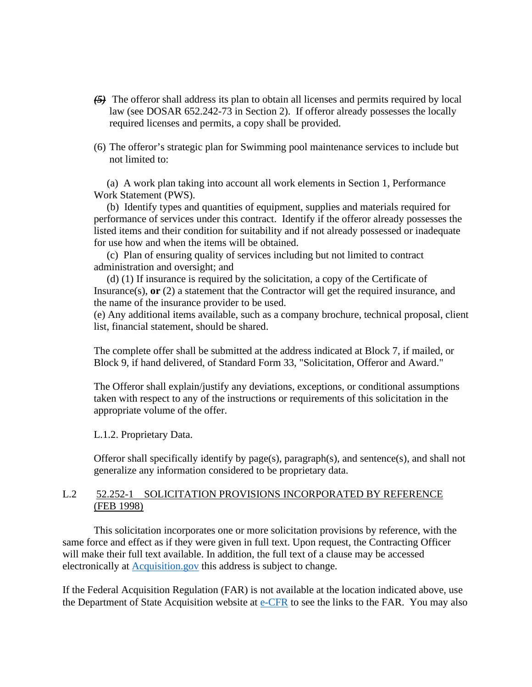- *(5)* The offeror shall address its plan to obtain all licenses and permits required by local law (see DOSAR 652.242-73 in Section 2). If offeror already possesses the locally required licenses and permits, a copy shall be provided.
- (6) The offeror's strategic plan for Swimming pool maintenance services to include but not limited to:

 (a) A work plan taking into account all work elements in Section 1, Performance Work Statement (PWS).

 (b) Identify types and quantities of equipment, supplies and materials required for performance of services under this contract. Identify if the offeror already possesses the listed items and their condition for suitability and if not already possessed or inadequate for use how and when the items will be obtained.

 (c) Plan of ensuring quality of services including but not limited to contract administration and oversight; and

 (d) (1) If insurance is required by the solicitation, a copy of the Certificate of Insurance(s), **or** (2) a statement that the Contractor will get the required insurance, and the name of the insurance provider to be used.

(e) Any additional items available, such as a company brochure, technical proposal, client list, financial statement, should be shared.

The complete offer shall be submitted at the address indicated at Block 7, if mailed, or Block 9, if hand delivered, of Standard Form 33, "Solicitation, Offeror and Award."

The Offeror shall explain/justify any deviations, exceptions, or conditional assumptions taken with respect to any of the instructions or requirements of this solicitation in the appropriate volume of the offer.

L.1.2. Proprietary Data.

Offeror shall specifically identify by page(s), paragraph(s), and sentence(s), and shall not generalize any information considered to be proprietary data.

### L.2 52.252-1 SOLICITATION PROVISIONS INCORPORATED BY REFERENCE (FEB 1998)

This solicitation incorporates one or more solicitation provisions by reference, with the same force and effect as if they were given in full text. Upon request, the Contracting Officer will make their full text available. In addition, the full text of a clause may be accessed electronically at [Acquisition.gov](https://acquisition.gov/browse/index/far) this address is subject to change.

If the Federal Acquisition Regulation (FAR) is not available at the location indicated above, use the Department of State Acquisition website at [e-CFR](https://gov.ecfr.io/cgi-bin/text-idx?SID=d9a7851186785ba2b1896db79b1b6b29&mc=true&tpl=/ecfrbrowse/Title48/48tab_02.tpl) to see the links to the FAR. You may also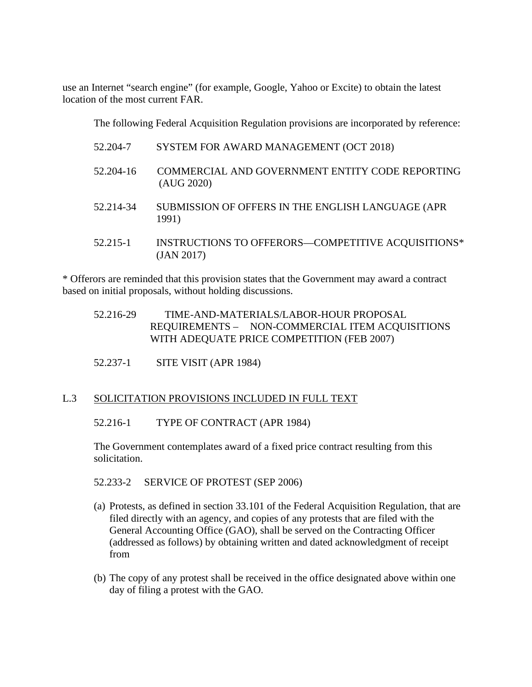use an Internet "search engine" (for example, Google, Yahoo or Excite) to obtain the latest location of the most current FAR.

The following Federal Acquisition Regulation provisions are incorporated by reference:

| 52.204-7  | SYSTEM FOR AWARD MANAGEMENT (OCT 2018)                           |
|-----------|------------------------------------------------------------------|
| 52.204-16 | COMMERCIAL AND GOVERNMENT ENTITY CODE REPORTING<br>(AUG 2020)    |
| 52.214-34 | SUBMISSION OF OFFERS IN THE ENGLISH LANGUAGE (APR<br>1991)       |
| 52.215-1  | INSTRUCTIONS TO OFFERORS-COMPETITIVE ACQUISITIONS*<br>(JAN 2017) |

\* Offerors are reminded that this provision states that the Government may award a contract based on initial proposals, without holding discussions.

| 52.216-29 | TIME-AND-MATERIALS/LABOR-HOUR PROPOSAL          |
|-----------|-------------------------------------------------|
|           | REQUIREMENTS - NON-COMMERCIAL ITEM ACQUISITIONS |
|           | WITH ADEQUATE PRICE COMPETITION (FEB 2007)      |

52.237-1 SITE VISIT (APR 1984)

### L.3 SOLICITATION PROVISIONS INCLUDED IN FULL TEXT

52.216-1 TYPE OF CONTRACT (APR 1984)

The Government contemplates award of a fixed price contract resulting from this solicitation.

52.233-2 SERVICE OF PROTEST (SEP 2006)

- (a) Protests, as defined in section 33.101 of the Federal Acquisition Regulation, that are filed directly with an agency, and copies of any protests that are filed with the General Accounting Office (GAO), shall be served on the Contracting Officer (addressed as follows) by obtaining written and dated acknowledgment of receipt from
- (b) The copy of any protest shall be received in the office designated above within one day of filing a protest with the GAO.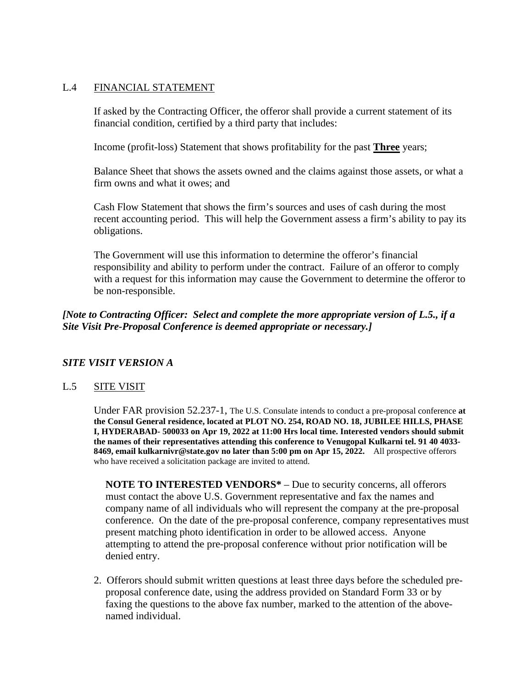### L.4 FINANCIAL STATEMENT

If asked by the Contracting Officer, the offeror shall provide a current statement of its financial condition, certified by a third party that includes:

Income (profit-loss) Statement that shows profitability for the past **Three** years;

Balance Sheet that shows the assets owned and the claims against those assets, or what a firm owns and what it owes; and

Cash Flow Statement that shows the firm's sources and uses of cash during the most recent accounting period. This will help the Government assess a firm's ability to pay its obligations.

The Government will use this information to determine the offeror's financial responsibility and ability to perform under the contract. Failure of an offeror to comply with a request for this information may cause the Government to determine the offeror to be non-responsible.

## *[Note to Contracting Officer: Select and complete the more appropriate version of L.5., if a Site Visit Pre-Proposal Conference is deemed appropriate or necessary.]*

### *SITE VISIT VERSION A*

### L.5 SITE VISIT

Under FAR provision 52.237-1, The U.S. Consulate intends to conduct a pre-proposal conference **at the Consul General residence, located at PLOT NO. 254, ROAD NO. 18, JUBILEE HILLS, PHASE I, HYDERABAD- 500033 on Apr 19, 2022 at 11:00 Hrs local time. Interested vendors should submit the names of their representatives attending this conference to Venugopal Kulkarni tel. 91 40 4033- 8469, email kulkarnivr@state.gov no later than 5:00 pm on Apr 15, 2022.** All prospective offerors who have received a solicitation package are invited to attend.

**NOTE TO INTERESTED VENDORS\*** – Due to security concerns, all offerors must contact the above U.S. Government representative and fax the names and company name of all individuals who will represent the company at the pre-proposal conference. On the date of the pre-proposal conference, company representatives must present matching photo identification in order to be allowed access. Anyone attempting to attend the pre-proposal conference without prior notification will be denied entry.

2. Offerors should submit written questions at least three days before the scheduled preproposal conference date, using the address provided on Standard Form 33 or by faxing the questions to the above fax number, marked to the attention of the abovenamed individual.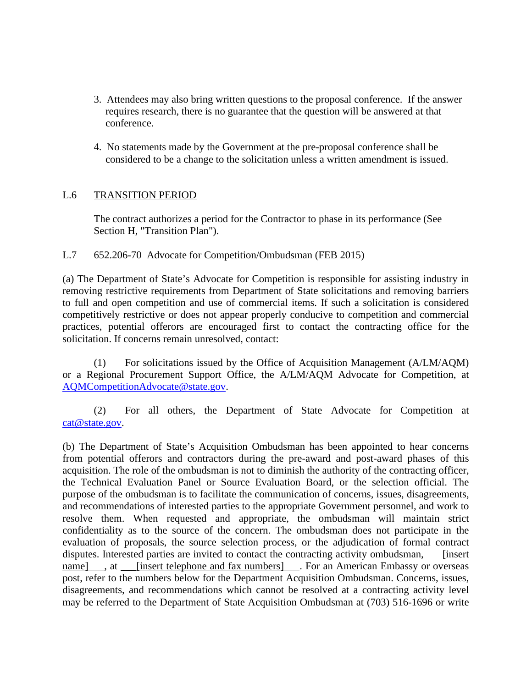- 3. Attendees may also bring written questions to the proposal conference. If the answer requires research, there is no guarantee that the question will be answered at that conference.
- 4. No statements made by the Government at the pre-proposal conference shall be considered to be a change to the solicitation unless a written amendment is issued.

### L.6 TRANSITION PERIOD

The contract authorizes a period for the Contractor to phase in its performance (See Section H, "Transition Plan").

L.7 652.206-70 Advocate for Competition/Ombudsman (FEB 2015)

(a) The Department of State's Advocate for Competition is responsible for assisting industry in removing restrictive requirements from Department of State solicitations and removing barriers to full and open competition and use of commercial items. If such a solicitation is considered competitively restrictive or does not appear properly conducive to competition and commercial practices, potential offerors are encouraged first to contact the contracting office for the solicitation. If concerns remain unresolved, contact:

(1) For solicitations issued by the Office of Acquisition Management (A/LM/AQM) or a Regional Procurement Support Office, the A/LM/AQM Advocate for Competition, at [AQMCompetitionAdvocate@state.gov.](mailto:AQMCompetitionAdvocate@state.gov)

(2) For all others, the Department of State Advocate for Competition at [cat@state.gov.](mailto:cat@state.gov)

(b) The Department of State's Acquisition Ombudsman has been appointed to hear concerns from potential offerors and contractors during the pre-award and post-award phases of this acquisition. The role of the ombudsman is not to diminish the authority of the contracting officer, the Technical Evaluation Panel or Source Evaluation Board, or the selection official. The purpose of the ombudsman is to facilitate the communication of concerns, issues, disagreements, and recommendations of interested parties to the appropriate Government personnel, and work to resolve them. When requested and appropriate, the ombudsman will maintain strict confidentiality as to the source of the concern. The ombudsman does not participate in the evaluation of proposals, the source selection process, or the adjudication of formal contract disputes. Interested parties are invited to contact the contracting activity ombudsman, [insert] name] , at \_\_\_[insert telephone and fax numbers] . For an American Embassy or overseas post, refer to the numbers below for the Department Acquisition Ombudsman. Concerns, issues, disagreements, and recommendations which cannot be resolved at a contracting activity level may be referred to the Department of State Acquisition Ombudsman at (703) 516-1696 or write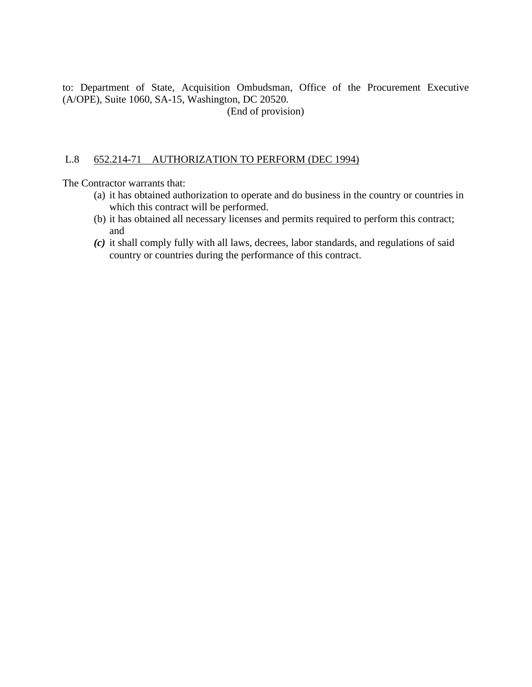to: Department of State, Acquisition Ombudsman, Office of the Procurement Executive (A/OPE), Suite 1060, SA-15, Washington, DC 20520. (End of provision)

### L.8 652.214-71 AUTHORIZATION TO PERFORM (DEC 1994)

The Contractor warrants that:

- (a) it has obtained authorization to operate and do business in the country or countries in which this contract will be performed.
- (b) it has obtained all necessary licenses and permits required to perform this contract; and
- *(c)* it shall comply fully with all laws, decrees, labor standards, and regulations of said country or countries during the performance of this contract.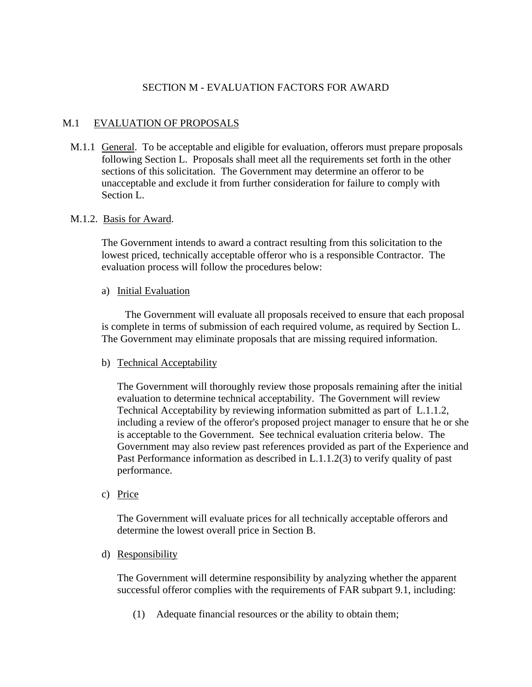### SECTION M - EVALUATION FACTORS FOR AWARD

### M.1 EVALUATION OF PROPOSALS

M.1.1 General. To be acceptable and eligible for evaluation, offerors must prepare proposals following Section L. Proposals shall meet all the requirements set forth in the other sections of this solicitation. The Government may determine an offeror to be unacceptable and exclude it from further consideration for failure to comply with Section L.

### M.1.2. Basis for Award.

The Government intends to award a contract resulting from this solicitation to the lowest priced, technically acceptable offeror who is a responsible Contractor. The evaluation process will follow the procedures below:

#### a) Initial Evaluation

The Government will evaluate all proposals received to ensure that each proposal is complete in terms of submission of each required volume, as required by Section L. The Government may eliminate proposals that are missing required information.

### b) Technical Acceptability

The Government will thoroughly review those proposals remaining after the initial evaluation to determine technical acceptability. The Government will review Technical Acceptability by reviewing information submitted as part of L.1.1.2, including a review of the offeror's proposed project manager to ensure that he or she is acceptable to the Government. See technical evaluation criteria below. The Government may also review past references provided as part of the Experience and Past Performance information as described in L.1.1.2(3) to verify quality of past performance.

#### c) Price

The Government will evaluate prices for all technically acceptable offerors and determine the lowest overall price in Section B.

### d) Responsibility

The Government will determine responsibility by analyzing whether the apparent successful offeror complies with the requirements of FAR subpart 9.1, including:

(1) Adequate financial resources or the ability to obtain them;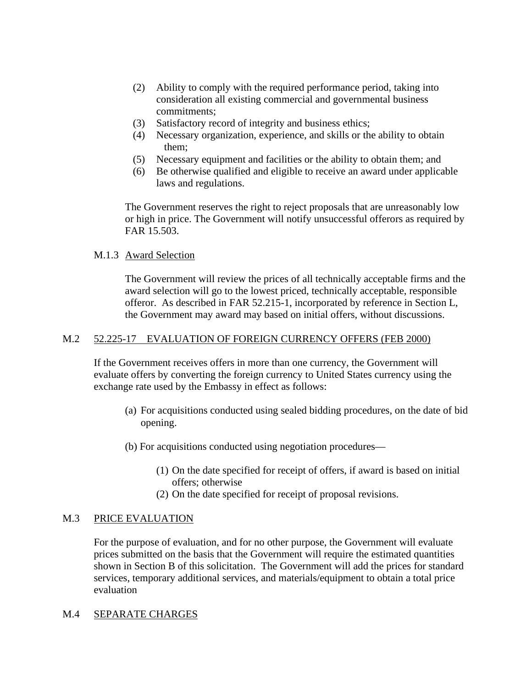- (2) Ability to comply with the required performance period, taking into consideration all existing commercial and governmental business commitments;
- (3) Satisfactory record of integrity and business ethics;
- (4) Necessary organization, experience, and skills or the ability to obtain them;
- (5) Necessary equipment and facilities or the ability to obtain them; and
- (6) Be otherwise qualified and eligible to receive an award under applicable laws and regulations.

The Government reserves the right to reject proposals that are unreasonably low or high in price. The Government will notify unsuccessful offerors as required by FAR 15.503.

### M.1.3 Award Selection

The Government will review the prices of all technically acceptable firms and the award selection will go to the lowest priced, technically acceptable, responsible offeror. As described in FAR 52.215-1, incorporated by reference in Section L, the Government may award may based on initial offers, without discussions.

### M.2 52.225-17 EVALUATION OF FOREIGN CURRENCY OFFERS (FEB 2000)

If the Government receives offers in more than one currency, the Government will evaluate offers by converting the foreign currency to United States currency using the exchange rate used by the Embassy in effect as follows:

- (a) For acquisitions conducted using sealed bidding procedures, on the date of bid opening.
- (b) For acquisitions conducted using negotiation procedures—
	- (1) On the date specified for receipt of offers, if award is based on initial offers; otherwise
	- (2) On the date specified for receipt of proposal revisions.

### M.3 PRICE EVALUATION

For the purpose of evaluation, and for no other purpose, the Government will evaluate prices submitted on the basis that the Government will require the estimated quantities shown in Section B of this solicitation. The Government will add the prices for standard services, temporary additional services, and materials/equipment to obtain a total price evaluation

#### M.4 SEPARATE CHARGES